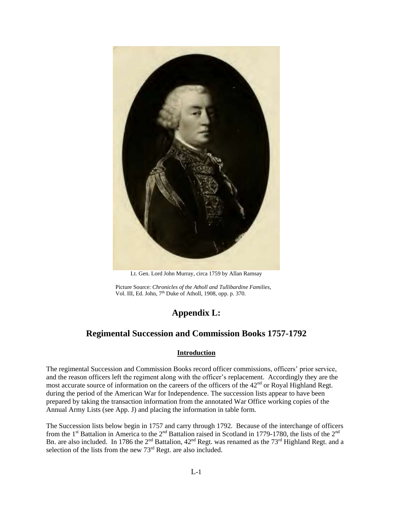

Lt. Gen. Lord John Murray, circa 1759 by Allan Ramsay

Picture Source: *Chronicles of the Atholl and Tullibardine Families*, Vol. III, Ed. John, 7th Duke of Atholl, 1908, opp. p. 370.

# **Appendix L:**

# **Regimental Succession and Commission Books 1757-1792**

# **Introduction**

The regimental Succession and Commission Books record officer commissions, officers' prior service, and the reason officers left the regiment along with the officer's replacement. Accordingly they are the most accurate source of information on the careers of the officers of the 42<sup>nd</sup> or Royal Highland Regt. during the period of the American War for Independence. The succession lists appear to have been prepared by taking the transaction information from the annotated War Office working copies of the Annual Army Lists (see App. J) and placing the information in table form.

The Succession lists below begin in 1757 and carry through 1792. Because of the interchange of officers from the 1<sup>st</sup> Battalion in America to the 2<sup>nd</sup> Battalion raised in Scotland in 1779-1780, the lists of the 2<sup>nd</sup> Bn. are also included. In 1786 the  $2^{nd}$  Battalion,  $42^{nd}$  Regt. was renamed as the  $73^{rd}$  Highland Regt. and a selection of the lists from the new  $73<sup>rd</sup>$  Regt. are also included.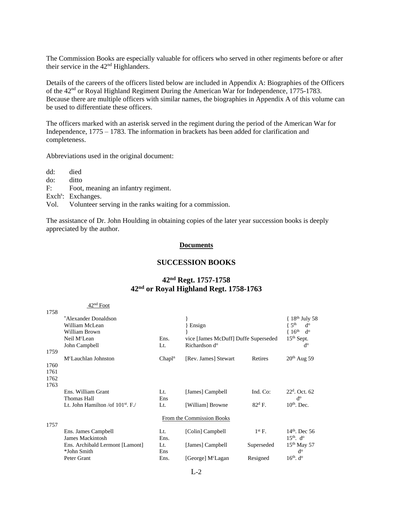The Commission Books are especially valuable for officers who served in other regiments before or after their service in the  $42<sup>nd</sup>$  Highlanders.

Details of the careers of the officers listed below are included in Appendix A: Biographies of the Officers of the 42<sup>nd</sup> or Royal Highland Regiment During the American War for Independence, 1775-1783. Because there are multiple officers with similar names, the biographies in Appendix A of this volume can be used to differentiate these officers.

The officers marked with an asterisk served in the regiment during the period of the American War for Independence, 1775 – 1783. The information in brackets has been added for clarification and completeness.

Abbreviations used in the original document:

- dd: died
- do: ditto
- F: Foot, meaning an infantry regiment.

 $42nd$  Foot

- Exch<sup>s</sup>: Exchanges.
- Vol. Volunteer serving in the ranks waiting for a commission.

The assistance of Dr. John Houlding in obtaining copies of the later year succession books is deeply appreciated by the author.

#### **Documents**

#### **SUCCESSION BOOKS**

# **42nd Regt. 1757-1758 42nd or Royal Highland Regt. 1758-1763**

|      | $42^{\circ}$ FOOU                      |                    |                                      |                 |                                   |
|------|----------------------------------------|--------------------|--------------------------------------|-----------------|-----------------------------------|
| 1758 |                                        |                    |                                      |                 |                                   |
|      | *Alexander Donaldson                   |                    |                                      |                 | $18th$ July 58                    |
|      | William McLean                         |                    | Ensign                               |                 | 5 <sup>th</sup><br>d <sup>o</sup> |
|      | William Brown                          |                    |                                      |                 | 16 <sup>th</sup><br>d°            |
|      | Neil M <sup>c</sup> Lean               | Ens.               | vice [James McDuff] Duffe Superseded |                 | 15 <sup>th</sup> Sept.            |
|      | John Campbell                          | Lt.                | Richardson d <sup>o</sup>            |                 | $d^{\rm o}$                       |
| 1759 |                                        |                    |                                      |                 |                                   |
|      | M <sup>c</sup> Lauchlan Johnston       | Chapl <sup>n</sup> | [Rev. James] Stewart                 | Retires         | $20th$ Aug 59                     |
| 1760 |                                        |                    |                                      |                 |                                   |
| 1761 |                                        |                    |                                      |                 |                                   |
| 1762 |                                        |                    |                                      |                 |                                   |
| 1763 |                                        |                    |                                      |                 |                                   |
|      | Ens. William Grant                     | Lt.                | [James] Campbell                     | Ind. Co:        | $22^{\rm d}$ . Oct. 62            |
|      | Thomas Hall                            | Ens                |                                      |                 | $d^{\rm o}$                       |
|      | Lt. John Hamilton / of $101^{st}$ . F. | Lt.                | [William] Browne                     | $82^{\rm d}$ F. | $10th$ . Dec.                     |
|      |                                        |                    |                                      |                 |                                   |
|      |                                        |                    | From the Commission Books            |                 |                                   |
| 1757 | Ens. James Campbell                    | Lt.                | [Colin] Campbell                     | $1st$ F.        | $14th$ . Dec 56                   |
|      | <b>James Mackintosh</b>                | Ens.               |                                      |                 | $15th$ . d <sup>o</sup>           |
|      | Ens. Archibald Lermont [Lamont]        | Lt.                | [James] Campbell                     | Superseded      | $15th$ May 57                     |
|      | *John Smith                            | Ens                |                                      |                 | $d^{\rm o}$                       |
|      | Peter Grant                            | Ens.               | [George] M <sup>c</sup> Lagan        | Resigned        | $16th$ . d <sup>o</sup>           |
|      |                                        |                    |                                      |                 |                                   |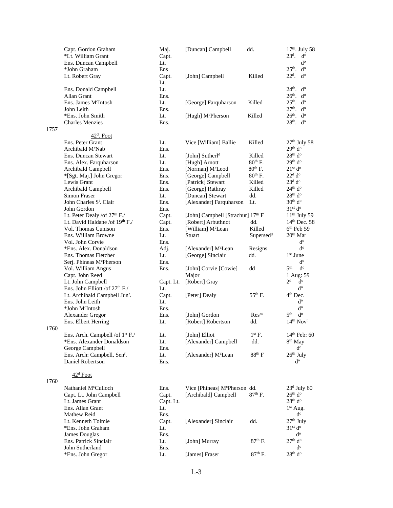|      | Capt. Gordon Graham                         | Maj.      | [Duncan] Campbell                         | dd.                   | $17th$ . July 58                  |
|------|---------------------------------------------|-----------|-------------------------------------------|-----------------------|-----------------------------------|
|      | *Lt. William Grant                          | Capt.     |                                           |                       | $23d$ .<br>$d^o$                  |
|      | Ens. Duncan Campbell                        | Lt.       |                                           |                       | ď                                 |
|      | *John Graham                                | Ens       |                                           |                       | $25th$ .<br>$d^{\rm o}$           |
|      | Lt. Robert Gray                             | Capt.     | [John] Campbell                           | Killed                | $22d$ .<br>$d^{\rm o}$            |
|      |                                             | Lt.       |                                           |                       |                                   |
|      | Ens. Donald Campbell                        | Lt.       |                                           |                       | $24th$ .<br>$d^{\rm o}$           |
|      | Allan Grant                                 | Ens.      |                                           |                       | $26th$ .<br>$d^{\rm o}$           |
|      | Ens. James M <sup>c</sup> Intosh            | Lt.       | [George] Farquharson                      | Killed                | $25th$ .<br>$d^{\rm o}$           |
|      | John Leith                                  | Ens.      |                                           |                       | $27th$ .<br>$d^{\rm o}$           |
|      | *Ens. John Smith                            | Lt.       | [Hugh] M <sup>c</sup> Pherson             | Killed                | $26th$ .<br>$d^{\rm o}$           |
|      | <b>Charles Menzies</b>                      | Ens.      |                                           |                       | $28th$ . $do$                     |
| 1757 |                                             |           |                                           |                       |                                   |
|      |                                             |           |                                           |                       |                                   |
|      | $42d$ . Foot                                |           |                                           |                       |                                   |
|      | Ens. Peter Grant                            | Lt.       | Vice [William] Ballie                     | Killed                | $27th$ July 58                    |
|      | Archibald M <sup>c</sup> Nab                | Ens.      |                                           |                       | 29 <sup>th</sup> d <sup>o</sup>   |
|      | Ens. Duncan Stewart                         | Lt.       | [John] Sutherl <sup>d</sup>               | Killed                | 28 <sup>th</sup> d <sup>o</sup>   |
|      | Ens. Alex. Farquharson                      | Lt.       | [Hugh] Arnott                             | $80th$ F.             | 29 <sup>th</sup> d <sup>o</sup>   |
|      | Archibald Campbell                          | Ens.      | [Norman] M <sup>c</sup> Leod              | $80th$ F.             | 21 <sup>st</sup> d <sup>o</sup>   |
|      | *[Sgt. Maj.] John Gregor                    | Ens.      | [George] Campbell                         | $80th$ F.             | 22 <sup>d</sup> d <sup>o</sup>    |
|      | Lewis Grant                                 | Ens.      | [Patrick] Stewart                         | Killed                | 23 <sup>d</sup> d <sup>o</sup>    |
|      | Archibald Campbell                          | Ens.      | [George] Rathray                          | Killed                | 24 <sup>th</sup> d <sup>o</sup>   |
|      | Simon Fraser                                | Lt.       | [Duncan] Stewart                          | dd.                   | 28 <sup>th</sup> d <sup>o</sup>   |
|      | John Charles S <sup>t</sup> . Clair         | Ens.      | [Alexander] Farquharson                   | Lt.                   | 30 <sup>th</sup> d <sup>o</sup>   |
|      | John Gordon                                 | Ens.      |                                           |                       | 31 <sup>st</sup> d <sup>o</sup>   |
|      | Lt. Peter Dealy /of 27 <sup>th</sup> F./    | Capt.     | [John] Campbell [Strachur] 17th F         |                       | $11th$ July 59                    |
|      | Lt. David Haldane /of 19th F./              | Capt.     | [Robert] Arbuthnot                        | dd.                   | $14th$ Dec. 58                    |
|      | Vol. Thomas Cunison                         | Ens.      | [William] M <sup>c</sup> Lean             | Killed                | $6th$ Feb 59                      |
|      | Ens. William Browne                         | Lt.       | Stuart                                    | Supersed <sup>d</sup> | $20th$ Mar                        |
|      | Vol. John Corvie                            | Ens.      |                                           |                       | $d^o$                             |
|      | *Ens. Alex. Donaldson                       | Adj.      | [Alexander] M <sup>c</sup> Lean           | Resigns               | $d^{\rm o}$                       |
|      | Ens. Thomas Fletcher                        | Lt.       | [George] Sinclair                         | dd.                   | $1st$ June                        |
|      |                                             |           |                                           |                       | $d^{\rm o}$                       |
|      | Serj. Phineas McPherson                     | Ens.      |                                           |                       | 5 <sup>th</sup><br>$d^{\rm o}$    |
|      | Vol. William Angus                          | Ens.      | [John] Corvie [Cowie]                     | dd                    |                                   |
|      | Capt. John Reed                             |           | Major                                     |                       | 1 Aug: 59                         |
|      | Lt. John Campbell                           | Capt. Lt. | [Robert] Gray                             |                       | 2 <sup>d</sup><br>d°              |
|      | Ens. John Elliott /of 27th F./              | Lt.       |                                           |                       | $d^{\rm o}$                       |
|      | Lt. Archibald Campbell Jun <sup>r</sup> .   | Capt.     | [Peter] Dealy                             | $55^{th}$ F.          | $4th$ Dec.                        |
|      | Ens. John Leith                             | Lt.       |                                           |                       | ď                                 |
|      | *John M <sup>c</sup> Intosh                 | Ens.      |                                           |                       | $d^o$                             |
|      | Alexander Gregor                            | Ens.      | [John] Gordon                             | Res <sup>ns</sup>     | 5 <sup>th</sup><br>$d^{\rm o}$    |
|      | Ens. Elbert Herring                         | Lt.       | [Robert] Robertson                        | dd.                   | 14 <sup>th</sup> Nov <sup>r</sup> |
| 1760 |                                             |           |                                           |                       |                                   |
|      | Ens. Arch. Campbell /of 1 <sup>st</sup> F./ | Lt.       | [John] Elliot                             | $1^{\rm st}$ F.       | $14^{\rm th}$ Feb: $60$           |
|      | *Ens. Alexander Donaldson                   | Lt.       | [Alexander] Campbell                      | dd.                   | 8 <sup>th</sup> May               |
|      | George Campbell                             | Ens.      |                                           |                       | $d^{\rm o}$                       |
|      | Ens. Arch: Campbell, Sen <sup>r</sup> .     | Lt.       | [Alexander] M <sup>c</sup> Lean           | $88th$ F              | 26 <sup>th</sup> July             |
|      | Daniel Robertson                            | Ens.      |                                           |                       | $d^{\rm o}$                       |
|      |                                             |           |                                           |                       |                                   |
|      | 42 <sup>d</sup> Foot                        |           |                                           |                       |                                   |
| 1760 |                                             |           |                                           |                       |                                   |
|      | Nathaniel McCulloch                         | Ens.      | Vice [Phineas] M <sup>c</sup> Pherson dd. |                       | $23d$ July 60                     |
|      | Capt. Lt. John Campbell                     | Capt.     | [Archibald] Campbell                      | $87th$ F.             | 26 <sup>th</sup> d <sup>o</sup>   |
|      | Lt. James Grant                             |           |                                           |                       | $28^{\rm th}$ d <sup>o</sup>      |
|      |                                             | Capt. Lt. |                                           |                       |                                   |
|      | Ens. Allan Grant                            | Lt.       |                                           |                       | $1st$ Aug.                        |
|      | Mathew Reid                                 | Ens.      |                                           |                       | $d^{\rm o}$                       |
|      | Lt. Kenneth Tolmie                          | Capt.     | [Alexander] Sinclair                      | dd.                   | $27th$ July                       |
|      | *Ens. John Graham                           | Lt.       |                                           |                       | 31 <sup>st</sup> d <sup>o</sup>   |
|      | James Douglas                               | Ens.      |                                           |                       | $d^{\rm o}$                       |
|      | Ens. Patrick Sinclair                       | Lt.       | [John] Murray                             | $87th$ F.             | 27 <sup>th</sup> d <sup>o</sup>   |
|      | John Sutherland                             | Ens.      |                                           |                       | $d^{\rm o}$                       |
|      | *Ens. John Gregor                           | Lt.       | [James] Fraser                            | $87th$ F.             | 28 <sup>th</sup> d <sup>o</sup>   |
|      |                                             |           |                                           |                       |                                   |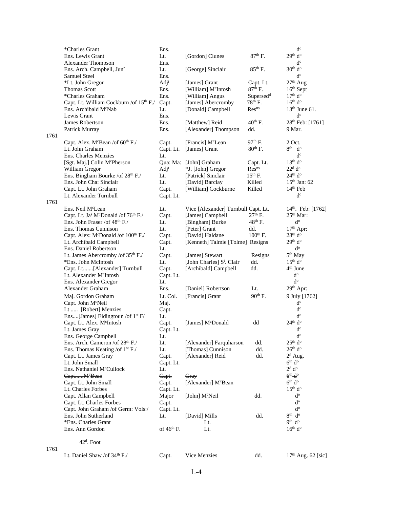|      | *Charles Grant                                              | Ens.             |                                       |                       | $d^o$                           |
|------|-------------------------------------------------------------|------------------|---------------------------------------|-----------------------|---------------------------------|
|      | Ens. Lewis Grant                                            | Lt.              | [Gordon] Clunes                       | $87th$ F.             | 29 <sup>th</sup> d <sup>o</sup> |
|      | Alexander Thompson                                          | Ens.             |                                       |                       | ď                               |
|      | Ens. Arch. Campbell, Jun <sup>r</sup>                       | Lt.              | [George] Sinclair                     | $85th$ F.             | 30 <sup>th</sup> d <sup>o</sup> |
|      | Samuel Steel                                                | Ens.             |                                       |                       | ď                               |
|      | *Lt. John Gregor                                            | Adj <sup>t</sup> | [James] Grant                         | Capt. Lt.             | $27th$ Aug                      |
|      | Thomas Scott                                                | Ens.             | [William] M <sup>c</sup> Intosh       | $87th$ F.             | $16th$ Sept                     |
|      | *Charles Graham                                             | Ens.             | [William] Angus                       | Supersed <sup>d</sup> | 17 <sup>th</sup> d <sup>o</sup> |
|      | Capt. Lt. William Cockburn /of 15th F./                     | Capt.            | [James] Abercromby                    | $78th$ F.             | 16 <sup>th</sup> d <sup>o</sup> |
|      | Ens. Archibald M <sup>c</sup> Nab                           | Lt.              | [Donald] Campbell                     | Res <sup>ns</sup>     | $13th$ June 61.                 |
|      | Lewis Grant                                                 | Ens.             |                                       |                       | $d^o$                           |
|      | James Robertson                                             | Ens.             | [Matthew] Reid                        | $40^{th}$ F.          | 28 <sup>th</sup> Feb: [1761]    |
|      |                                                             | Ens.             | [Alexander] Thompson                  | dd.                   | 9 Mar.                          |
| 1761 | Patrick Murray                                              |                  |                                       |                       |                                 |
|      |                                                             |                  |                                       | $97th$ F.             | 2 Oct.                          |
|      | Capt. Alex. McBean /of 60 <sup>th</sup> F./                 | Capt.            | [Francis] M <sup>c</sup> Lean         |                       |                                 |
|      | Lt. John Graham                                             | Capt. Lt.        | [James] Grant                         | $80th$ F.             | $8th$ d <sup>o</sup>            |
|      | Ens. Charles Menzies                                        | Lt.              |                                       |                       | ď                               |
|      | [Sgt. Maj.] Colin McPherson                                 |                  | Qua: Ma: [John] Graham                | Capt. Lt.             | 13 <sup>th</sup> d <sup>o</sup> |
|      | William Gregor                                              | Adj <sup>t</sup> | *J. [John] Gregor                     | Res <sup>ns</sup>     | $22d$ d <sup>o</sup>            |
|      | Ens. Bingham Bourke /of 28 <sup>th</sup> F./                | Lt.              | [Patrick] Sinclair                    | $15th$ F.             | 24 <sup>th</sup> d <sup>o</sup> |
|      | Ens. John Cha: Sinclair                                     | Lt.              | [David] Barclay                       | Killed                | $15th$ Jan: 62                  |
|      | Capt. Lt. John Graham                                       | Capt.            | [William] Cockburne                   | Killed                | $14th$ Feb                      |
|      | Lt. Alexander Turnbull                                      | Capt. Lt.        |                                       |                       | $d^o$                           |
| 1761 |                                                             |                  |                                       |                       |                                 |
|      | Ens. Neil M <sup>c</sup> Lean                               | Lt.              | Vice [Alexander] Turnbull Capt. Lt.   |                       | 14 <sup>th</sup> . Feb: [1762]  |
|      | Capt. Lt. Ja <sup>s</sup> McDonald /of 76 <sup>th</sup> F./ | Capt.            | [James] Campbell                      | $27th$ F.             | $25th$ Mar:                     |
|      | Ens. John Fraser /of $48th$ F./                             | Lt.              | [Bingham] Burke                       | 48 <sup>th</sup> F.   | $d^o$                           |
|      | Ens. Thomas Cunnison                                        | Lt.              | [Peter] Grant                         | dd.                   | $17th$ Apr:                     |
|      | Capt. Alex: McDonald /of 100 <sup>th</sup> F./              | Capt.            | [David] Haldane                       | $100th$ F.            | 28 <sup>th</sup> d <sup>o</sup> |
|      | Lt. Archibald Campbell                                      | Capt.            | [Kenneth] Talmie [Tolme] Resigns      |                       | 29 <sup>th</sup> d <sup>o</sup> |
|      | Ens. Daniel Robertson                                       | Lt.              |                                       |                       | $d^{\rm o}$                     |
|      | Lt. James Abercromby /of 35 <sup>th</sup> F./               | Capt.            | [James] Stewart                       | Resigns               | 5 <sup>th</sup> May             |
|      | *Ens. John McIntosh                                         | Lt.              | [John Charles] S <sup>t</sup> . Clair | dd.                   | 15 <sup>th</sup> d <sup>o</sup> |
|      | Capt. Lt[Alexander] Turnbull                                | Capt.            | [Archibald] Campbell                  | dd.                   | $4th$ June                      |
|      | Lt. Alexander M <sup>c</sup> Intosh                         | Capt. Lt.        |                                       |                       | $d^o$                           |
|      | Ens. Alexander Gregor                                       | Lt.              |                                       |                       | $d^{\rm o}$                     |
|      | Alexander Graham                                            | Ens.             | [Daniel] Robertson                    | Lt.                   | 29th Apr:                       |
|      |                                                             |                  |                                       |                       |                                 |
|      | Maj. Gordon Graham                                          | Lt. Col.         | [Francis] Grant                       | $90th$ F.             | 9 July [1762]                   |
|      | Capt. John M <sup>c</sup> Neil                              | Maj.             |                                       |                       | $d^{\rm o}$                     |
|      | Lt  [Robert] Menzies                                        | Capt.            |                                       |                       | $d^o$                           |
|      | Ens[James] Eidingtoun /of 1 <sup>st</sup> F/                | Lt.              |                                       |                       | ď                               |
|      | Capt. Lt. Alex. McIntosh                                    | Capt.            | [James] M <sup>c</sup> Donald         | dd                    | $24th$ d <sup>o</sup>           |
|      | Lt. James Gray                                              | Capt. Lt.        |                                       |                       | $d^o$                           |
|      | Ens. George Campbell                                        | Lt.              |                                       |                       | $d^{\circ}$                     |
|      | Ens. Arch. Cameron /of 28 <sup>th</sup> F./                 | Lt.              | [Alexander] Farquharson               | dd.                   | 25 <sup>th</sup> d <sup>o</sup> |
|      | Ens. Thomas Keating /of 1 <sup>st</sup> F./                 | Lt.              | [Thomas] Cunnison                     | dd.                   | 26 <sup>th</sup> d <sup>o</sup> |
|      | Capt. Lt. James Gray                                        | Capt.            | [Alexander] Reid                      | dd.                   | $2d$ Aug.                       |
|      | Lt. John Small                                              | Capt. Lt.        |                                       |                       | 6 <sup>th</sup> d <sup>o</sup>  |
|      | Ens. Nathaniel McCullock                                    | Lt.              |                                       |                       | 2 <sup>d</sup> d <sup>o</sup>   |
|      | CaptM <sup>e</sup> Bean                                     | Capt.            | Gray                                  |                       | $6^{\text{th}}$ d <sup>o</sup>  |
|      | Capt. Lt. John Small                                        | Capt.            | [Alexander] M <sup>c</sup> Bean       |                       | 6 <sup>th</sup> d <sup>o</sup>  |
|      | Lt. Charles Forbes                                          | Capt. Lt.        |                                       |                       | 15 <sup>th</sup> d <sup>o</sup> |
|      | Capt. Allan Campbell                                        | Major            | [John] M <sup>c</sup> Neil            | dd.                   | $d^{\rm o}$                     |
|      | Capt. Lt. Charles Forbes                                    | Capt.            |                                       |                       | $d^{\rm o}$                     |
|      | Capt. John Graham /of Germ: Vols:/                          | Capt. Lt.        |                                       |                       | $d^{\rm o}$                     |
|      | Ens. John Sutherland                                        | Lt.              | [David] Mills                         | dd.                   | 8 <sup>th</sup> d <sup>o</sup>  |
|      | *Ens. Charles Grant                                         |                  | Lt.                                   |                       | 9 <sup>th</sup> d <sup>o</sup>  |
|      | Ens. Ann Gordon                                             | of $46th$ F.     | Lt.                                   |                       | 16 <sup>th</sup> d <sup>o</sup> |
|      |                                                             |                  |                                       |                       |                                 |
|      | $42d$ . Foot                                                |                  |                                       |                       |                                 |
|      |                                                             |                  |                                       |                       |                                 |

1761

Lt. Daniel Shaw /of 34<sup>th</sup> F./ Capt. Vice Menzies dd. 17<sup>th</sup> Aug. 62 [sic]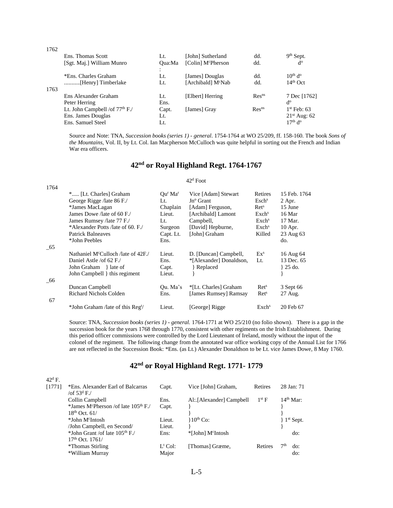| 1762 |                                            |        |                                |                   |                       |
|------|--------------------------------------------|--------|--------------------------------|-------------------|-----------------------|
|      | Ens. Thomas Scott                          | Lt.    | [John] Sutherland              | dd.               | $9th$ Sept.           |
|      | [Sgt. Maj.] William Munro                  | Oua:Ma | [Colin] M <sup>c</sup> Pherson | dd.               | d°                    |
|      |                                            | $\sim$ |                                |                   |                       |
|      | *Ens. Charles Graham                       | Lt.    | [James] Douglas                | dd.               | $10th$ d <sup>o</sup> |
|      |                                            | Lt.    | [Archibald] M°Nab              | dd.               | $14th$ Oct            |
| 1763 |                                            |        |                                |                   |                       |
|      | Ens Alexander Graham                       | Lt.    | [Elbert] Herring               | Res <sup>ns</sup> | 7 Dec [1762]          |
|      | Peter Herring                              | Ens.   |                                |                   | d <sub>o</sub>        |
|      | Lt. John Campbell /of 77 <sup>th</sup> F./ | Capt.  | [James] Gray                   | Res <sup>ns</sup> | $1st$ Feb: 63         |
|      | Ens. James Douglas                         | Lt.    |                                |                   | $21st$ Aug: 62        |
|      | Ens. Samuel Steel                          | Lt.    |                                |                   | $17th$ d <sup>o</sup> |
|      |                                            |        |                                |                   |                       |

Source and Note: TNA, *Succession books (series 1) - general*. 1754-1764 at WO 25/209, ff. 158-160. The book *Sons of the Mountains,* Vol. II, by Lt. Col. Ian Macpherson McCulloch was quite helpful in sorting out the French and Indian War era officers.

# **42nd or Royal Highland Regt. 1764-1767**

#### 42<sup>d</sup> Foot

| 1764 |                                                        |                                       |                         |                         |              |
|------|--------------------------------------------------------|---------------------------------------|-------------------------|-------------------------|--------------|
|      | * [Lt. Charles] Graham                                 | $\alpha$ <sup>r</sup> Ma <sup>r</sup> | Vice [Adam] Stewart     | Retires                 | 15 Feb. 1764 |
|      | George Rigge / late 86 F./                             | Lt.                                   | Jn <sup>o</sup> Grant   | $\rm Eschs$             | $2$ Apr.     |
|      | *James MacLagan                                        | Chaplain                              | [Adam] Ferguson,        | $\rm{Ret}^s$            | 15 June      |
|      | James Dowe /late of 60 F./                             | Lieut.                                | [Archibald] Lamont      | Exch <sup>s</sup>       | 16 Mar       |
|      | James Rumsey /late 77 F./                              | Lt.                                   | Campbell,               | $\operatorname{Exch}^s$ | 17 Mar.      |
|      | *Alexander Potts / late of 60, F./                     | Surgeon                               | [David] Hepburne,       | $\operatorname{Exch}^s$ | 10 Apr.      |
|      | Patrick Balneaves                                      | Capt. Lt.                             | [John] Graham           | Killed                  | 23 Aug 63    |
|      | *John Peebles                                          | Ens.                                  |                         |                         | do.          |
| - 65 |                                                        |                                       |                         |                         |              |
|      | Nathaniel M <sup>c</sup> Culloch <i>A</i> ate of 42F./ | Lieut.                                | D. [Duncan] Campbell,   | $Ex^s$                  | 16 Aug 64    |
|      | Daniel Astle /of 62 F./                                | Ens.                                  | *[Alexander] Donaldson, | Lt.                     | 13 Dec. 65   |
|      | John Graham } late of                                  | Capt.                                 | Replaced                |                         | } 25 do.     |
|      | John Campbell } this regiment                          | Lieut.                                |                         |                         |              |
| - 66 |                                                        |                                       |                         |                         |              |
|      | Duncan Campbell                                        | Qu. Ma's                              | *[Lt. Charles] Graham   | Ret <sup>s</sup>        | 3 Sept 66    |
|      | <b>Richard Nichols Colden</b>                          | Ens.                                  | [James Rumsey] Ramsay   | Ret <sup>s</sup>        | 27 Aug.      |
| 67   |                                                        |                                       |                         |                         |              |
|      | *John Graham / late of this Reg <sup>t</sup> /         | Lieut.                                | [George] Rigge          | $\operatorname{Exch}^s$ | 20 Feb 67    |

Source: TNA, *Succession books (series 1) - general.* 1764-1771 at WO 25/210 (no folio shown). There is a gap in the succession book for the years 1768 through 1770, consistent with other regiments on the Irish Establishment. During this period officer commissions were controlled by the Lord Lieutenant of Ireland, mostly without the input of the colonel of the regiment. The following change from the annotated war office working copy of the Annual List for 1766 are not reflected in the Succession Book: \*Ens. (as Lt.) Alexander Donaldson to be Lt. vice James Dowe, 8 May 1760.

# **42nd or Royal Highland Regt. 1771- 1779**

| $42^{\rm d}$ F. |                                                     |                       |                               |                |     |             |
|-----------------|-----------------------------------------------------|-----------------------|-------------------------------|----------------|-----|-------------|
| [1771]          | *Ens. Alexander Earl of Balcarras<br>/of $53^d$ F./ | Capt.                 | Vice [John] Graham,           | Retires        |     | 28 Jan: 71  |
|                 | Collin Campbell                                     | Ens.                  | Al: [Alexander] Campbell      | $1st$ F        |     | $14th$ Mar: |
|                 | *James McPherson /of late 105 <sup>th</sup> F./     | Capt.                 |                               |                |     |             |
|                 | $18^{th}$ Oct. 61/                                  |                       |                               |                |     |             |
|                 | *John M <sup>c</sup> Intosh                         | Lieut.                | $10^{th}$ Co:                 |                |     | $1st$ Sept. |
|                 | /John Campbell, en Second/                          | Lieut.                |                               |                |     |             |
|                 | *John Grant /of late $105th$ F./                    | Ens:                  | *[John] M <sup>c</sup> Intosh |                |     | do:         |
|                 | $17th$ Oct. $1761/$                                 |                       |                               |                |     |             |
|                 | *Thomas Stirling                                    | $L^{\mathrm{t}}$ Col: | [Thomas] Græme,               | <b>Retires</b> | 7th | do:         |
|                 | *William Murray                                     | Major                 |                               |                |     | do:         |
|                 |                                                     |                       |                               |                |     |             |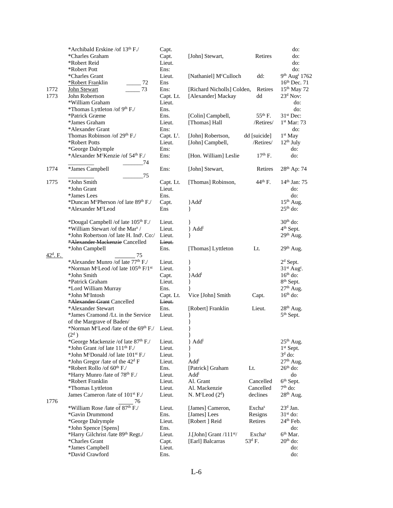|                   | *Archibald Erskine /of 13th F./                                             | Capt.          |                                      |                    | do:                         |
|-------------------|-----------------------------------------------------------------------------|----------------|--------------------------------------|--------------------|-----------------------------|
|                   | *Charles Graham                                                             | Capt.          | [John] Stewart,                      | Retires            | do:                         |
|                   | *Robert Reid                                                                | Lieut.         |                                      |                    | do:                         |
|                   | *Robert Pott                                                                | Ens:           |                                      |                    | do:                         |
|                   | *Charles Grant                                                              | Lieut.         | [Nathaniel] McCulloch                | dd:                | 9th Aug <sup>t</sup> 1762   |
|                   | *Robert Franklin<br>72                                                      | Ens            |                                      |                    | 16th Dec. 71                |
| 1772              | 73<br>John Stewart                                                          | Ens:           | [Richard Nicholls] Colden,           | Retires            | 15 <sup>th</sup> May 72     |
| 1773              | John Robertson                                                              | Capt. Lt.      | [Alexander] Mackay                   | dd                 | $23d$ Nov:                  |
|                   | *William Graham                                                             | Lieut.         |                                      |                    | do:                         |
|                   | *Thomas Lyttleton /of 9 <sup>th</sup> F./                                   | Ens.           |                                      |                    | do:                         |
|                   | *Patrick Græme                                                              | Ens.           | [Colin] Campbell,                    | $55^{th}$ F.       | $31st$ Dec:                 |
|                   | *James Graham                                                               | Lieut.         | [Thomas] Hall                        | /Retires/          | 1st Mar: 73                 |
|                   | *Alexander Grant                                                            | Ens:           |                                      |                    | do:                         |
|                   | Thomas Robinson /of 29th F./                                                | Capt. $L^t$ .  | [John] Robertson,                    | dd [suicide]       | $1st$ May                   |
|                   | *Robert Potts                                                               | Lieut.         | [John] Campbell,                     | /Retires/          | $12th$ July                 |
|                   | *George Dalrymple                                                           | Ens:           |                                      |                    | do:                         |
|                   | *Alexander McKenzie /of 54th F./                                            | Ens:           | [Hon. William] Leslie                | $17th$ F.          | do:                         |
|                   | 74                                                                          |                |                                      |                    |                             |
| 1774              | *James Campbell                                                             | Ens:           | [John] Stewart,                      | Retires            | 28 <sup>th</sup> Ap: 74     |
|                   | 75                                                                          |                |                                      |                    |                             |
| 1775              | *John Smith                                                                 | Capt. Lt.      | [Thomas] Robinson,                   | $44th$ F.          | $14th$ Jan: 75              |
|                   | *John Grant                                                                 | Lieut.         |                                      |                    | do:                         |
|                   | *James Lees                                                                 | Ens.           |                                      |                    | do:                         |
|                   | *Duncan McPherson /of late 89th F./                                         | Capt.          | }Add <sup>1</sup>                    |                    | $15th$ Aug.                 |
|                   | *Alexander M <sup>c</sup> Leod                                              | Ens            | ł                                    |                    | $25th$ do:                  |
|                   |                                                                             |                |                                      |                    |                             |
|                   | *Dougal Campbell /of late 105 <sup>th</sup> F./                             | Lieut.         |                                      |                    | $30th$ do:                  |
|                   | *William Stewart /of the Mar <sup>s</sup> /                                 | Lieut.         | } Add <sup>1</sup>                   |                    | 4 <sup>th</sup> Sept.       |
|                   | *John Robertson /of late H. Ind <sup>t</sup> . Co:/                         | Lieut.         | ł                                    |                    | $29th$ Aug.                 |
|                   | *Alexander Mackenzie Cancelled                                              | Lieut.         |                                      |                    |                             |
|                   | *John Campbell                                                              | Ens.           | [Thomas] Lyttleton                   | Lt.                | 29 <sup>th</sup> Aug.       |
| $42^{\circ}$ . F. | 75                                                                          |                |                                      |                    |                             |
|                   | *Alexander Munro /of late 77 <sup>th</sup> F./                              | Lieut.         | }                                    |                    | $2d$ Sept.                  |
|                   | *Norman McLeod /of late 105th F/1st                                         | Lieut.         | ł                                    |                    | $31st$ Aug <sup>t</sup> .   |
|                   | *John Smith                                                                 | Capt.          | }Add <sup>1</sup>                    |                    | $16th$ do:                  |
|                   | *Patrick Graham                                                             | Lieut.         |                                      |                    | 8 <sup>th</sup> Sept.       |
|                   | *Lord William Murray                                                        | Ens.           |                                      |                    | $27th$ Aug.                 |
|                   | *John M <sup>c</sup> Intosh                                                 | Capt. Lt.      | Vice [John] Smith                    | Capt.              | $16th$ do:                  |
|                   | *Alexander Grant Cancelled                                                  | Lieut.         |                                      |                    |                             |
|                   | *Alexander Stewart                                                          | Ens.           | [Robert] Franklin                    | Lieut.             | 28 <sup>th</sup> Aug.       |
|                   | *James Cramond /Lt. in the Service                                          | Lieut.         |                                      |                    | 5 <sup>th</sup> Sept.       |
|                   | of the Margrave of Baden/                                                   |                |                                      |                    |                             |
|                   | *Norman M <sup>c</sup> Leod /late of the 69 <sup>th</sup> F./               | Lieut.         |                                      |                    |                             |
|                   | $(2^d)$                                                                     |                | }                                    |                    |                             |
|                   | *George Mackenzie /of late 87 <sup>th</sup> F./                             | Lieut.         | $\}$ Add <sup>1</sup>                |                    | $25th$ Aug.<br>$1st$ Sept.  |
|                   | *John Grant /of late $111th$ F./                                            | Lieut.         |                                      |                    | $3d$ do:                    |
|                   | *John M <sup>c</sup> Donald /of late 101 <sup>st</sup> F./                  | Lieut.         | ł                                    |                    |                             |
|                   | *John Gregor /late of the $42d$ F<br>*Robert Rollo /of 60 <sup>th</sup> F./ | Lieut.         | Add <sup>1</sup>                     |                    | $27th$ Aug.                 |
|                   | *Harry Munro /late of 78 <sup>th</sup> F./                                  | Ens.<br>Lieut. | [Patrick] Graham<br>Add <sup>i</sup> | Lt.                | $26th$ do:                  |
|                   | *Robert Franklin                                                            | Lieut.         | Al. Grant                            | Cancelled          | do<br>6 <sup>th</sup> Sept. |
|                   | *Thomas Lyttleton                                                           | Lieut.         | Al. Mackenzie                        | Cancelled          | $7th$ do:                   |
|                   | James Cameron /late of 101 <sup>st</sup> F./                                | Lieut.         | N. M <sup>c</sup> Leod $(2d)$        | declines           | 28 <sup>th</sup> Aug.       |
| 1776              | 76                                                                          |                |                                      |                    |                             |
|                   | *William Rose /late of 87 <sup>th</sup> F./                                 | Lieut.         | [James] Cameron,                     | Exchas             | $23d$ Jan.                  |
|                   | *Gavin Drummond                                                             | Ens.           | [James] Lees                         | Resigns            | $31st$ do:                  |
|                   | *George Dalrymple                                                           | Lieut.         | [Robert] Reid                        | Retires            | $24th$ Feb.                 |
|                   | *John Spence [Spens]                                                        | Ens.           |                                      |                    | do:                         |
|                   | *Harry Gilchrist /late 89th Regt./                                          | Lieut.         | $J$ [John] Grant / $111st$           | Exchas             | 6 <sup>th</sup> Mar.        |
|                   | *Charles Grant                                                              | Capt.          | [Earl] Balcarras                     | 53 <sup>d</sup> F. | $20th$ do:                  |
|                   | *James Campbell                                                             | Lieut.         |                                      |                    | do:                         |
|                   | *David Crawford                                                             | Ens.           |                                      |                    | do:                         |
|                   |                                                                             |                |                                      |                    |                             |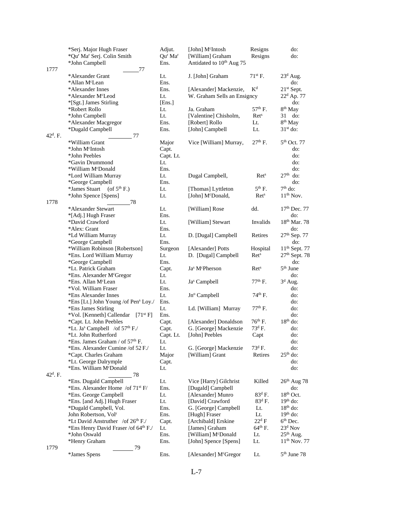|                      | *Serj. Major Hugh Fraser                               | Adjut.                          | [John] M <sup>c</sup> Intosh           | Resigns             | do:                      |
|----------------------|--------------------------------------------------------|---------------------------------|----------------------------------------|---------------------|--------------------------|
|                      | *Qu' Ma' Serj. Colin Smith                             | Qu <sup>r</sup> Ma <sup>r</sup> | [William] Graham                       | Resigns             | do:                      |
|                      | *John Campbell                                         | Ens.                            | Antidated to 10 <sup>th</sup> Aug 75   |                     |                          |
| 1777                 | 77                                                     |                                 |                                        |                     |                          |
|                      | *Alexander Grant                                       | Lt.                             | J. [John] Graham                       | $71st$ F.           | $23d$ Aug.               |
|                      | *Allan M <sup>c</sup> Lean                             | Ens.                            |                                        |                     | do:                      |
|                      | *Alexander Innes                                       | Ens.                            | [Alexander] Mackenzie,                 | $K^d$               | $21st$ Sept.             |
|                      |                                                        |                                 |                                        |                     |                          |
|                      | *Alexander M <sup>c</sup> Leod                         | Lt.                             | W. Graham Sells an Ensigncy            |                     | $22^d$ Ap. 77            |
|                      | *[Sgt.] James Stirling                                 | [Ens.]                          |                                        |                     | do:                      |
|                      | *Robert Rollo                                          | Lt.                             | Ja. Graham                             | 57 <sup>th</sup> F. | 8 <sup>th</sup> May      |
|                      | *John Campbell                                         | Lt.                             | [Valentine] Chisholm,                  | Ret <sup>s</sup>    | 31<br>do:                |
|                      | *Alexander Macgregor                                   | Ens.                            | [Robert] Rollo                         | Lt.                 | 8 <sup>th</sup> May      |
|                      | *Dugald Campbell                                       | Ens.                            | [John] Campbell                        | Lt.                 | $31st$ do:               |
| 42 <sup>d</sup> . F. | 77                                                     |                                 |                                        |                     |                          |
|                      | *William Grant                                         | Major                           | Vice [William] Murray,                 | $27th$ F.           | $5th$ Oct. 77            |
|                      | *John M <sup>c</sup> Intosh                            | Capt.                           |                                        |                     | do:                      |
|                      | *John Peebles                                          | Capt. Lt.                       |                                        |                     | do:                      |
|                      | *Gavin Drummond                                        | Lt.                             |                                        |                     | do:                      |
|                      | *William M <sup>c</sup> Donald                         | Ens.                            |                                        |                     | do:                      |
|                      |                                                        |                                 |                                        |                     | $27th$ do:               |
|                      | *Lord William Murray                                   | Lt.                             | Dugal Campbell,                        | Ret <sup>s</sup>    |                          |
|                      | *George Campbell                                       | Ens.                            |                                        |                     | do:                      |
|                      | *James Stuart<br>(of $5^{th}$ F.)                      | Lt.                             | [Thomas] Lyttleton                     | $5^{\text{th}}$ F.  | $7th$ do:                |
|                      | *John Spence [Spens]                                   | Lt.                             | [John] McDonald,                       | Ret <sup>s</sup>    | $11th$ Nov.              |
| 1778                 | 78                                                     |                                 |                                        |                     |                          |
|                      | *Alexander Stewart                                     | Lt.                             | [William] Rose                         | dd.                 | $17th$ Dec. 77           |
|                      | *[Adj.] Hugh Fraser                                    | Ens.                            |                                        |                     | do:                      |
|                      | *David Crawford                                        | Lt.                             | [William] Stewart                      | Invalids            | 18 <sup>th</sup> Mar. 78 |
|                      | *Alex: Grant                                           | Ens.                            |                                        |                     | do:                      |
|                      | *Ld William Murray                                     | Lt.                             | D. [Dugal] Campbell                    | Retires             | 27th Sep. 77             |
|                      | *George Campbell                                       | Ens.                            |                                        |                     | do:                      |
|                      | *William Robinson [Robertson]                          | Surgeon                         | [Alexander] Potts                      | Hospital            | $11th$ Sept. 77          |
|                      |                                                        |                                 |                                        |                     |                          |
|                      | *Ens. Lord William Murray                              | Lt.                             | D. [Dugal] Campbell                    | Ret <sup>s</sup>    | $27th$ Sept. 78          |
|                      | *George Campbell                                       | Ens.                            |                                        |                     | do:                      |
|                      | *Lt. Patrick Graham                                    | Capt.                           | Ja <sup>s</sup> M <sup>c</sup> Pherson | Ret <sup>s</sup>    | $5^{\rm th}$ June        |
|                      | *Ens. Alexander McGregor                               | Lt.                             |                                        |                     | do:                      |
|                      | *Ens. Allan M <sup>c</sup> Lean                        | Lt.                             | Ja <sup>s</sup> Campbell               | $77th$ F.           | $3d$ Aug.                |
|                      | *Vol. William Fraser                                   | Ens.                            |                                        |                     | do:                      |
|                      | *Ens Alexander Innes                                   | Lt.                             | Jnº Campbell                           | 74 <sup>th</sup> F. | do:                      |
|                      | *Ens [Lt.] John Young /of Pen <sup>s</sup> Loy./       | Ens.                            |                                        |                     | do:                      |
|                      | *Ens James Stirling                                    | Lt.                             | Ld. [William] Murray                   | 77 <sup>th</sup> F. | do:                      |
|                      | *Vol. [Kenneth] Callendar [71 <sup>st</sup> F]         | Ens.                            |                                        |                     | do:                      |
|                      | *Capt. Lt. John Peebles                                | Capt.                           | [Alexander] Donaldson                  | $76th$ F.           | $18th$ do:               |
|                      |                                                        |                                 | G. [George] Mackenzie                  | $73d$ F.            |                          |
|                      | *Lt. Ja <sup>s</sup> Campbell /of 57 <sup>th</sup> F./ | Capt.                           |                                        |                     | do:                      |
|                      | *Lt. John Rutherford                                   | Capt. Lt.                       | [John] Peebles                         | Capt                | do:                      |
|                      | *Ens. James Graham / of 57 <sup>th</sup> F.            | Lt.                             |                                        |                     | do:                      |
|                      | *Ens. Alexander Cumine /of 52 F./                      | Lt.                             | G. [George] Mackenzie                  | $73^{\rm d}$ F.     | do:                      |
|                      | *Capt. Charles Graham                                  | Major                           | [William] Grant                        | Retires             | $25th$ do:               |
|                      | *Lt. George Dalrymple                                  | Capt.                           |                                        |                     | do:                      |
|                      | *Ens. William M <sup>c</sup> Donald                    | Lt.                             |                                        |                     | do:                      |
| 42 <sup>d</sup> . F. | 78                                                     |                                 |                                        |                     |                          |
|                      | *Ens. Dugald Campbell                                  | Lt.                             | Vice [Harry] Gilchrist                 | Killed              | $26th$ Aug 78            |
|                      | *Ens. Alexander Home /of 71 <sup>st</sup> F/           | Ens.                            | [Dugald] Campbell                      |                     | do:                      |
|                      | *Ens. George Campbell                                  | Lt.                             | [Alexander] Munro                      | $83^d$ F.           | $18th$ Oct.              |
|                      |                                                        | Lt.                             | [David] Crawford                       | $83d$ F.            | $19th$ do:               |
|                      | *Ens. [and Adj.] Hugh Fraser                           |                                 |                                        |                     | $18th$ do:               |
|                      | *Dugald Campbell, Vol.                                 | Ens.                            | G. [George] Campbell                   | Lt.                 |                          |
|                      | John Robertson, Vol <sup>r</sup>                       | Ens.                            | [Hugh] Fraser                          | Lt.                 | $19th$ do:               |
|                      | *Lt David Anstruther /of 26th F./                      | Capt.                           | [Archibald] Erskine                    | $22^d$ F            | 6 <sup>th</sup> Dec.     |
|                      | *Ens Henry David Fraser /of 64th F./                   | Lt.                             | [James] Graham                         | $64^{th}$ F.        | $23d$ Nov                |
|                      | *John Oswald                                           | Ens.                            | [William] McDonald                     | Lt.                 | $25th$ Aug.              |
|                      | *Henry Graham                                          | Ens.                            | [John] Spence [Spens]                  | Lt.                 | $11^{th}$ Nov. 77        |
| 1779                 | 79                                                     |                                 |                                        |                     |                          |
|                      | *James Spens                                           | Ens.                            | [Alexander] M <sup>c</sup> Gregor      | Lt.                 | 5 <sup>th</sup> June 78  |
|                      |                                                        |                                 |                                        |                     |                          |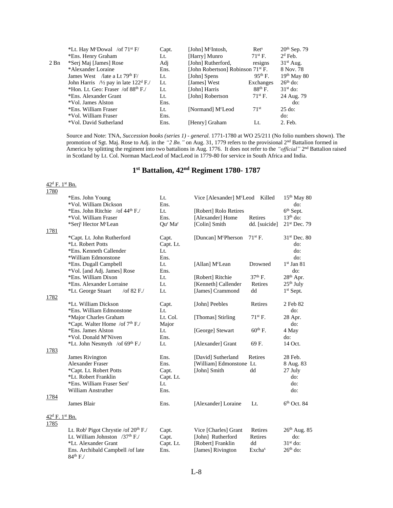|        | *Lt. Hay M <sup>c</sup> Dowal /of $71^{st}$ F/               | Capt. | [John] M <sup>c</sup> Intosh,                 | $\rm{Ret}^s$     | 20 <sup>th</sup> Sep. 79 |
|--------|--------------------------------------------------------------|-------|-----------------------------------------------|------------------|--------------------------|
|        | *Ens. Henry Graham                                           | Lt.   | [Harry] Munro                                 | $71st$ F.        | $2d$ Feb.                |
| $2$ Bn | *Serj Maj [James] Rose                                       | Adi   | [John] Rutherford,                            | resigns          | $31st$ Aug.              |
|        | *Alexander Loraine                                           | Ens.  | [John Robertson] Robinson 71 <sup>st</sup> F. |                  | 8 Nov. 78                |
|        | James West / late a Lt $79th$ F/                             | Lt.   | [John] Spens                                  | $95th$ F.        | $19th$ May 80            |
|        | John Harris / $\frac{1}{2}$ pay in late 122 <sup>d</sup> F./ | Lt.   | [James] West                                  | Exchanges        | $26th$ do:               |
|        | *Hon. Lt. Geo: Fraser /of $88th$ F./                         | Lt.   | [John] Harris                                 | $88th$ F.        | $31st$ do:               |
|        | *Ens. Alexander Grant                                        | Lt.   | [John] Robertson                              | $71st$ F.        | 24 Aug. 79               |
|        | *Vol. James Alston                                           | Ens.  |                                               |                  | do:                      |
|        | *Ens. William Fraser                                         | Lt.   | [Normand] M <sup>c</sup> Leod                 | 71 <sup>st</sup> | $25$ do:                 |
|        | *Vol. William Fraser                                         | Ens.  |                                               |                  | do:                      |
|        | *Vol. David Sutherland                                       | Ens.  | [Henry] Graham                                | Lt.              | 2. Feb.                  |
|        |                                                              |       |                                               |                  |                          |

Source and Note: TNA, *Succession books (series 1) - general.* 1771-1780 at WO 25/211 (No folio numbers shown). The promotion of Sgt. Maj. Rose to Adj. in the *"2 Bn."* on Aug. 31, 1779 refers to the provisional 2nd Battalion formed in America by splitting the regiment into two battalions in Aug. 1776. It does not refer to the "*official*" 2<sup>nd</sup> Battalion raised in Scotland by Lt. Col. Norman MacLeod of MacLeod in 1779-80 for service in South Africa and India.

# **1 st Battalion, 42nd Regiment 1780- 1787**

| 42 <sup>d</sup> F. 1st Bn. |                                                              |                                 |                                |                           |                          |
|----------------------------|--------------------------------------------------------------|---------------------------------|--------------------------------|---------------------------|--------------------------|
| 1780                       |                                                              |                                 |                                |                           |                          |
|                            | *Ens. John Young                                             | Lt.                             | Vice [Alexander] McLeod Killed |                           | $15th$ May 80            |
|                            | *Vol. William Dickson                                        | Ens.                            |                                |                           | do:                      |
|                            | *Ens. John Ritchie /of 44 <sup>th</sup> F./                  | Lt.                             | [Robert] Rolo Retires          |                           | 6 <sup>th</sup> Sept.    |
|                            | *Vol. William Fraser                                         | Ens.                            | [Alexander] Home               | Retires                   | $13th$ do:               |
|                            | *Serj <sup>t</sup> Hector M <sup>c</sup> Lean                | Qu <sup>r</sup> Ma <sup>r</sup> | [Colin] Smith                  | dd. [suicide]             | $21st$ Dec. 79           |
| 1781                       |                                                              |                                 |                                |                           |                          |
|                            | *Capt. Lt. John Rutherford                                   | Capt.                           | [Duncan] McPherson             | $71st$ F.                 | 31 <sup>st</sup> Dec. 80 |
|                            | *Lt. Robert Potts                                            | Capt. Lt.                       |                                |                           | do:                      |
|                            | *Ens. Kenneth Callender                                      | Lt.                             |                                |                           | do:                      |
|                            | *William Edmonstone                                          | Ens.                            |                                |                           | do:                      |
|                            | *Ens. Dugall Campbell                                        | Lt.                             | [Allan] M <sup>c</sup> Lean    | Drowned                   | $1st$ Jan 81             |
|                            | *Vol. [and Adj. James] Rose                                  | Ens.                            |                                |                           | do:                      |
|                            | *Ens. William Dixon                                          | Lt.                             | [Robert] Ritchie               | $37th$ F.                 | 28 <sup>th</sup> Apr.    |
|                            | *Ens. Alexander Lorraine                                     | Lt.                             | [Kenneth] Callender            | Retires                   | $25th$ July              |
|                            | /of 82 F./<br>*Lt. George Stuart                             | Lt.                             | [James] Crammond               | dd                        | $1st$ Sept.              |
| 1782                       |                                                              |                                 |                                |                           |                          |
|                            | *Lt. William Dickson<br>*Ens. William Edmonstone             | Capt.                           | [John] Peebles                 | Retires                   | 2 Feb 82                 |
|                            | *Major Charles Graham                                        | Lt.<br>Lt. Col.                 |                                | $71^{st}$ F.              | do:                      |
|                            | *Capt. Walter Home /of 7 <sup>th</sup> F./                   |                                 | [Thomas] Stirling              |                           | 28 Apr.                  |
|                            | *Ens. James Alston                                           | Major<br>Lt.                    | [George] Stewart               | $60th$ F.                 | do:<br>4 May             |
|                            | *Vol. Donald M <sup>c</sup> Niven                            | Ens.                            |                                |                           | do:                      |
|                            | *Lt. John Nesmyth /of 69th F./                               | Lt.                             | [Alexander] Grant              | 69 F.                     | 14 Oct.                  |
| 1783                       |                                                              |                                 |                                |                           |                          |
|                            | James Rivington                                              | Ens.                            | [David] Sutherland             | Retires                   | 28 Feb.                  |
|                            | Alexander Fraser                                             | Ens.                            | [William] Edmonstone Lt.       |                           | 8 Aug. 83                |
|                            | *Capt. Lt. Robert Potts                                      | Capt.                           | [John] Smith                   | dd                        | 27 July                  |
|                            | *Lt. Robert Franklin                                         | Capt. Lt.                       |                                |                           | do:                      |
|                            | *Ens. William Fraser Sen <sup>r</sup>                        | Lt.                             |                                |                           | do:                      |
|                            | William Anstruther                                           | Ens.                            |                                |                           | do:                      |
| 1784                       |                                                              |                                 |                                |                           |                          |
|                            | James Blair                                                  | Ens.                            | [Alexander] Loraine            | Lt.                       | $6th$ Oct. 84            |
| 42 <sup>d</sup> F. 1st Bn. |                                                              |                                 |                                |                           |                          |
| 1785                       |                                                              |                                 |                                |                           |                          |
|                            | Lt. Rob <sup>t</sup> Pigot Chrystie /of 20 <sup>th</sup> F./ | Capt.                           | Vice [Charles] Grant           | Retires                   | $26th$ Aug. 85           |
|                            | Lt. William Johnston $/37th$ F./                             | Capt.                           | [John] Rutherford              | Retires                   | do:                      |
|                            | *Lt. Alexander Grant                                         | Capt. Lt.                       | [Robert] Franklin              | dd                        | $31st$ do:               |
|                            | Ens. Archibald Campbell /of late                             | Ens.                            | [James] Rivington              | <b>Excha</b> <sup>s</sup> | $26th$ do:               |
|                            | $84^{\text{th}}$ F./                                         |                                 |                                |                           |                          |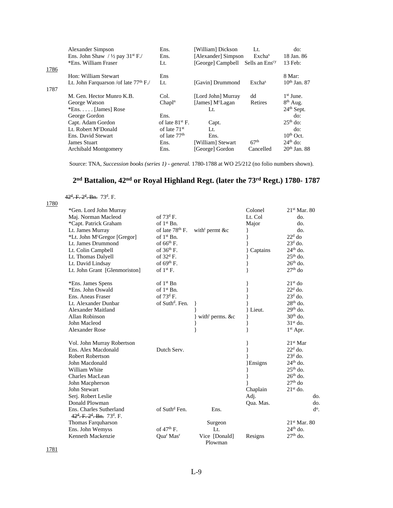| Alexander Simpson                                      | Ens.                     | [William] Dickson            | Lt.                        | do:                    |
|--------------------------------------------------------|--------------------------|------------------------------|----------------------------|------------------------|
| Ens. John Shaw / $\frac{1}{2}$ pay 31 <sup>st</sup> F. | Ens.                     |                              | Excha <sup>s</sup>         | 18 Jan. 86             |
| *Ens. William Fraser                                   | Lt.                      | [George] Campbell            | Sells an Ens <sup>cy</sup> | 13 Feb:                |
|                                                        |                          |                              |                            |                        |
| Hon: William Stewart                                   | Ens                      |                              |                            | 8 Mar:                 |
| Lt. John Farquarson / of late $77th$ F./               | Lt.                      | [Gavin] Drummond             | Exchas                     | $10th$ Jan. 87         |
|                                                        |                          |                              |                            |                        |
| M. Gen. Hector Munro K.B.                              | Col.                     | [Lord John] Murray           | dd                         | 1 <sup>st</sup> June.  |
| George Watson                                          | Chapl <sup>n</sup>       | [James] M <sup>c</sup> Lagan | Retires                    | $8th$ Aug.             |
| $*Ens. \ldots$ [James] Rose                            |                          | Lt.                          |                            | 24 <sup>th</sup> Sept. |
| George Gordon                                          | Ens.                     |                              |                            | do:                    |
| Capt. Adam Gordon                                      | of late $81^{st}$ F.     | Capt.                        |                            | $25th$ do:             |
| Lt. Robert M <sup>c</sup> Donald                       | of late $71st$           | Lt.                          |                            | do:                    |
| Ens. David Stewart                                     | of late 77 <sup>th</sup> | Ens.                         |                            | $10th$ Oct.            |
| <b>James Stuart</b>                                    | Ens.                     | [William] Stewart            | 67 <sup>th</sup>           | $24th$ do:             |
| <b>Archibald Montgomery</b>                            | Ens.                     | [George] Gordon              | Cancelled                  | $20th$ Jan. 88         |
|                                                        |                          |                              |                            | [Alexander] Simpson    |

Source: TNA, *Succession books (series 1) - general.* 1780-1788 at WO 25/212 (no folio numbers shown).

# **2 nd Battalion, 42nd or Royal Highland Regt. (later the 73rd Regt.) 1780- 1787**

42<sup>d</sup>. F. 2<sup>d</sup>. Bn. 73<sup>d</sup>. F.

| 1780 |                                                                                           |                             |                  |           |                |
|------|-------------------------------------------------------------------------------------------|-----------------------------|------------------|-----------|----------------|
|      | *Gen. Lord John Murray                                                                    |                             |                  | Colonel   | $21st$ Mar. 80 |
|      | Maj. Norman Macleod                                                                       | of $73^{\text{d}}$ F.       |                  | Lt. Col   | do.            |
|      | *Capt. Patrick Graham                                                                     | of $1st$ Bn.                |                  | Major     | do.            |
|      | Lt. James Murray                                                                          | of late 78 <sup>th</sup> F. | with permt $&c$  |           | do.            |
|      | *Lt. John McGregor [Gregor]                                                               | of $1st$ Bn.                |                  |           | $22d$ do       |
|      | Lt. James Drummond                                                                        | of $66th$ F.                |                  |           | $23d$ do.      |
|      | Lt. Colin Campbell                                                                        | of $36th$ F.                |                  | Captains  | $24th$ do.     |
|      | Lt. Thomas Dalyell                                                                        | of $32^d$ F.                |                  |           | $25th$ do.     |
|      | Lt. David Lindsay                                                                         | of $69th$ F.                |                  |           | $26th$ do.     |
|      | Lt. John Grant [Glenmoriston]                                                             | of $1st$ F.                 |                  |           | $27th$ do      |
|      | *Ens. James Spens                                                                         | of $1st$ Bn                 |                  |           | $21st$ do      |
|      | *Ens. John Oswald                                                                         | of $1st$ Bn.                |                  |           | $22d$ do.      |
|      | Ens. Aneas Fraser                                                                         | of $73^{\text{d}}$ F.       |                  |           | $23d$ do.      |
|      | Lt. Alexander Dunbar                                                                      | of Suth <sup>d</sup> . Fen. |                  |           | $28th$ do.     |
|      | <b>Alexander Maitland</b>                                                                 |                             |                  | } Lieut.  | $29th$ do.     |
|      | Allan Robinson                                                                            |                             | with perms. $&c$ |           | $30th$ do.     |
|      | John Macleod                                                                              |                             |                  |           | $31st$ do.     |
|      | <b>Alexander Rose</b>                                                                     |                             |                  |           | $1st$ Apr.     |
|      | Vol. John Murray Robertson                                                                |                             |                  |           | $21st$ Mar     |
|      | Ens. Alex Macdonald                                                                       | Dutch Serv.                 |                  |           | $22d$ do.      |
|      | Robert Robertson                                                                          |                             |                  |           | $23d$ do.      |
|      | John Macdonald                                                                            |                             |                  | Ensigns   | $24th$ do.     |
|      | William White                                                                             |                             |                  |           | $25th$ do.     |
|      | Charles MacLean                                                                           |                             |                  |           | $26th$ do.     |
|      | John Macpherson                                                                           |                             |                  |           | $27th$ do      |
|      | <b>John Stewart</b>                                                                       |                             |                  | Chaplain  | $21st$ do.     |
|      | Serj. Robert Leslie                                                                       |                             |                  | Adj.      | do.            |
|      | Donald Plowman                                                                            |                             |                  | Qua. Mas. | do.            |
|      | Ens. Charles Sutherland<br>$42^{\text{d}}$ , F, $2^{\text{d}}$ , Bn, $73^{\text{d}}$ , F, | of Suth <sup>d</sup> Fen.   | Ens.             |           | $d^o$ .        |
|      | Thomas Farquharson                                                                        |                             | Surgeon          |           | $21st$ Mar. 80 |
|      | Ens. John Wemyss                                                                          | of $47th$ F.                | Lt.              |           | $24th$ do.     |
|      | Kenneth Mackenzie                                                                         | Quar Mas <sup>r</sup>       | Vice [Donald]    | Resigns   | $27th$ do.     |
|      |                                                                                           |                             | Plowman          |           |                |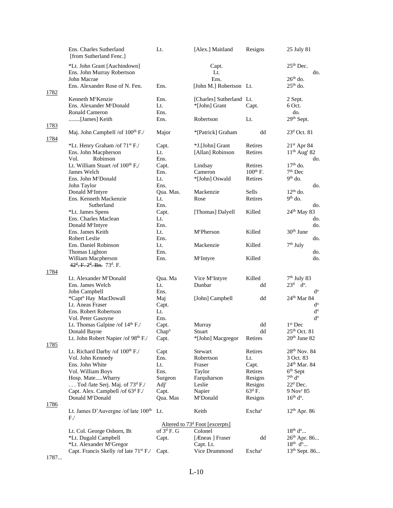|             | Ens. Charles Sutherland<br>[from Sutherland Fenc.]                          | Lt.               | [Alex.] Maitland                           | Resigns         | 25 July 81                                 |
|-------------|-----------------------------------------------------------------------------|-------------------|--------------------------------------------|-----------------|--------------------------------------------|
|             | *Lt. John Grant [Auchindown]<br>Ens. John Murray Robertson<br>John Macrae   |                   | Capt.<br>Lt.<br>Ens.                       |                 | $25th$ Dec.<br>do.<br>$26th$ do.           |
|             | Ens. Alexander Rose of N. Fen.                                              | Ens.              | [John M.] Robertson Lt.                    |                 | $25th$ do.                                 |
| 1782        |                                                                             |                   |                                            |                 |                                            |
|             | Kenneth McKenzie                                                            | Ens.              | [Charles] Sutherland Lt.                   |                 | 2 Sept.                                    |
|             | Ens. Alexander McDonald                                                     | Lt.               | *[John] Grant                              | Capt.           | 6 Oct.                                     |
|             | Ronald Cameron                                                              | Ens.              |                                            |                 | do.                                        |
|             | [James] Keith                                                               | Ens.              | Robertson                                  | Lt.             | 29th Sept.                                 |
| 1783        | Maj. John Campbell /of 100 <sup>th</sup> F./                                | Major             | *[Patrick] Graham                          | dd              | $23d$ Oct. 81                              |
| 1784        | *Lt. Henry Graham /of 71 <sup>st</sup> F./                                  | Capt.             | *J.[John] Grant                            | Retires         | $21st$ Apr 84                              |
|             | Ens. John Macpherson                                                        | Lt.               | [Allan] Robinson                           | Retires         | $11th$ Aug <sup>t</sup> 82                 |
|             | Robinson<br>Vol.                                                            | Ens.              |                                            |                 | do.                                        |
|             | Lt. William Stuart /of 100 <sup>th</sup> F,/                                | Capt.             | Lindsay                                    | Retires         | $17th$ do.                                 |
|             | James Welch                                                                 | Ens.              | Cameron                                    | $100th$ F.      | $7th$ Dec                                  |
|             | Ens. John McDonald                                                          | Lt.               | *[John] Oswald                             | Retires         | $9th$ do.                                  |
|             | John Taylor                                                                 | Ens.              |                                            |                 | do.                                        |
|             | Donald McIntyre                                                             | Qua. Mas.         | Mackenzie                                  | Sells           | $12th$ do.                                 |
|             | Ens. Kenneth Mackenzie                                                      | Lt.               | Rose                                       | Retires         | $9th$ do.                                  |
|             | Sutherland                                                                  | Ens.              |                                            |                 | do.                                        |
|             | *Lt. James Spens                                                            | Capt.             | [Thomas] Dalyell                           | Killed          | $24th$ May 83                              |
|             | Ens. Charles Maclean                                                        | Lt.               |                                            |                 | do.                                        |
|             | Donald M <sup>c</sup> Intyre                                                | Ens.              |                                            |                 | do.                                        |
|             | Ens. James Keith                                                            | Lt.               | McPherson                                  | Killed          | 30 <sup>th</sup> June                      |
|             | Robert Leslie                                                               | Ens.              |                                            |                 | do.                                        |
|             | Ens. Daniel Robinson                                                        | Lt.               | Mackenzie                                  | Killed          | $7th$ July                                 |
|             | Thomas Lighton<br>William Macpherson<br>$42^d$ , F, $2^d$ , Bn, $73^d$ , F, | Ens.<br>Ens.      | M <sup>c</sup> Intyre                      | Killed          | do.<br>do.                                 |
| 1784        |                                                                             |                   |                                            |                 |                                            |
|             | Lt. Alexander M <sup>c</sup> Donald                                         | Qua. Ma           | Vice M <sup>c</sup> Intyre                 | Killed          | $7th$ July 83                              |
|             | Ens. James Welch                                                            | Lt.               | Dunbar                                     | dd              | $23d$ d <sup>o</sup> .                     |
|             | John Campbell                                                               | Ens.              |                                            |                 | $d^{\rm o}$                                |
|             | *Capt <sup>n</sup> Hay MacDowall                                            | Maj               | [John] Campbell                            | dd              | $24th$ Mar 84                              |
|             | Lt. Aneas Fraser                                                            | Capt.             |                                            |                 | $\mathrm{d}^{\mathrm{o}}$                  |
|             | Ens. Robert Robertson                                                       | Lt.               |                                            |                 | $\mathrm{d}^{\mathrm{o}}$                  |
|             | Vol. Peter Gasoyne                                                          | Ens.              |                                            |                 | $d^{\rm o}$                                |
|             | Lt. Thomas Galpine /of 14 <sup>th</sup> F./                                 | Capt.             | Murray                                     | dd              | $1st$ Dec                                  |
|             | Donald Bayne                                                                | Chap <sup>n</sup> | Stuart                                     | dd              | $25th$ Oct. 81<br>20 <sup>th</sup> June 82 |
| <u>1785</u> | Lt. John Robert Napier /of 98th F./                                         | Capt.             | *[John] Macgregor                          | Retires         |                                            |
|             | Lt. Richard Darby /of $100th$ F./                                           | Capt              | Stewart                                    | Retires         | $28th$ Nov. 84                             |
|             | Vol. John Kennedy                                                           | Ens.              | Robertson                                  | Lt.             | 3 Oct. 83                                  |
|             | Ens. John White                                                             | Lt.               | Fraser                                     | Capt.           | $24th$ Mar. 84                             |
|             | Vol. William Boys                                                           | Ens.              | Taylor                                     | Retires         | $6th$ Sept                                 |
|             | Hosp. MateWharry                                                            | Surgeon           | Farquharson                                | Resigns         | 7 <sup>th</sup> d <sup>o</sup>             |
|             | Tod /late Serj. Maj. of $73d$ F./                                           | Adj <sup>t</sup>  | Leslie                                     | Resigns         | $22d$ Dec.                                 |
|             | Capt. Alex. Campbell /of 63 <sup>d</sup> F./                                | Capt.             | Napier                                     | $63^{\rm d}$ F. | 9 Nov <sup>r</sup> 85                      |
|             | Donald McDonald                                                             | Qua. Mas          | McDonald                                   | Resigns         | $16th do$ .                                |
| 1786        |                                                                             |                   |                                            |                 |                                            |
|             | Lt. James D'Auvergne / of late $100th$ Lt.<br>F/                            |                   | Keith                                      | Exchas          | $12th$ Apr. 86                             |
|             |                                                                             |                   | Altered to 73 <sup>d</sup> Foot [excerpts] |                 |                                            |
|             | Lt. Col. George Osborn, Bt                                                  | of $3^d$ F. G     | Colonel                                    |                 | $18^{th}$ d <sup>o</sup>                   |
|             | *Lt. Dugald Campbell                                                        | Capt.             | [Æneas] Fraser                             | dd              | $26^{th}$ Apr. 86                          |
|             | *Lt. Alexander M <sup>c</sup> Gregor                                        |                   | Capt. Lt.                                  |                 | $18^{th}$ d <sup>o</sup>                   |
| 1707        | Capt. Francis Skelly / of late 71 <sup>st</sup> F./                         | Capt.             | Vice Drummond                              | Exchas          | 13 <sup>th</sup> Sept. 86                  |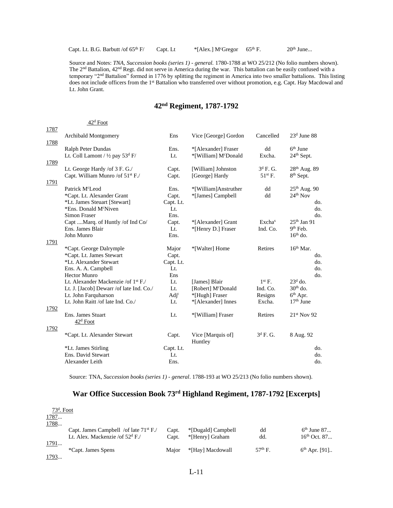Capt. Lt. B.G. Barbutt /of  $65<sup>th</sup>$  F/ Capt. Lt  $*$ [Alex.] M<sup>c</sup>Gregor  $65<sup>th</sup>$  F. 20<sup>th</sup> June...

Source and Notes: *TNA, Succession books (series 1) - general.* 1780-1788 at WO 25/212 (No folio numbers shown). The 2nd Battalion, 42nd Regt. did not serve in America during the war. This battalion can be easily confused with a temporary " $2<sup>nd</sup>$  Battalion" formed in 1776 by splitting the regiment in America into two smaller battalions. This listing does not include officers from the 1<sup>st</sup> Battalion who transferred over without promotion, e.g. Capt. Hay Macdowal and Lt. John Grant.

### **42nd Regiment, 1787-1792**

#### 42<sup>d</sup> Foot 1787 Archibald Montgomery **Ens** Vice [George] Gordon Cancelled  $23<sup>d</sup>$  June 88 1788 Ralph Peter Dundas Ens. \*[Alexander] Fraser dd  $6<sup>th</sup>$  June Lt. Coll Lamont /  $\frac{1}{2}$  pay 53<sup>d</sup> F/ Lt. \* [William] M<sup>c</sup>Donald Excha. 24<sup>th</sup> Sept. 1789 Lt. George Hardy /of  $3$  F. G./ Capt. [William] Johnston  $3^d$  F. G.  $28<sup>th</sup>$  Aug. 89 Capt. William Munro /of  $51^{st}$  F./ Capt. [George] Hardy 51<sup>st</sup> F. 8<sup>th</sup> Sept. 1791 Patrick M<sup>c</sup>Leod Ens. \*[William]Anstruther dd  $25<sup>th</sup>$  Aug. 90 \*Capt. Lt. Alexander Grant Capt. \*[James] Campbell dd 24th Nov \*Lt. James Steuart [Stewart] Capt. Lt. do. \*Ens. Donald M<sup>c</sup>Niven Lt. do. Simon Fraser Ens. do.<br>
Capt ....Marq. of Huntly /of Ind Co/ Capt. \*[Alexander] Grant Excha<sup>s</sup> 25<sup>th</sup> Jan 91 Capt ....Marq. of Huntly /of Ind Co/ Capt. \*[Alexander] Grant Excha<sup>s</sup><br>Ens. James Blair Lt. \*[Henry D.] Fraser Ind. Co. Lt. \*[Henry D.] Fraser 9<sup>th</sup> Feb. John Munro **Ens.** Ens. 2008 Ens. 2008 Ens. 2008 Ens. 2008 Ens. 2008 Ens. 2008 Ens. 2008 Ens. 2008 Ens. 2008 Ens. 2008 Ens. 2008 Ens. 2008 Ens. 2008 Ens. 2008 Ens. 2008 Ens. 2008 Ens. 2008 Ens. 2008 Ens. 2008 Ens. 2008 Ens. 1791 \*Capt. George Dalrymple Major \*[Walter] Home Retires 16th Mar. \*Capt. Lt. James Stewart Capt. do. \*Lt. Alexander Stewart Capt. Lt. do. Ens. A. A. Campbell Lt. do. 2004. The contract of the contract of the contract of the contract of the contract of the contract of the contract of the contract of the contract of the contract of the contract of the contract Hector Munro **Ens** do.<br>
Let. Alexander Mackenzie /of 1<sup>st</sup> F. Lt. [James] Blair 1<sup>st</sup> F. 23<sup>d</sup> do. Lt. Alexander Mackenzie /of 1<sup>st</sup> F./ Lt. [James] Blair Lt. J. [Jacob] Dewarr /of late Ind. Co./ Lt. [Robert] M<sup>c</sup>Donald  $23<sup>d</sup>$  do.<br>30<sup>th</sup> do. Lt. J. [Jacob] Dewarr /of late Ind. Co./ Lt. [Robert] M<sup>c</sup>Donald Ind. Co. Lt. John Farquharson **Adj'** \*[Hugh] Fraser Resigns  $6<sup>th</sup>$  Apr. Lt. John Raitt /of late Ind. Co./ Lt. \*[Alexander] Innes Excha. 17<sup>th</sup> June 1792 Ens. James Stuart **Lt.** \*[William] Fraser Retires 21<sup>st</sup> Nov 92 42<sup>d</sup> Foot 1792 \*Capt. Lt. Alexander Stewart Capt. Vice [Marquis of] Huntley  $3^d$  F. G. 8 Aug. 92 \*Lt. James Stirling Capt. Lt. do. Ens. David Stewart Lt. do. Alexander Leith Ens. Ens. Ens. Alexander Leith do.

Source: TNA, *Succession books (series 1) - general*. 1788-193 at WO 25/213 (No folio numbers shown).

#### **War Office Succession Book 73rd Highland Regiment, 1787-1792 [Excerpts]**

| $73d$ . Foot                                |       |                    |           |                   |
|---------------------------------------------|-------|--------------------|-----------|-------------------|
|                                             |       |                    |           |                   |
|                                             |       |                    |           |                   |
| Capt. James Campbell /of late $71^{st}$ F./ | Capt. | *[Dugald] Campbell | dd        | $6th$ June 87     |
| Lt. Alex. Mackenzie /of $52d$ F./           | Capt. | *[Henry] Graham    | dd.       | $16^{th}$ Oct. 87 |
|                                             |       |                    |           |                   |
| *Capt. James Spens                          | Maior | *[Hay] Macdowall   | $57th$ F. | $6th$ Apr. [91]   |
|                                             |       |                    |           |                   |
|                                             |       |                    |           |                   |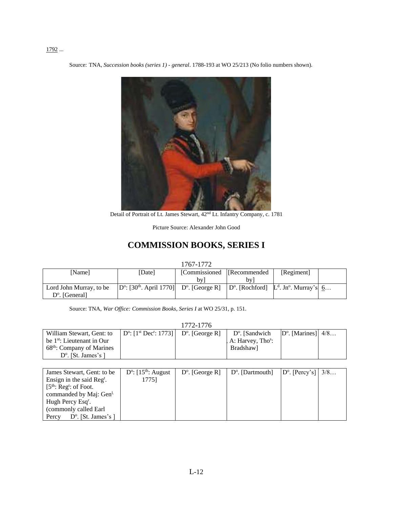### 1792 ...

Source: TNA, *Succession books (series 1) - general*. 1788-193 at WO 25/213 (No folio numbers shown).



Detail of Portrait of Lt. James Stewart, 42<sup>nd</sup> Lt. Infantry Company, c. 1781

Picture Source: Alexander John Good

# **COMMISSION BOOKS, SERIES I**

1767-1772

| [Name]                  | [Date]                                                        | [Commissioned   [Recommended] |                                                    | [Regiment] |  |
|-------------------------|---------------------------------------------------------------|-------------------------------|----------------------------------------------------|------------|--|
|                         |                                                               | bv l                          | hv I                                               |            |  |
| Lord John Murray, to be | $ D^{\circ}: [30^{th}, April 1770] $ $D^{\circ}$ . [George R] |                               | $[D^{\circ}]$ . [Rochford] $L^d$ . Jn°. Murray's 6 |            |  |
| $D^{\circ}$ . [General] |                                                               |                               |                                                    |            |  |

Source: TNA, *War Office: Commission Books, Series I* at WO 25/31, p. 151.

|                                        |                                                             | 1772-1776 |                                 |                             |  |
|----------------------------------------|-------------------------------------------------------------|-----------|---------------------------------|-----------------------------|--|
| William Stewart, Gent: to              | $ D^{\circ}: [1^{st}Dec^{r}: 1773]   D^{\circ}.$ [George R] |           | $D^{\circ}$ . [Sandwich]        | $D^{\circ}$ . [Marines] 4/8 |  |
| be 1 <sup>st</sup> : Lieutenant in Our |                                                             |           | $A:$ Harvey, Tho <sup>s</sup> : |                             |  |
| 68 <sup>th</sup> : Company of Marines  |                                                             |           | Bradshaw]                       |                             |  |
| $D^{\circ}$ . [St. James's ]           |                                                             |           |                                 |                             |  |

| James Stewart, Gent: to be           | $D^{\circ}$ : [15 <sup>th</sup> : August | $D^{\circ}$ . [George R] | $\vert$ D <sup>o</sup> . [Dartmouth] | $ D^{\circ}$ . [Percy's]   3/8 |  |
|--------------------------------------|------------------------------------------|--------------------------|--------------------------------------|--------------------------------|--|
| Ensign in the said $Regt$ .          | 17751                                    |                          |                                      |                                |  |
| $[5th: Regt: of Foot.$               |                                          |                          |                                      |                                |  |
| commanded by Maj: Gen <sup>1.</sup>  |                                          |                          |                                      |                                |  |
| Hugh Percy Esq <sup>r</sup> .        |                                          |                          |                                      |                                |  |
| (commonly called Earl                |                                          |                          |                                      |                                |  |
| $D^{\circ}$ . [St. James's]<br>Percy |                                          |                          |                                      |                                |  |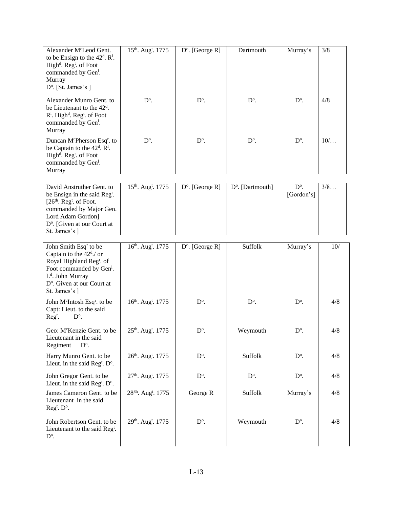| Alexander M <sup>c</sup> Leod Gent.<br>to be Ensign to the $42^d$ . R <sup>1</sup> .<br>High <sup>d</sup> . Reg <sup>t</sup> . of Foot<br>commanded by Gen <sup>1</sup> .<br>Murray<br>D <sup>o</sup> . [St. James's]            | 15 <sup>th</sup> . Aug <sup>t</sup> . 1775 | $D^{\circ}$ . [George R] | Dartmouth                    | Murray's                    | 3/8 |
|----------------------------------------------------------------------------------------------------------------------------------------------------------------------------------------------------------------------------------|--------------------------------------------|--------------------------|------------------------------|-----------------------------|-----|
| Alexander Munro Gent. to<br>be Lieutenant to the 42 <sup>d</sup> .<br>R <sup>1</sup> . High <sup>d</sup> . Reg <sup>t</sup> . of Foot<br>commanded by Gen <sup>1</sup> .<br>Murray                                               | $D^{\circ}$ .                              | $D^{\circ}$ .            | $D^{\circ}$ .                | $D^{\circ}$ .               | 4/8 |
| Duncan McPherson Esq <sup>r</sup> . to<br>be Captain to the 42 <sup>d</sup> . R <sup>1</sup> .<br>High <sup>d</sup> . Reg <sup>t</sup> . of Foot<br>commanded by Gen <sup>1</sup> .<br>Murray                                    | $D^{\circ}$ .                              | $D^{\circ}$ .            | $D^{\circ}$ .                | $D^{\circ}$ .               | 10/ |
| David Anstruther Gent. to<br>be Ensign in the said Reg <sup>t</sup> .<br>$[26th$ . Reg <sup>t</sup> . of Foot.<br>commanded by Major Gen.<br>Lord Adam Gordon]<br>D <sup>o</sup> . [Given at our Court at<br>St. James's ]       | 15 <sup>th</sup> . Aug <sup>t</sup> . 1775 | $D^{\circ}$ . [George R] | D <sup>o</sup> . [Dartmouth] | $D^{\circ}$ .<br>[Gordon's] | 3/8 |
| John Smith Esq <sup>r</sup> to be<br>Captain to the $42d$ ./ or<br>Royal Highland Reg <sup>t</sup> . of<br>Foot commanded by Gen <sup>1</sup> .<br>$Ld$ . John Murray<br>D <sup>o</sup> . Given at our Court at<br>St. James's ] | 16th. Aug <sup>t</sup> . 1775              | $D^{\circ}$ . [George R] | Suffolk                      | Murray's                    | 10/ |
| John McIntosh Esq <sup>r</sup> . to be<br>Capt: Lieut. to the said<br>$D^{\circ}$ .<br>$Regt$ .                                                                                                                                  | 16th. Augt. 1775                           | $D^{\circ}$ .            | $D^{\circ}$ .                | $D^{\circ}$ .               | 4/8 |
| Geo: M <sup>c</sup> Kenzie Gent. to be<br>Lieutenant in the said<br>Regiment<br>$D^{\circ}$ .                                                                                                                                    | 25 <sup>th</sup> . Aug <sup>t</sup> . 1775 | $D^{\circ}$ .            | Weymouth                     | D <sup>o</sup> .            | 4/8 |
| Harry Munro Gent. to be<br>Lieut. in the said Reg <sup>t</sup> . $D^{\circ}$ .                                                                                                                                                   | 26 <sup>th</sup> . Aug <sup>t</sup> . 1775 | $D^{\circ}$ .            | Suffolk                      | $D^{\circ}$ .               | 4/8 |
| John Gregor Gent. to be<br>Lieut. in the said Reg <sup>t</sup> . $D^{\circ}$ .                                                                                                                                                   | 27 <sup>th</sup> . Aug <sup>t</sup> . 1775 | $D^{\circ}$ .            | $D^{\circ}$ .                | $D^{\circ}$ .               | 4/8 |
| James Cameron Gent. to be<br>Lieutenant in the said<br>Reg <sup>t</sup> . D <sup>o</sup> .                                                                                                                                       | 28 <sup>8h</sup> . Aug <sup>t</sup> . 1775 | George R                 | Suffolk                      | Murray's                    | 4/8 |
| John Robertson Gent. to be<br>Lieutenant to the said Reg <sup>t</sup> .<br>$\mathrm{D}^{\mathrm{o}}.$                                                                                                                            | 29 <sup>th</sup> . Aug <sup>t</sup> . 1775 | $D^{\circ}$ .            | Weymouth                     | $D^{\circ}$ .               | 4/8 |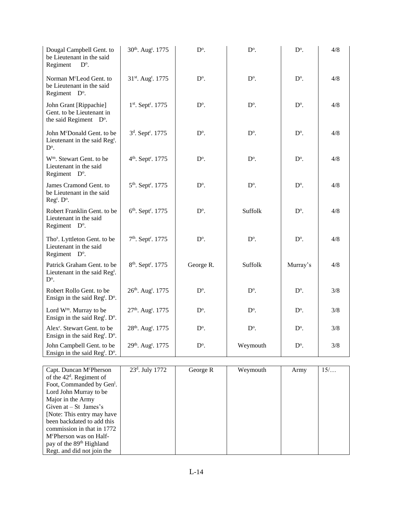| Dougal Campbell Gent. to<br>be Lieutenant in the said<br>Regiment<br>$D^{\circ}$ .             | 30th. Aug <sup>t</sup> . 1775              | $D^{\circ}$ . | $D^{\mathrm{o}}$ . | $D^{\circ}$ . | 4/8 |
|------------------------------------------------------------------------------------------------|--------------------------------------------|---------------|--------------------|---------------|-----|
| Norman M <sup>c</sup> Leod Gent. to<br>be Lieutenant in the said<br>Regiment D°.               | 31st. Aug <sup>t</sup> . 1775              | $D^{\circ}$ . | $D^{\circ}$ .      | $D^{\circ}$ . | 4/8 |
| John Grant [Rippachie]<br>Gent. to be Lieutenant in<br>the said Regiment D°.                   | 1st. Sept <sup>r</sup> . 1775              | $D^{\circ}$ . | $D^{\circ}$ .      | $D^{\circ}$ . | 4/8 |
| John McDonald Gent. to be<br>Lieutenant in the said Reg <sup>t</sup> .<br>$D^{\circ}$ .        | 3 <sup>d</sup> . Sept <sup>r</sup> . 1775  | $D^{\circ}$ . | $D^{\circ}$ .      | $D^{\circ}$ . | 4/8 |
| W <sup>m</sup> . Stewart Gent. to be<br>Lieutenant in the said<br>Regiment D°.                 | 4 <sup>th</sup> . Sept <sup>r</sup> . 1775 | $D^{\circ}$ . | $D^{\mathrm{o}}$ . | $D^{\circ}$ . | 4/8 |
| James Cramond Gent. to<br>be Lieutenant in the said<br>Reg <sup>t</sup> . D <sup>o</sup> .     | 5 <sup>th</sup> . Sept <sup>r</sup> . 1775 | $D^{\circ}$ . | $D^{\circ}$ .      | $D^{\circ}$ . | 4/8 |
| Robert Franklin Gent. to be<br>Lieutenant in the said<br>Regiment D°.                          | 6 <sup>th</sup> . Sept <sup>r</sup> . 1775 | $D^{\circ}$ . | Suffolk            | $D^{\circ}$ . | 4/8 |
| Tho <sup>s</sup> . Lyttleton Gent. to be<br>Lieutenant in the said<br>Regiment D°.             | 7 <sup>th</sup> . Sept <sup>r</sup> . 1775 | $D^{\circ}$ . | $D^{\circ}$ .      | $D^{\circ}$ . | 4/8 |
| Patrick Graham Gent. to be<br>Lieutenant in the said Reg <sup>t</sup> .<br>$D^{\circ}$ .       | 8 <sup>th</sup> . Sept <sup>r</sup> . 1775 | George R.     | Suffolk            | Murray's      | 4/8 |
| Robert Rollo Gent. to be<br>Ensign in the said Reg <sup>t</sup> . $D^{\circ}$ .                | 26 <sup>th</sup> . Aug <sup>t</sup> . 1775 | $D^{\circ}$ . | $D^{\circ}$ .      | $D^{\circ}$ . | 3/8 |
| Lord W <sup>m</sup> . Murray to be<br>Ensign in the said Reg <sup>t</sup> . $D^{\circ}$ .      | 27 <sup>th</sup> . Aug <sup>t</sup> . 1775 | $D^{\circ}$ . | $D^{\circ}$ .      | $D^{\circ}$ . | 3/8 |
| Alex <sup>r</sup> . Stewart Gent. to be<br>Ensign in the said Reg <sup>t</sup> . $D^{\circ}$ . | 28 <sup>th</sup> . Aug <sup>t</sup> . 1775 | $D^{\circ}$ . | $D^{\circ}$ .      | $D^{\circ}$ . | 3/8 |
| John Campbell Gent. to be<br>Ensign in the said Reg <sup>t</sup> . $D^{\circ}$ .               | 29 <sup>th</sup> . Aug <sup>t</sup> . 1775 | $D^{\circ}$ . | Weymouth           | $D^{\circ}$ . | 3/8 |

| Capt. Duncan M <sup>c</sup> Pherson   | $23^d$ . July 1772 | George R | Weymouth | Army | $15/$ |
|---------------------------------------|--------------------|----------|----------|------|-------|
| of the $42d$ . Regiment of            |                    |          |          |      |       |
| Foot, Commanded by Gen <sup>1</sup> . |                    |          |          |      |       |
| Lord John Murray to be                |                    |          |          |      |       |
| Major in the Army                     |                    |          |          |      |       |
| Given at $-$ St James's               |                    |          |          |      |       |
| [Note: This entry may have            |                    |          |          |      |       |
| been backdated to add this            |                    |          |          |      |       |
| commission in that in 1772            |                    |          |          |      |       |
| M <sup>c</sup> Pherson was on Half-   |                    |          |          |      |       |
| pay of the 89 <sup>th</sup> Highland  |                    |          |          |      |       |
| Regt. and did not join the            |                    |          |          |      |       |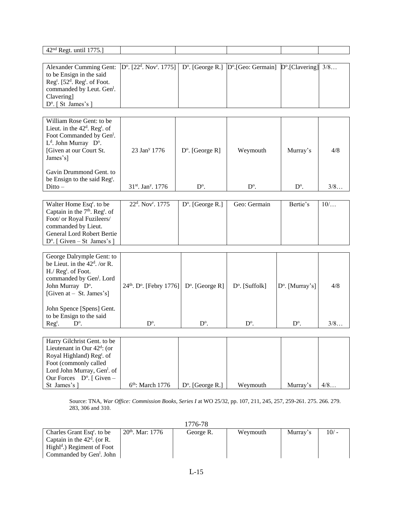| 42 <sup>nd</sup> Regt. until 1775.]                                                                                                                                                                                   |                                                           |                           |                                |                                 |      |
|-----------------------------------------------------------------------------------------------------------------------------------------------------------------------------------------------------------------------|-----------------------------------------------------------|---------------------------|--------------------------------|---------------------------------|------|
|                                                                                                                                                                                                                       |                                                           |                           |                                |                                 |      |
| Alexander Cumming Gent:<br>to be Ensign in the said<br>Reg <sup>t</sup> . [52 <sup>d</sup> . Reg <sup>t</sup> . of Foot.<br>commanded by Leut. Gen <sup>1</sup> .<br>Clavering]<br>D <sup>o</sup> . [ St James's ]    | $D^{\circ}$ . [22 <sup>d</sup> . Nov <sup>r</sup> . 1775] | $D^{\circ}$ . [George R.] | D <sup>o</sup> .[Geo: Germain] | $D^{\circ}$ . [Clavering] $3/8$ |      |
|                                                                                                                                                                                                                       |                                                           |                           |                                |                                 |      |
| William Rose Gent: to be<br>Lieut. in the $42d$ . Reg <sup>t</sup> . of<br>Foot Commanded by Gen <sup>1</sup> .<br>L <sup>d</sup> . John Murray D <sup>o</sup> .<br>[Given at our Court St.<br>James's]               | 23 Jan <sup>y</sup> 1776                                  | $D^{\circ}$ . [George R]  | Weymouth                       | Murray's                        | 4/8  |
| Gavin Drummond Gent. to<br>be Ensign to the said Reg <sup>t</sup> .<br>$Ditto -$                                                                                                                                      | $31^{st}$ . Jan <sup>y</sup> . 1776                       | $D^{\circ}$ .             | $D^{\circ}$ .                  | $D^{\circ}$ .                   | 3/8  |
|                                                                                                                                                                                                                       |                                                           |                           |                                |                                 |      |
| Walter Home Esq <sup>r</sup> . to be<br>Captain in the $7th$ . Reg <sup>t</sup> . of<br>Foot/ or Royal Fuzileers/<br>commanded by Lieut.<br><b>General Lord Robert Bertie</b><br>$D^{\circ}$ . [ Given – St James's ] | 22 <sup>d</sup> . Nov <sup>r</sup> . 1775                 | $D^{\circ}$ . [George R.] | Geo: Germain                   | Bertie's                        | 10/  |
|                                                                                                                                                                                                                       |                                                           |                           |                                |                                 |      |
| George Dalrymple Gent: to<br>be Lieut. in the $42d$ . /or R.<br>H./ Reg <sup>t</sup> . of Foot.<br>commanded by Gen <sup>1</sup> . Lord<br>John Murray D°.<br>[Given at $-$ St. James's]                              | $24th$ . D <sup>o</sup> . [Febry 1776]                    | $D^{\circ}$ . [George R]  | $D^{\circ}$ . [Suffolk]        | D <sup>o</sup> . [Murray's]     | 4/8  |
| John Spence [Spens] Gent.<br>to be Ensign to the said<br>$Regt$ .<br>$D^{\circ}$ .                                                                                                                                    | $D^{\circ}$ .                                             | $D^{\circ}$ .             | $D^{\circ}$ .                  | $D^{\circ}$ .                   | 3/8. |
|                                                                                                                                                                                                                       |                                                           |                           |                                |                                 |      |
| Harry Gilchrist Gent. to be<br>Lieutenant in Our $42^d$ : (or<br>Royal Highland) Reg <sup>t</sup> . of<br>Foot (commonly called<br>Lord John Murray, Gen <sup>1</sup> . of<br>Our Forces $D^{\circ}$ . [ Given –      |                                                           |                           |                                |                                 |      |
| St James's                                                                                                                                                                                                            | 6 <sup>th</sup> : March 1776                              | $D^{\circ}$ . [George R.] | Weymouth                       | Murray's                        | 4/8  |

Source: TNA, *War Office: Commission Books, Series I* at WO 25/32, pp. 107, 211, 245, 257, 259-261. 275. 266. 279. 283, 306 and 310.

|                                        |                    | 1776-78   |          |          |        |
|----------------------------------------|--------------------|-----------|----------|----------|--------|
| Charles Grant Esq <sup>r</sup> , to be | $20th$ . Mar: 1776 | George R. | Weymouth | Murray's | $10/-$ |
| Captain in the $42d$ . (or R.          |                    |           |          |          |        |
| $Highld$ .) Regiment of Foot           |                    |           |          |          |        |
| Commanded by Gen <sup>1</sup> . John   |                    |           |          |          |        |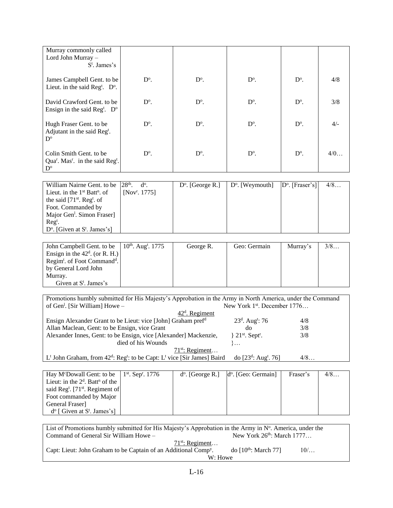| Murray commonly called<br>Lord John Murray $-$<br>$S^t$ . James's                                                          |               |               |               |               |       |
|----------------------------------------------------------------------------------------------------------------------------|---------------|---------------|---------------|---------------|-------|
| James Campbell Gent. to be<br>Lieut. in the said Reg <sup>t</sup> . $D^{\circ}$ .                                          | $D^{\circ}$ . | $D^{\circ}$ . | $D^{\circ}$ . | $D^{\circ}$ . | 4/8   |
| David Crawford Gent. to be<br>Ensign in the said Reg <sup>t</sup> . $D^{\circ}$                                            | $D^{\circ}$ . | $D^{\circ}$ . | $D^{\circ}$ . | $D^{\circ}$ . | 3/8   |
| Hugh Fraser Gent. to be<br>Adjutant in the said Reg <sup>t</sup> .<br>$D^{\circ}$                                          | $D^{\circ}$ . | $D^{\circ}$ . | $D^{\circ}$ . | $D^{\circ}$ . | $4/-$ |
| Colin Smith Gent. to be<br>Qua <sup>r</sup> . Mas <sup>r</sup> . in the said Reg <sup>t</sup> .<br>$\mathbf{D}^{\text{o}}$ | $D^{\circ}$ . | $D^{\circ}$ . | $D^{\circ}$ . | $D^{\circ}$ . | 4/0   |

| William Nairne Gent. to be $ 28^{th}$ . d <sup>o</sup> . |                           | $D^{\circ}$ . [George R.] | $ D^{\circ}$ . [Weymouth] $ D^{\circ}$ . [Fraser's] | 4/8 |
|----------------------------------------------------------|---------------------------|---------------------------|-----------------------------------------------------|-----|
| Lieut. in the $1st$ Batt <sup>n</sup> . of               | [Nov <sup>r</sup> . 1775] |                           |                                                     |     |
| the said $[71st$ . Reg <sup>t</sup> . of                 |                           |                           |                                                     |     |
| Foot. Commanded by                                       |                           |                           |                                                     |     |
| Major Gen <sup>1</sup> . Simon Fraser]                   |                           |                           |                                                     |     |
| $\text{Re} \mathbf{g}^t$ .                               |                           |                           |                                                     |     |
| $D^{\circ}$ . [Given at S <sup>t</sup> . James's]        |                           |                           |                                                     |     |

| John Campbell Gent. to be $\left  10^{\text{th}}. \text{ Aug}^{t} . 1775 \right $ | George R. | Geo: Germain | Murray's | 3/8 |
|-----------------------------------------------------------------------------------|-----------|--------------|----------|-----|
| Ensign in the $42^d$ . (or R. H.)                                                 |           |              |          |     |
|                                                                                   |           |              |          |     |
| Regim <sup>t</sup> . of Foot Command <sup>d</sup> .                               |           |              |          |     |
| by General Lord John                                                              |           |              |          |     |
| Murray.                                                                           |           |              |          |     |
| Given at $S^t$ . James's                                                          |           |              |          |     |

Promotions humbly submitted for His Majesty's Approbation in the Army in North America, under the Command of Gen<sup>1</sup>. [Sir William] Howe -New York 1st. December 1776... 42<sup>d</sup>. Regiment Ensign Alexander Grant to be Lieut: vice [John] Graham pref<sup>d</sup> 23<sup>d</sup> . Aug<sup>t</sup> : 76 4/8 Allan Maclean, Gent: to be Ensign, vice Grant do 3/8

Alexander Innes, Gent: to be Ensign, vice [Alexander] Mackenzie, } 21st. Sept<sup>r</sup>. . 3/8 died of his Wounds }...  $71^{st}$ : Regiment... L<sup>t</sup> John Graham, from  $42^d$ : Reg<sup>t</sup>: to be Capt: L<sup>t</sup> vice [Sir James] Baird do [23<sup>d</sup> do [23<sup>d</sup>: Aug<sup>t</sup>. 76]  $4/8$ …

| Hay M <sup>c</sup> Dowall Gent: to be   $1st$ . Sep <sup>r</sup> . 1776 |  | $d^{\circ}$ . [George R.] $ d^{\circ}$ . [Geo: Germain] | Fraser's | 4/8 |
|-------------------------------------------------------------------------|--|---------------------------------------------------------|----------|-----|
| Lieut: in the $2d$ . Batt <sup>n</sup> of the                           |  |                                                         |          |     |
| said Reg <sup>t</sup> . [71 <sup>st</sup> . Regiment of                 |  |                                                         |          |     |
| Foot commanded by Major                                                 |  |                                                         |          |     |
| General Fraser                                                          |  |                                                         |          |     |
| $d^{\circ}$ [ Given at S <sup>t</sup> . James's]                        |  |                                                         |          |     |

| List of Promotions humbly submitted for His Majesty's Approbation in the Army in $N^{\circ}$ . America, under the |                          |       |  |  |  |
|-------------------------------------------------------------------------------------------------------------------|--------------------------|-------|--|--|--|
| New York $26^{th}$ : March $1777$<br>Command of General Sir William Howe –                                        |                          |       |  |  |  |
| $71st$ : Regiment                                                                                                 |                          |       |  |  |  |
| Capt: Lieut: John Graham to be Captain of an Additional Comp <sup>y</sup> .                                       | do $10^{th}$ : March 771 | $10/$ |  |  |  |
| W: Howe                                                                                                           |                          |       |  |  |  |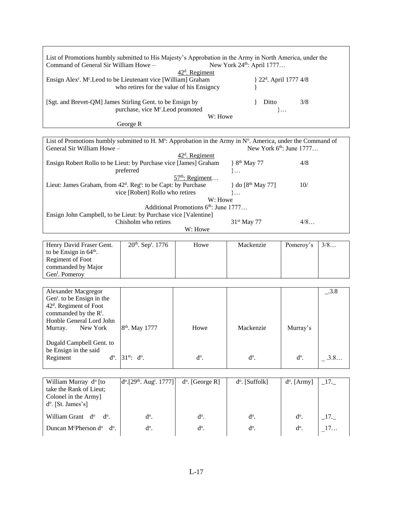| List of Promotions humbly submitted to His Majesty's Approbation in the Army in North America, under the<br>Command of General Sir William Howe -<br>New York 24 <sup>th</sup> : April 1777<br>42 <sup>d</sup> . Regiment<br>Ensign Alex <sup>r</sup> . M <sup>c</sup> . Leod to be Lieutenant vice [William] Graham<br>} 22 <sup>d</sup> . April 1777 4/8<br>who retires for the value of his Ensigncy |                                                                                                                                                                                         |                                                 |                                       |                |         |  |  |  |
|---------------------------------------------------------------------------------------------------------------------------------------------------------------------------------------------------------------------------------------------------------------------------------------------------------------------------------------------------------------------------------------------------------|-----------------------------------------------------------------------------------------------------------------------------------------------------------------------------------------|-------------------------------------------------|---------------------------------------|----------------|---------|--|--|--|
| [Sgt. and Brevet-QM] James Stirling Gent. to be Ensign by<br>Ditto<br>3/8<br>purchase, vice Mc.Leod promoted<br>∤…<br>W: Howe                                                                                                                                                                                                                                                                           |                                                                                                                                                                                         |                                                 |                                       |                |         |  |  |  |
|                                                                                                                                                                                                                                                                                                                                                                                                         | George R                                                                                                                                                                                |                                                 |                                       |                |         |  |  |  |
| List of Promotions humbly submitted to H. M <sup>s</sup> : Approbation in the Army in $No$ . America, under the Command of<br>New York 6 <sup>th</sup> : June 1777<br>General Sir William Howe -                                                                                                                                                                                                        |                                                                                                                                                                                         |                                                 |                                       |                |         |  |  |  |
| Ensign Robert Rollo to be Lieut: by Purchase vice [James] Graham                                                                                                                                                                                                                                                                                                                                        | preferred                                                                                                                                                                               | 42 <sup>d</sup> . Regiment<br>$57th$ : Regiment | } 8 <sup>th</sup> May 77<br>$\}$      | 4/8            |         |  |  |  |
| Lieut: James Graham, from 42 <sup>d</sup> . Reg <sup>t</sup> : to be Capt: by Purchase                                                                                                                                                                                                                                                                                                                  | vice [Robert] Rollo who retires                                                                                                                                                         |                                                 | } do [8 <sup>th</sup> May 77]<br>$\}$ | 10/            |         |  |  |  |
|                                                                                                                                                                                                                                                                                                                                                                                                         | W: Howe<br>Additional Promotions 6th: June 1777<br>Ensign John Campbell, to be Lieut: by Purchase vice [Valentine]<br>Chisholm who retires<br>31 <sup>st</sup> May 77<br>4/8<br>W: Howe |                                                 |                                       |                |         |  |  |  |
| Henry David Fraser Gent.<br>to be Ensign in 64 <sup>th</sup> .<br>Regiment of Foot<br>commanded by Major<br>Gen <sup>1</sup> . Pomeroy                                                                                                                                                                                                                                                                  | 20 <sup>th</sup> . Sep <sup>r</sup> . 1776                                                                                                                                              | Howe                                            | Mackenzie                             | Pomeroy's      | 3/8     |  |  |  |
| Alexander Macgregor<br>Gen <sup>t</sup> . to be Ensign in the<br>42 <sup>d</sup> . Regiment of Foot<br>commanded by the R <sup>t</sup> .<br>Honble General Lord John                                                                                                                                                                                                                                    |                                                                                                                                                                                         |                                                 |                                       |                | $-.3.8$ |  |  |  |
| Murray.<br>New York<br>Dugald Campbell Gent. to                                                                                                                                                                                                                                                                                                                                                         | 8 <sup>th</sup> . May 1777                                                                                                                                                              | Howe                                            | Mackenzie                             | Murray's       |         |  |  |  |
| be Ensign in the said<br>Regiment<br>$d^o$ .                                                                                                                                                                                                                                                                                                                                                            | $31^{st}$ : $d^o$ .                                                                                                                                                                     | $d^o.$                                          | $d^o$ .                               | $d^o$ .        | .3.8    |  |  |  |
| William Murray d <sup>o</sup> [to<br>take the Rank of Lieut;<br>Colonel in the Army]<br>d <sup>o</sup> . [St. James's]                                                                                                                                                                                                                                                                                  | $d^{o}$ . [29 <sup>th</sup> . Aug <sup>t</sup> . 1777]                                                                                                                                  | $d^o$ . [George R]                              | d <sup>o</sup> . [Suffolk]            | $d^o$ . [Army] | $-17.$  |  |  |  |
| William Grant d <sup>o</sup><br>$d^o.$                                                                                                                                                                                                                                                                                                                                                                  | $d^o$ .                                                                                                                                                                                 | $d^o$ .                                         | $d^{\circ}$ .                         | $d^o.$         | $\_17.$ |  |  |  |
| Duncan M <sup>c</sup> Pherson d <sup>o</sup><br>$d^{\circ}$ .                                                                                                                                                                                                                                                                                                                                           | d <sup>o</sup> .                                                                                                                                                                        | $d^{\circ}$ .                                   | $d^o$ .                               | $d^{\circ}$ .  | 17      |  |  |  |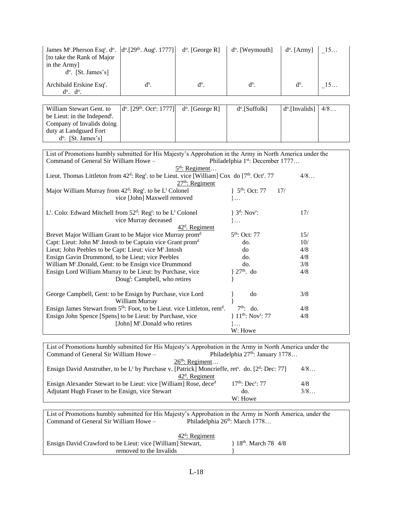| James Mc.Pherson Esq <sup>r</sup> . do.<br>[to take the Rank of Major<br>in the Army]<br>d <sup>o</sup> . [St. James's]                       | $d^{o}$ . [29 <sup>th</sup> . Aug <sup>t</sup> . 1777]        | $d^o$ . [George R] | d <sup>o</sup> . [Weymouth]                   | $d^{\circ}$ . [Army] | 15  |  |
|-----------------------------------------------------------------------------------------------------------------------------------------------|---------------------------------------------------------------|--------------------|-----------------------------------------------|----------------------|-----|--|
| Archibald Erskine Esq <sup>r</sup> .<br>$d^o$ . $d^o$ .                                                                                       | $d^o$ .                                                       | $d^o.$             | $d^o$ .                                       | $d^o$ .              | 15  |  |
|                                                                                                                                               |                                                               |                    |                                               |                      |     |  |
| William Stewart Gent. to                                                                                                                      | d <sup>o</sup> . [29 <sup>th</sup> . Oct <sup>r</sup> : 1777] | $d^o$ . [George R] | $d^o$ .[Suffolk]                              | $d^o$ . [Invalids]   | 4/8 |  |
| be Lieut: in the Independ <sup>t</sup> .                                                                                                      |                                                               |                    |                                               |                      |     |  |
| Company of Invalids doing                                                                                                                     |                                                               |                    |                                               |                      |     |  |
| duty at Landguard Fort                                                                                                                        |                                                               |                    |                                               |                      |     |  |
| d <sup>o</sup> . [St. James's]                                                                                                                |                                                               |                    |                                               |                      |     |  |
| List of Promotions humbly submitted for His Majesty's Approbation in the Army in North America under the                                      |                                                               |                    |                                               |                      |     |  |
| Command of General Sir William Howe -                                                                                                         |                                                               |                    | Philadelphia 1st: December 1777               |                      |     |  |
|                                                                                                                                               |                                                               | $5th$ : Regiment   |                                               |                      |     |  |
| Lieut. Thomas Littleton from 42 <sup>d</sup> : Reg <sup>t</sup> . to be Lieut. vice [William] Cox do [7 <sup>th</sup> . Oct <sup>r</sup> . 77 |                                                               |                    |                                               | 4/8                  |     |  |
|                                                                                                                                               |                                                               | $27th$ : Regiment  |                                               |                      |     |  |
| Major William Murray from 42 <sup>d</sup> : Reg <sup>t</sup> . to be L <sup>t</sup> Colonel                                                   |                                                               |                    | $\}$ 5 <sup>th</sup> : Oct: 77                | 17/                  |     |  |
|                                                                                                                                               | $\}$                                                          |                    |                                               |                      |     |  |
| vice [John] Maxwell removed                                                                                                                   |                                                               |                    |                                               |                      |     |  |
| L <sup>t</sup> . Colo: Edward Mitchell from 52 <sup>d</sup> : Reg <sup>t</sup> : to be L <sup>t</sup> Colonel                                 |                                                               |                    | $\}$ 3 <sup>d</sup> : Nov <sup>r</sup> :      | 17/                  |     |  |
| vice Murray deceased                                                                                                                          |                                                               |                    | $\}$                                          |                      |     |  |
|                                                                                                                                               |                                                               | $42d$ . Regiment   |                                               |                      |     |  |
| Brevet Major William Grant to be Major vice Murray prom <sup>d</sup>                                                                          |                                                               |                    | 5 <sup>th</sup> : Oct: 77                     | 15/                  |     |  |
| Capt: Lieut: John M <sup>c</sup> .Intosh to be Captain vice Grant prom <sup>d</sup>                                                           |                                                               |                    | do.                                           | 10/                  |     |  |
| Lieut; John Peebles to be Capt: Lieut: vice Mc.Intosh                                                                                         |                                                               |                    | do                                            | 4/8                  |     |  |
| Ensign Gavin Drummond, to be Lieut; vice Peebles                                                                                              |                                                               |                    | do.                                           | 4/8                  |     |  |
| William Mc.Donald, Gent: to be Ensign vice Drummond                                                                                           |                                                               |                    | do.                                           | 3/8                  |     |  |
| Ensign Lord William Murray to be Lieut: by Purchase, vice                                                                                     |                                                               |                    | $27th$ . do                                   | 4/8                  |     |  |
|                                                                                                                                               | Doug <sup>1</sup> : Campbell, who retires                     |                    |                                               |                      |     |  |
| George Campbell, Gent: to be Ensign by Purchase, vice Lord                                                                                    |                                                               |                    | do                                            | 3/8                  |     |  |
|                                                                                                                                               | William Murray                                                |                    |                                               |                      |     |  |
| Ensign James Stewart from 5 <sup>th</sup> : Foot, to be Lieut. vice Littleton, rem <sup>d</sup> .                                             |                                                               |                    | $7th$ : do.                                   | 4/8                  |     |  |
| Ensign John Spence [Spens] to be Lieut: by Purchase, vice                                                                                     |                                                               |                    | $\}$ 11 <sup>th</sup> : Nov <sup>r</sup> : 77 | 4/8                  |     |  |
|                                                                                                                                               | [John] M <sup>c</sup> .Donald who retires                     |                    | $\}$                                          |                      |     |  |
|                                                                                                                                               |                                                               |                    | W: Howe                                       |                      |     |  |
|                                                                                                                                               |                                                               |                    |                                               |                      |     |  |
| List of Promotions humbly submitted for His Majesty's Approbation in the Army in North America under the                                      |                                                               |                    |                                               |                      |     |  |
| Philadelphia 27 <sup>th</sup> : January 1778<br>Command of General Sir William Howe -                                                         |                                                               |                    |                                               |                      |     |  |

| Command of General Sir William Howe –                                                                                                | Philadelphia $27th$ : January 1778 |     |
|--------------------------------------------------------------------------------------------------------------------------------------|------------------------------------|-----|
|                                                                                                                                      | $26th$ : Regiment                  |     |
| Ensign David Anstruther, to be L <sup>t</sup> by Purchase v. [Patrick] Moncrieffe, ret <sup>s</sup> . do. [2 <sup>d</sup> : Dec: 77] |                                    | 4/8 |
|                                                                                                                                      | $42d$ . Regiment                   |     |
| Ensign Alexander Stewart to be Lieut: vice [William] Rose, deced                                                                     | $17th$ : Dec <sup>r</sup> : 77     | 4/8 |
| Adjutant Hugh Fraser to be Ensign, vice Stewart                                                                                      | do.                                | 3/8 |
|                                                                                                                                      | W: Howe                            |     |

List of Promotions humbly submitted for His Majesty's Approbation in the Army in North America, under the Command of General Sir William Howe – Philadelphia  $26<sup>th</sup>$ : March 1778...

| $42^d$ : Regiment                                          |                       |  |
|------------------------------------------------------------|-----------------------|--|
| Ensign David Crawford to be Lieut: vice [William] Stewart, | $18th$ . March 78 4/8 |  |
| removed to the Invalids                                    |                       |  |
|                                                            |                       |  |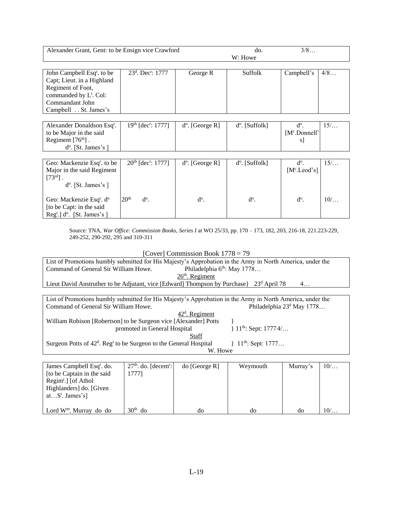| Alexander Grant, Gent: to be Ensign vice Crawford                                                                                                                          |                                  |                          | do.                     | 3/8                              |     |
|----------------------------------------------------------------------------------------------------------------------------------------------------------------------------|----------------------------------|--------------------------|-------------------------|----------------------------------|-----|
|                                                                                                                                                                            |                                  |                          | W: Howe                 |                                  |     |
| John Campbell Esq <sup>r</sup> . to be<br>Capt; Lieut. in a Highland<br>Regiment of Foot,<br>commanded by L <sup>t</sup> . Col:<br>Commandant John<br>Campbell St. James's | $23d$ . Dec <sup>r</sup> : 1777  | George R                 | <b>Suffolk</b>          | Campbell's                       | 4/8 |
| Alexander Donaldson Esq <sup>r</sup> .<br>to be Major in the said<br>Regiment $[76th]$ .                                                                                   | $19th$ [dec <sup>r</sup> : 1777] | $d^{\circ}$ . [George R] | $d^{\circ}$ . [Suffolk] | $d^o$ .<br>$[Mc$ . Donnell'<br>s | 15/ |
| $d^o$ . [St. James's]                                                                                                                                                      |                                  |                          |                         |                                  |     |
|                                                                                                                                                                            |                                  |                          |                         |                                  |     |
| Geo: Mackenzie Esq <sup>r</sup> . to be<br>Major in the said Regiment<br>$[73^{\text{rd}}]$ .<br>$d^o$ . [St. James's]                                                     | $20th$ [dec <sup>r</sup> : 1777] | $d^{\circ}$ . [George R] | $d^{\circ}$ . [Suffolk] | $d^{\circ}$ .<br>$[Mc.$ Leod's]  | 15/ |
| Geo: Mackenzie Esq <sup>r</sup> . d <sup>o</sup><br>[to be Capt: in the said]<br>$\text{Reg}^t$ .] d <sup>o</sup> . [St. James's]                                          | 20 <sup>th</sup><br>$d^o$ .      | $d^o.$                   | $d^o$ .                 | $d^o$ .                          | 10/ |

Source: TNA, *War Office: Commission Books, Series I* at WO 25/33, pp. 170 – 173, 182, 203, 216-18, 221.223-229, 249-252, 290-292, 295 and 310-311

#### [Cover] Commission Book 1778 = 79

List of Promotions humbly submitted for His Majesty's Approbation in the Army in North America, under the Command of General Sir William Howe. Philadelphia 6<sup>th</sup>: May 1778... Command of General Sir William Howe.  $26<sup>th</sup>$ . Regiment Lieut David Anstruther to be Adjutant, vice [Edward] Thompson by Purchase} 23<sup>d</sup> April 78 4...

|                                                                     | List of Promotions humbly submitted for His Majesty's Approbation in the Army in North America, under the |                                    |               |                                       |          |       |  |
|---------------------------------------------------------------------|-----------------------------------------------------------------------------------------------------------|------------------------------------|---------------|---------------------------------------|----------|-------|--|
|                                                                     | Command of General Sir William Howe.                                                                      |                                    |               | Philadelphia 23 <sup>d</sup> May 1778 |          |       |  |
|                                                                     | $42d$ . Regiment                                                                                          |                                    |               |                                       |          |       |  |
|                                                                     | William Robison [Robertson] to be Surgeon vice [Alexander] Potts                                          |                                    |               |                                       |          |       |  |
| $\{11^{th}:\text{Sept: } 17774/ \}$<br>promoted in General Hospital |                                                                                                           |                                    |               |                                       |          |       |  |
|                                                                     |                                                                                                           |                                    | Staff         |                                       |          |       |  |
|                                                                     | Surgeon Potts of 42 <sup>d</sup> . Reg <sup>t</sup> to be Surgeon to the General Hospital                 |                                    |               | $\{11^{th}:\text{Sept: } 1777 \}$     |          |       |  |
|                                                                     | W. Howe                                                                                                   |                                    |               |                                       |          |       |  |
|                                                                     |                                                                                                           |                                    |               |                                       |          |       |  |
|                                                                     | James Campbell Esq <sup>r</sup> . do.                                                                     | $27th$ . do. [decem <sup>r</sup> : | do [George R] | Weymouth                              | Murray's | $10/$ |  |
|                                                                     | Ito be Captain in the said                                                                                | 7771                               |               |                                       |          |       |  |

| James Campbell Esq <sup>r</sup> . do. | $27th$ . do. [decem <sup>r</sup> :] | do [George R] | Weymouth | Murray's | $10/$ |
|---------------------------------------|-------------------------------------|---------------|----------|----------|-------|
| Ito be Captain in the said            | 17771                               |               |          |          |       |
| $Regimt$ .] [of Athol                 |                                     |               |          |          |       |
| Highlanders do. [Given]               |                                     |               |          |          |       |
| at $S^t$ . James's]                   |                                     |               |          |          |       |
|                                       |                                     |               |          |          |       |
| Lord $W^m$ . Murray do do             | 30 <sup>th</sup><br>do              | do            | dc       | do       | $10/$ |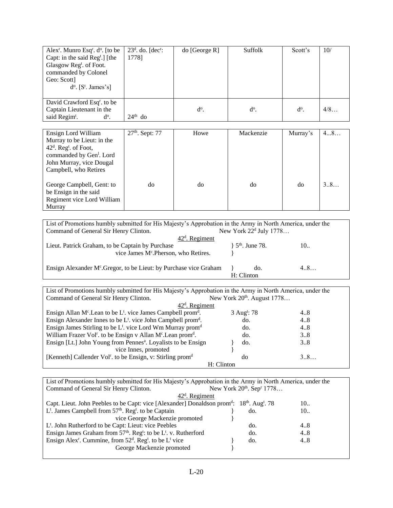| Alex <sup>r</sup> . Munro Esq <sup>r</sup> . $d^{\circ}$ . [to be<br>Capt: in the said $\text{Reg}^t$ .] [the<br>Glasgow Regt. of Foot.<br>commanded by Colonel<br>Geo: Scott<br>$d^o$ . [ $S^t$ . James's] | $23d$ . do. [dec <sup>r</sup> :<br>1778] | $\phi$ [George R] | Suffolk       | Scott's       | 10/ |
|-------------------------------------------------------------------------------------------------------------------------------------------------------------------------------------------------------------|------------------------------------------|-------------------|---------------|---------------|-----|
| David Crawford Esq <sup>r</sup> . to be<br>Captain Lieutenant in the<br>said Regim <sup>t</sup> .<br>$d^o.$                                                                                                 | $24th$ do                                | $d^{\circ}$ .     | $d^{\circ}$ . | $d^{\circ}$ . | 4/8 |

| Ensign Lord William                  | $27th$ . Sept: 77 | Howe | Mackenzie | Murray's | 48  |
|--------------------------------------|-------------------|------|-----------|----------|-----|
| Murray to be Lieut: in the           |                   |      |           |          |     |
| $42d$ . Reg <sup>t</sup> . of Foot,  |                   |      |           |          |     |
| commanded by Gen <sup>1</sup> . Lord |                   |      |           |          |     |
| John Murray, vice Dougal             |                   |      |           |          |     |
| Campbell, who Retires                |                   |      |           |          |     |
|                                      |                   |      |           |          |     |
| George Campbell, Gent: to            | do                | do   | do        | do       | 3.8 |
| be Ensign in the said                |                   |      |           |          |     |
| Regiment vice Lord William           |                   |      |           |          |     |
| Murray                               |                   |      |           |          |     |

| List of Promotions humbly submitted for His Majesty's Approbation in the Army in North America, under the<br>New York $22d$ July 1778<br>Command of General Sir Henry Clinton. |                                 |     |  |  |  |  |
|--------------------------------------------------------------------------------------------------------------------------------------------------------------------------------|---------------------------------|-----|--|--|--|--|
| $42d$ . Regiment                                                                                                                                                               |                                 |     |  |  |  |  |
| Lieut. Patrick Graham, to be Captain by Purchase                                                                                                                               | $\}$ 5 <sup>th</sup> . June 78. | 10  |  |  |  |  |
| vice James Mc.Pherson, who Retires.                                                                                                                                            |                                 |     |  |  |  |  |
| Ensign Alexander M <sup>c</sup> . Gregor, to be Lieut: by Purchase vice Graham                                                                                                 | do.                             | 4.8 |  |  |  |  |
|                                                                                                                                                                                | H: Clinton                      |     |  |  |  |  |

| List of Promotions humbly submitted for His Majesty's Approbation in the Army in North America, under the |                         |     |  |  |  |  |  |
|-----------------------------------------------------------------------------------------------------------|-------------------------|-----|--|--|--|--|--|
| New York 20 <sup>th</sup> . August 1778<br>Command of General Sir Henry Clinton.                          |                         |     |  |  |  |  |  |
|                                                                                                           | $42d$ . Regiment        |     |  |  |  |  |  |
| Ensign Allan $M^c$ . Lean to be L <sup>t</sup> . vice James Campbell prom <sup>d</sup> .                  | 3 Aug <sup>t</sup> : 78 | 4.8 |  |  |  |  |  |
| Ensign Alexander Innes to be $L^t$ . vice John Campbell prom <sup>d</sup> .                               | do.                     | 4.8 |  |  |  |  |  |
| Ensign James Stirling to be $L^t$ . vice Lord Wm Murray prom <sup>d</sup>                                 | do.                     | 4.8 |  |  |  |  |  |
| William Frazer Vol <sup>r</sup> . to be Ensign v Allan M <sup>c</sup> . Lean prom <sup>d</sup> .          | do.                     | 3.8 |  |  |  |  |  |
| Ensign [Lt.] John Young from Pennes <sup>a</sup> . Loyalists to be Ensign                                 | do.                     | 38  |  |  |  |  |  |
| vice Innes, promoted                                                                                      |                         |     |  |  |  |  |  |
| [Kenneth] Callender Vol <sup>r</sup> . to be Ensign, v: Stirling prom <sup>d</sup>                        | do                      | 3.8 |  |  |  |  |  |
|                                                                                                           | H: Clinton              |     |  |  |  |  |  |

List of Promotions humbly submitted for His Majesty's Approbation in the Army in North America, under the Command of General Sir Henry Clinton. New York 20<sup>th</sup>. Sep<sup>r</sup> 1778...

| $42d$ . Regiment                                                                                                    |     |     |
|---------------------------------------------------------------------------------------------------------------------|-----|-----|
| Capt. Lieut. John Peebles to be Capt: vice [Alexander] Donaldson prom <sup>d</sup> : $18th$ . Aug <sup>t</sup> . 78 |     | 10. |
| $L^t$ . James Campbell from 57 <sup>th</sup> . Reg <sup>t</sup> . to be Captain                                     | do. | 10. |
| vice George Mackenzie promoted                                                                                      |     |     |
| L <sup>t</sup> . John Rutherford to be Capt: Lieut: vice Peebles                                                    | do. | 4.8 |
| Ensign James Graham from 57 <sup>th</sup> . Reg <sup>t</sup> : to be L <sup>t</sup> . v. Rutherford                 | do. | 4.8 |
| Ensign Alex <sup>r</sup> . Cummine, from $52d$ . Reg <sup>t</sup> . to be L <sup>t</sup> vice                       | do. | 4.8 |
| George Mackenzie promoted                                                                                           |     |     |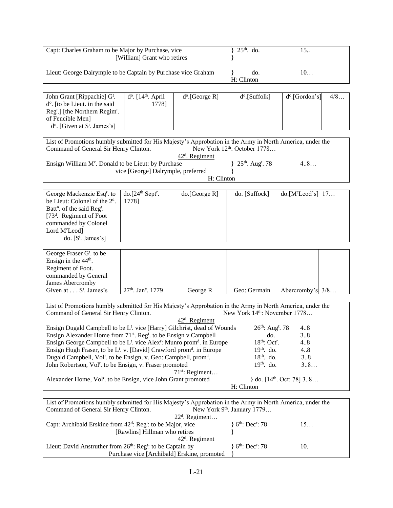| Capt: Charles Graham to be Major by Purchase, vice<br>[William] Grant who retires                                                                                                                                                                              |                                                               |                            | $25th$ . do.                              | 15.                           |  |
|----------------------------------------------------------------------------------------------------------------------------------------------------------------------------------------------------------------------------------------------------------------|---------------------------------------------------------------|----------------------------|-------------------------------------------|-------------------------------|--|
|                                                                                                                                                                                                                                                                | Lieut: George Dalrymple to be Captain by Purchase vice Graham |                            |                                           | 10                            |  |
|                                                                                                                                                                                                                                                                |                                                               |                            |                                           |                               |  |
| John Grant [Rippachie] G <sup>t</sup> .<br>d <sup>o</sup> . [to be Lieut. in the said<br>Reg <sup>t</sup> .] [the Northern Regim <sup>t</sup> .<br>of Fencible Men]<br>$d^{\circ}$ . [Given at S <sup>t</sup> . James's]                                       | $d^o$ . [14 <sup>th</sup> . April<br>1778]                    | $d^o$ . [George R]         | d <sup>o</sup> .[Suffolk]                 | $d^o$ . [Gordon's]<br>4/8     |  |
| List of Promotions humbly submitted for His Majesty's Approbation in the Army in North America, under the<br>Command of General Sir Henry Clinton.                                                                                                             |                                                               | $42d$ . Regiment           | New York 12 <sup>th</sup> : October 1778  |                               |  |
| Ensign William M <sup>c</sup> . Donald to be Lieut: by Purchase                                                                                                                                                                                                | vice [George] Dalrymple, preferred                            |                            | 25 <sup>th</sup> . Aug <sup>t</sup> . 78  | 4.8                           |  |
|                                                                                                                                                                                                                                                                |                                                               | H: Clinton                 |                                           |                               |  |
| George Mackenzie Esq <sup>r</sup> . to<br>be Lieut: Colonel of the 2 <sup>d</sup> .<br>Batt <sup>n</sup> . of the said Reg <sup>t</sup> .<br>[73 <sup>d</sup> . Regiment of Foot<br>commanded by Colonel<br>Lord M <sup>c</sup> Leod]<br>do. $[S^t$ . James's] | $do.[24th Septr$ .<br>1778]                                   | do.[George R]              | do. [Suffock]                             | do.[M <sup>c</sup> Leod's] 17 |  |
| George Fraser G <sup>t</sup> . to be<br>Ensign in the 44 <sup>th</sup> .<br>Regiment of Foot.<br>commanded by General<br>James Abercromby<br>Given at $\dots$ S <sup>t</sup> . James's                                                                         | 27th. Jan <sup>y</sup> . 1779                                 | George R                   | Geo: Germain                              | Abercromby's 3/8              |  |
|                                                                                                                                                                                                                                                                |                                                               |                            |                                           |                               |  |
| List of Promotions humbly submitted for His Majesty's Approbation in the Army in North America, under the<br>Command of General Sir Henry Clinton.                                                                                                             |                                                               | 42 <sup>d</sup> . Regiment | New York 14 <sup>th</sup> : November 1778 |                               |  |
| Ensign Dugald Campbell to be L <sup>t</sup> . vice [Harry] Gilchrist, dead of Wounds<br>Ensign Alexander Home from 71 <sup>st</sup> . Reg <sup>t</sup> . to be Ensign v Campbell                                                                               |                                                               |                            | $26^{th}$ : Aug <sup>t</sup> . 78<br>do.  | 4.8<br>38                     |  |
| Ensign George Campbell to be L <sup>t</sup> . vice Alex <sup>r</sup> : Munro prom <sup>d</sup> . in Europe                                                                                                                                                     |                                                               |                            | 18 <sup>th</sup> : Oct <sup>r</sup> .     | 48                            |  |
| Ensign Hugh Fraser, to be L <sup>t</sup> . v. [David] Crawford prom <sup>d</sup> . in Europe                                                                                                                                                                   |                                                               |                            | $19th$ . do.                              | 4.8                           |  |
| Dugald Campbell, Vol <sup>r</sup> . to be Ensign, v. Geo: Campbell, prom <sup>d</sup> .                                                                                                                                                                        |                                                               |                            | $18th$ . do.                              | 38                            |  |
| John Robertson, Vol <sup>r</sup> . to be Ensign, v. Fraser promoted                                                                                                                                                                                            |                                                               |                            | $19th$ . do.                              | 38                            |  |
| $71^{st}$ : Regiment<br>} do. $[14th$ . Oct: 78] 38<br>Alexander Home, Vol <sup>r</sup> . to be Ensign, vice John Grant promoted<br>H: Clinton                                                                                                                 |                                                               |                            |                                           |                               |  |
|                                                                                                                                                                                                                                                                |                                                               |                            |                                           |                               |  |
| List of Promotions humbly submitted for His Majesty's Approbation in the Army in North America, under the<br>Command of General Sir Henry Clinton.                                                                                                             |                                                               |                            | New York 9 <sup>th</sup> . January 1779   |                               |  |
| Capt: Archibald Erskine from 42 <sup>d</sup> : Reg <sup>t</sup> : to be Major, vice                                                                                                                                                                            | [Rawlins] Hillman who retires                                 | $22d$ . Regiment           | ${6th: Decr: 78}$                         | 15                            |  |
|                                                                                                                                                                                                                                                                |                                                               | 42 <sup>d</sup> . Regiment |                                           |                               |  |
| Lieut: David Anstruther from 26 <sup>th</sup> : Reg <sup>t</sup> : to be Captain by                                                                                                                                                                            | Purchase vice [Archibald] Erskine, promoted                   |                            | ${6^{th}}: Dec: 78$                       | 10.                           |  |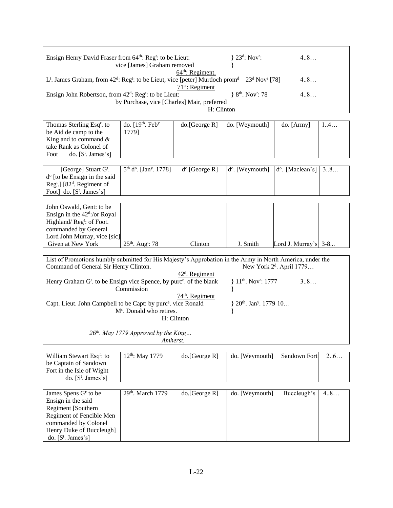| Ensign Henry David Fraser from 64 <sup>th</sup> : Reg <sup>t</sup> : to be Lieut:                                                                                                                        | vice [James] Graham removed<br>$64th$ : Regiment.                                                                                                                                       | $\}$ 23 <sup>d</sup> : Nov <sup>r</sup> : | 4.8                                                |                                      |     |  |  |
|----------------------------------------------------------------------------------------------------------------------------------------------------------------------------------------------------------|-----------------------------------------------------------------------------------------------------------------------------------------------------------------------------------------|-------------------------------------------|----------------------------------------------------|--------------------------------------|-----|--|--|
| L <sup>t</sup> . James Graham, from 42 <sup>d</sup> : Reg <sup>t</sup> : to be Lieut, vice [peter] Murdoch prom <sup>d</sup> 23 <sup>d</sup> Nov <sup>r</sup> [78]<br>4.8<br>71 <sup>st</sup> : Regiment |                                                                                                                                                                                         |                                           |                                                    |                                      |     |  |  |
|                                                                                                                                                                                                          | 4.8<br>Ensign John Robertson, from 42 <sup>d</sup> : Reg <sup>t</sup> : to be Lieut:<br>$\{8^{th}$ . Nov <sup>r</sup> : 78<br>by Purchase, vice [Charles] Mair, preferred<br>H: Clinton |                                           |                                                    |                                      |     |  |  |
|                                                                                                                                                                                                          |                                                                                                                                                                                         |                                           |                                                    |                                      |     |  |  |
| Thomas Sterling Esq <sup>r</sup> . to                                                                                                                                                                    | do. $[19th$ . Feb <sup>y</sup>                                                                                                                                                          | do.[George R]                             | do. [Weymouth]                                     | do. [Army]                           | 1.4 |  |  |
| be Aid de camp to the                                                                                                                                                                                    | 1779]                                                                                                                                                                                   |                                           |                                                    |                                      |     |  |  |
| King and to command $\&$                                                                                                                                                                                 |                                                                                                                                                                                         |                                           |                                                    |                                      |     |  |  |
| take Rank as Colonel of                                                                                                                                                                                  |                                                                                                                                                                                         |                                           |                                                    |                                      |     |  |  |
| do. $[S^t$ . James's]<br>Foot                                                                                                                                                                            |                                                                                                                                                                                         |                                           |                                                    |                                      |     |  |  |
|                                                                                                                                                                                                          |                                                                                                                                                                                         |                                           |                                                    |                                      |     |  |  |
| [George] Stuart G <sup>t</sup> .                                                                                                                                                                         | 5 <sup>th</sup> d <sup>o</sup> . [Jan <sup>y</sup> . 1778]                                                                                                                              | $d^o$ . [George R]                        | $d^{\circ}$ . [Weymouth]                           | d <sup>o</sup> . [Maclean's]         | 38  |  |  |
| d <sup>o</sup> [to be Ensign in the said                                                                                                                                                                 |                                                                                                                                                                                         |                                           |                                                    |                                      |     |  |  |
| Reg <sup>t</sup> .] [82 <sup>d</sup> . Regiment of                                                                                                                                                       |                                                                                                                                                                                         |                                           |                                                    |                                      |     |  |  |
| Foot] do. $[S^t$ . James's]                                                                                                                                                                              |                                                                                                                                                                                         |                                           |                                                    |                                      |     |  |  |
|                                                                                                                                                                                                          |                                                                                                                                                                                         |                                           |                                                    |                                      |     |  |  |
| John Oswald, Gent: to be                                                                                                                                                                                 |                                                                                                                                                                                         |                                           |                                                    |                                      |     |  |  |
| Ensign in the $42^d$ :/or Royal                                                                                                                                                                          |                                                                                                                                                                                         |                                           |                                                    |                                      |     |  |  |
| Highland/Reg <sup>t</sup> : of Foot.                                                                                                                                                                     |                                                                                                                                                                                         |                                           |                                                    |                                      |     |  |  |
| commanded by General                                                                                                                                                                                     |                                                                                                                                                                                         |                                           |                                                    |                                      |     |  |  |
| Lord John Murray, vice [sic]                                                                                                                                                                             |                                                                                                                                                                                         |                                           |                                                    |                                      |     |  |  |
| Given at New York                                                                                                                                                                                        | 25 <sup>th</sup> . Aug <sup>t</sup> : 78                                                                                                                                                | Clinton                                   | J. Smith                                           | Lord J. Murray's $3-8$               |     |  |  |
|                                                                                                                                                                                                          |                                                                                                                                                                                         |                                           |                                                    |                                      |     |  |  |
| List of Promotions humbly submitted for His Majesty's Approbation in the Army in North America, under the                                                                                                |                                                                                                                                                                                         |                                           |                                                    |                                      |     |  |  |
| Command of General Sir Henry Clinton.                                                                                                                                                                    |                                                                                                                                                                                         |                                           |                                                    | New York 2 <sup>d</sup> . April 1779 |     |  |  |
|                                                                                                                                                                                                          |                                                                                                                                                                                         | $42d$ . Regiment                          |                                                    |                                      |     |  |  |
| Henry Graham G <sup>t</sup> . to be Ensign vice Spence, by purc <sup>e</sup> . of the blank                                                                                                              |                                                                                                                                                                                         |                                           | } 11 <sup>th</sup> . Nov <sup>r</sup> : 1777       | 38                                   |     |  |  |
|                                                                                                                                                                                                          | Commission                                                                                                                                                                              |                                           | ł                                                  |                                      |     |  |  |
|                                                                                                                                                                                                          |                                                                                                                                                                                         | 74 <sup>th</sup> . Regiment               |                                                    |                                      |     |  |  |
| Capt. Lieut. John Campbell to be Capt: by purc <sup>e</sup> . vice Ronald                                                                                                                                |                                                                                                                                                                                         |                                           | $\}$ 20 <sup>th</sup> . Jan <sup>y</sup> . 1779 10 |                                      |     |  |  |
|                                                                                                                                                                                                          | M <sup>c</sup> . Donald who retires.                                                                                                                                                    |                                           |                                                    |                                      |     |  |  |
|                                                                                                                                                                                                          |                                                                                                                                                                                         | H: Clinton                                |                                                    |                                      |     |  |  |
|                                                                                                                                                                                                          |                                                                                                                                                                                         |                                           |                                                    |                                      |     |  |  |
|                                                                                                                                                                                                          | 26 <sup>th</sup> . May 1779 Approved by the King                                                                                                                                        |                                           |                                                    |                                      |     |  |  |
|                                                                                                                                                                                                          |                                                                                                                                                                                         | Amherst. –                                |                                                    |                                      |     |  |  |
|                                                                                                                                                                                                          |                                                                                                                                                                                         |                                           |                                                    |                                      |     |  |  |
| William Stawart Ecal <sup>r</sup> to                                                                                                                                                                     | $12^{th}$ M <sub>2y</sub> $1770$                                                                                                                                                        | $d_0$ [George R]                          | do Waymouth                                        | Sandown Fort                         | 26  |  |  |

| William Stewart Esq <sup>r</sup> : to | $12^{th}$ : May 1779 | do.[George R] | do. [Weymouth] | Sandown Fort | 2.6 |
|---------------------------------------|----------------------|---------------|----------------|--------------|-----|
| be Captain of Sandown                 |                      |               |                |              |     |
| Fort in the Isle of Wight             |                      |               |                |              |     |
| do. $[S^t]$ . James's                 |                      |               |                |              |     |

| James Spens G <sup>t:</sup> to be | $29th$ . March 1779 | do.[George R] | do. [Weymouth] | Buccleugh's | 4.8 |
|-----------------------------------|---------------------|---------------|----------------|-------------|-----|
| Ensign in the said                |                     |               |                |             |     |
| Regiment [Southern]               |                     |               |                |             |     |
| Regiment of Fencible Men          |                     |               |                |             |     |
| commanded by Colonel              |                     |               |                |             |     |
| Henry Duke of Buccleugh]          |                     |               |                |             |     |
| do. $[S^t, James's]$              |                     |               |                |             |     |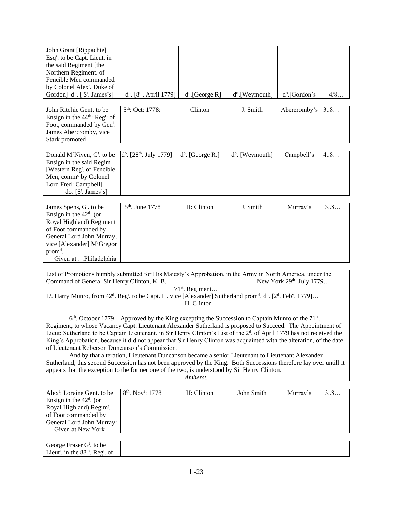| John Grant [Rippachie]<br>Esq <sup>r</sup> . to be Capt. Lieut. in<br>the said Regiment [the                                                                                                                                                     |                                                                                                                 |                     |                             |                            |     |  |  |
|--------------------------------------------------------------------------------------------------------------------------------------------------------------------------------------------------------------------------------------------------|-----------------------------------------------------------------------------------------------------------------|---------------------|-----------------------------|----------------------------|-----|--|--|
| Northern Regiment. of<br>Fencible Men commanded                                                                                                                                                                                                  |                                                                                                                 |                     |                             |                            |     |  |  |
| by Colonel Alex <sup>r</sup> . Duke of                                                                                                                                                                                                           |                                                                                                                 |                     |                             |                            |     |  |  |
| Gordon] d <sup>o</sup> . [ S <sup>t</sup> . James's]                                                                                                                                                                                             | $d^o$ . [8 <sup>th</sup> . April 1779]                                                                          | $d^o$ . [George R]  | d <sup>o</sup> .[Weymouth]  | d <sup>o</sup> .[Gordon's] | 4/8 |  |  |
|                                                                                                                                                                                                                                                  |                                                                                                                 |                     |                             |                            |     |  |  |
| John Ritchie Gent. to be                                                                                                                                                                                                                         | 5 <sup>th</sup> : Oct: 1778:                                                                                    | Clinton             | J. Smith                    | Abercromby's               | 38  |  |  |
| Ensign in the $44th$ : Reg <sup>t</sup> : of<br>Foot, commanded by Gen <sup>1</sup> .                                                                                                                                                            |                                                                                                                 |                     |                             |                            |     |  |  |
| James Abercromby, vice                                                                                                                                                                                                                           |                                                                                                                 |                     |                             |                            |     |  |  |
| Stark promoted                                                                                                                                                                                                                                   |                                                                                                                 |                     |                             |                            |     |  |  |
|                                                                                                                                                                                                                                                  |                                                                                                                 |                     |                             |                            |     |  |  |
| Donald M <sup>c</sup> Niven, G <sup>t</sup> . to be                                                                                                                                                                                              | $d^{\circ}$ . [28 <sup>th</sup> . July 1779]                                                                    | $d^o$ . [George R.] | d <sup>o</sup> . [Weymouth] | Campbell's                 | 4.8 |  |  |
| Ensign in the said Regim <sup>t</sup><br>[Western Reg <sup>t</sup> . of Fencible                                                                                                                                                                 |                                                                                                                 |                     |                             |                            |     |  |  |
| Men, comm <sup>d</sup> by Colonel                                                                                                                                                                                                                |                                                                                                                 |                     |                             |                            |     |  |  |
| Lord Fred: Campbell]                                                                                                                                                                                                                             |                                                                                                                 |                     |                             |                            |     |  |  |
| do. $[S^t$ . James's]                                                                                                                                                                                                                            |                                                                                                                 |                     |                             |                            |     |  |  |
|                                                                                                                                                                                                                                                  |                                                                                                                 |                     |                             |                            |     |  |  |
| James Spens, G <sup>t</sup> . to be                                                                                                                                                                                                              | 5 <sup>th</sup> . June 1778                                                                                     | H: Clinton          | J. Smith                    | Murray's                   | 3.8 |  |  |
| Ensign in the $42d$ . (or<br>Royal Highland) Regiment                                                                                                                                                                                            |                                                                                                                 |                     |                             |                            |     |  |  |
| of Foot commanded by                                                                                                                                                                                                                             |                                                                                                                 |                     |                             |                            |     |  |  |
| General Lord John Murray,                                                                                                                                                                                                                        |                                                                                                                 |                     |                             |                            |     |  |  |
| vice [Alexander] McGregor                                                                                                                                                                                                                        |                                                                                                                 |                     |                             |                            |     |  |  |
| prom <sup>d</sup> .                                                                                                                                                                                                                              |                                                                                                                 |                     |                             |                            |     |  |  |
| Given at Philadelphia                                                                                                                                                                                                                            |                                                                                                                 |                     |                             |                            |     |  |  |
|                                                                                                                                                                                                                                                  |                                                                                                                 |                     |                             |                            |     |  |  |
| List of Promotions humbly submitted for His Majesty's Approbation, in the Army in North America, under the<br>Command of General Sir Henry Clinton, K. B.                                                                                        |                                                                                                                 |                     |                             | New York 29th. July 1779   |     |  |  |
|                                                                                                                                                                                                                                                  |                                                                                                                 | $71st$ . Regiment   |                             |                            |     |  |  |
| L <sup>t</sup> . Harry Munro, from 42 <sup>d</sup> . Reg <sup>t</sup> . to be Capt. L <sup>t</sup> . vice [Alexander] Sutherland prom <sup>d</sup> . d <sup>o</sup> . [2 <sup>d</sup> . Feb <sup>y</sup> . 1779]                                 |                                                                                                                 |                     |                             |                            |     |  |  |
|                                                                                                                                                                                                                                                  |                                                                                                                 | $H.$ Clinton $-$    |                             |                            |     |  |  |
|                                                                                                                                                                                                                                                  |                                                                                                                 |                     |                             |                            |     |  |  |
| Regiment, to whose Vacancy Capt. Lieutenant Alexander Sutherland is proposed to Succeed. The Appointment of                                                                                                                                      | $6th$ . October 1779 – Approved by the King excepting the Succession to Captain Munro of the 71 <sup>st</sup> . |                     |                             |                            |     |  |  |
|                                                                                                                                                                                                                                                  |                                                                                                                 |                     |                             |                            |     |  |  |
| Lieut; Sutherland to be Captain Lieutenant, in Sir Henry Clinton's List of the $2d$ . of April 1779 has not received the<br>King's Approbation, because it did not appear that Sir Henry Clinton was acquainted with the alteration, of the date |                                                                                                                 |                     |                             |                            |     |  |  |

of Lieutenant Roberson Duncanson's Commission. And by that alteration, Lieutenant Duncanson became a senior Lieutenant to Lieutenant Alexander Sutherland, this second Succession has not been approved by the King. Both Successions therefore lay over untill it appears that the exception to the former one of the two, is understood by Sir Henry Clinton.

*Amherst.*

| Alex <sup>r</sup> : Loraine Gent. to be<br>Ensign in the $42d$ . (or<br>Royal Highland) Regim <sup>t</sup> .<br>of Foot commanded by<br>General Lord John Murray:<br>Given at New York | $8th$ . Nov <sup>r</sup> : 1778 | H: Clinton | John Smith | Murray's | 38 |
|----------------------------------------------------------------------------------------------------------------------------------------------------------------------------------------|---------------------------------|------------|------------|----------|----|
|                                                                                                                                                                                        |                                 |            |            |          |    |
| George Fraser G <sup>t</sup> . to be<br>Lieut <sup>t</sup> . in the $88th$ . Reg <sup>t</sup> . of                                                                                     |                                 |            |            |          |    |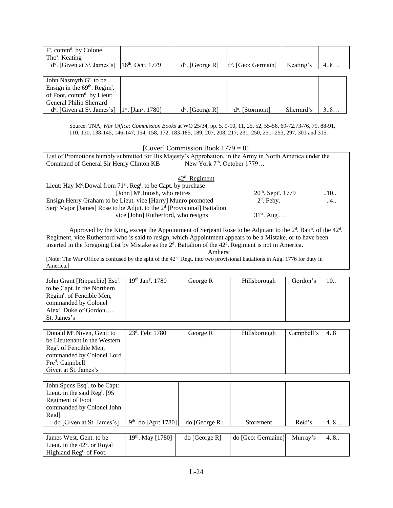| $Ft$ . comm <sup>d</sup> . by Colonel             |                                   |                          |                              |            |     |
|---------------------------------------------------|-----------------------------------|--------------------------|------------------------------|------------|-----|
| Tho <sup>s</sup> . Keating                        |                                   |                          |                              |            |     |
| $d^{\circ}$ . [Given at S <sup>t</sup> . James's] | $16th$ . Oct <sup>r</sup> . 1779  | $d^{\circ}$ . [George R] | $d^{\circ}$ . [Geo: Germain] | Keating's  | 4.8 |
|                                                   |                                   |                          |                              |            |     |
| John Nasmyth G <sup>t</sup> , to be               |                                   |                          |                              |            |     |
| Ensign in the $69th$ . Regim <sup>t</sup> .       |                                   |                          |                              |            |     |
| of Foot, comm <sup>d</sup> . by Lieut:            |                                   |                          |                              |            |     |
| General Philip Sherrard                           |                                   |                          |                              |            |     |
| $d^{\circ}$ . [Given at S <sup>t</sup> . James's] | $1st$ . [Jan <sup>y</sup> . 1780] | $d^{\circ}$ . [George R] | $d^{\circ}$ . [Stormont]     | Sherrard's | 38  |

Source: TNA, *War Office: Commission Books* at WO 25/34, pp. 5, 9-10, 11, 25, 52, 55-56, 69-72.73-76, 79, 88-91, 110, 130, 138-145, 146-147, 154, 158, 172, 183-185, 189, 207, 208, 217, 231, 250, 251- 253, 297, 301 and 315.

[Cover] Commission Book 1779 = 81 List of Promotions humbly submitted for His Majesty's Approbation, in the Army in North America under the Command of General Sir Henry Clinton KB New York 7<sup>th</sup>. October 1779… 42<sup>d</sup>. Regiment Lieut: Hay  $M^c$ . Dowal from  $71^{st}$ . Reg<sup>t</sup>. to be Capt. by purchase [John] M<sup>c</sup>.Intosh, who retires 20<sup>th</sup>. Sept<sup>r</sup> 20<sup>th</sup>. Sept<sup>r</sup>. 1779 ... 10... Ensign Henry Graham to be Lieut. vice [Harry] Munro promoted 2  $\alpha$ . Feby.  $\ldots$  ..4.. Serj<sup>t</sup> Major [James] Rose to be Adjut. to the 2<sup>d</sup> [Provisional] Battalion vice [John] Rutherford, who resigns 31<sup>st</sup>. Aug<sup>t</sup>...

Approved by the King, except the Appointment of Serjeant Rose to be Adjutant to the  $2<sup>d</sup>$ . Batt<sup>n</sup>. of the  $42<sup>d</sup>$ . Regiment, vice Rutherford who is said to resign, which Appointment appears to be a Mistake, or to have been inserted in the foregoing List by Mistake as the  $2<sup>d</sup>$ . Battalion of the  $42<sup>d</sup>$ . Regiment is not in America.

Amherst

[Note: The War Office is confused by the split of the 42nd Regt. into two provisional battalions in Aug. 1776 for duty in America.]

| John Grant [Rippachie] Esq <sup>r</sup> .<br>to be Capt. in the Northern<br>Regim <sup>t</sup> . of Fencible Men,<br>commanded by Colonel<br>Alex <sup>r</sup> . Duke of Gordon<br>St. James's | $19th$ Jan <sup>y</sup> , 1780 | George R | Hillsborough | Gordon's   | 10. |
|------------------------------------------------------------------------------------------------------------------------------------------------------------------------------------------------|--------------------------------|----------|--------------|------------|-----|
| Donald $Mc$ . Niven, Gent: to<br>be Lieutenant in the Western<br>Regt. of Fencible Men,<br>commanded by Colonel Lord<br>Fre <sup>d</sup> : Campbell<br>Given at St. James's                    | $23d$ . Feb: 1780              | George R | Hillsborough | Campbell's | 4.8 |

| John Spens Esq <sup>r</sup> . to be Capt: |                        |               |           |        |      |
|-------------------------------------------|------------------------|---------------|-----------|--------|------|
| Lieut. in the said $Regt$ . [95]          |                        |               |           |        |      |
| Regiment of Foot                          |                        |               |           |        |      |
| commanded by Colonel John                 |                        |               |           |        |      |
| Reid]                                     |                        |               |           |        |      |
| do [Given at St. James's]                 | $9th$ . do [Apr: 1780] | do [George R] | Storement | Reid's | 4.8. |
|                                           |                        |               |           |        |      |

| James West, Gent. to be              | $19th$ . May [1780] | do [George R] | do [Geo: Germaine] | Murray's | 48 |
|--------------------------------------|---------------------|---------------|--------------------|----------|----|
| Lieut. in the $42d$ or Royal         |                     |               |                    |          |    |
| Highland Reg <sup>t</sup> . of Foot. |                     |               |                    |          |    |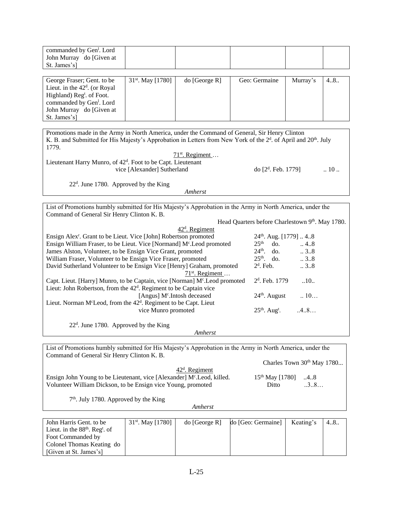| John Murray do [Given at<br>St. James's] |
|------------------------------------------|
|------------------------------------------|

| George Fraser; Gent. to be           | $31st$ . May [1780] | do [George R] | Geo: Germaine | Murray's | 48 |
|--------------------------------------|---------------------|---------------|---------------|----------|----|
| Lieut. in the $42d$ . (or Royal      |                     |               |               |          |    |
| Highland) Reg <sup>t</sup> of Foot.  |                     |               |               |          |    |
| commanded by Gen <sup>1</sup> . Lord |                     |               |               |          |    |
| John Murray do [Given at             |                     |               |               |          |    |
| St. James's]                         |                     |               |               |          |    |

| Promotions made in the Army in North America, under the Command of General, Sir Henry Clinton                           |                        |                      |  |  |  |
|-------------------------------------------------------------------------------------------------------------------------|------------------------|----------------------|--|--|--|
| K. B. and Submitted for His Majesty's Approbation in Letters from New York of the $2^d$ . of April and $20^{th}$ . July |                        |                      |  |  |  |
| 1779.                                                                                                                   |                        |                      |  |  |  |
| $71st$ . Regiment                                                                                                       |                        |                      |  |  |  |
| Lieutenant Harry Munro, of 42 <sup>d</sup> . Foot to be Capt. Lieutenant                                                |                        |                      |  |  |  |
| vice [Alexander] Sutherland                                                                                             | do $[2^d$ . Feb. 1779] | $\ldots$ 10 $\ldots$ |  |  |  |
|                                                                                                                         |                        |                      |  |  |  |

22<sup>d</sup>. June 1780. Approved by the King

*Amherst*

List of Promotions humbly submitted for His Majesty's Approbation in the Army in North America, under the Command of General Sir Henry Clinton K. B.

|                                                                                          | Head Quarters before Charlestown 9th. May 1780. |                 |
|------------------------------------------------------------------------------------------|-------------------------------------------------|-----------------|
| $42d$ . Regiment                                                                         |                                                 |                 |
| Ensign Alex <sup>r</sup> . Grant to be Lieut. Vice [John] Robertson promoted             | $24th$ . Aug. [1779]  48                        |                 |
| Ensign William Fraser, to be Lieut. Vice [Normand] M <sup>c</sup> . Leod promoted        | 25 <sup>th</sup><br>do.                         | $\dots$ 4.8     |
| James Alston, Volunteer, to be Ensign Vice Grant, promoted                               | $24th$ . do.                                    | $\therefore$ 38 |
| William Fraser, Volunteer to be Ensign Vice Fraser, promoted                             | $25th$ . do.                                    | $\therefore$ 38 |
| David Sutherland Volunteer to be Ensign Vice [Henry] Graham, promoted                    | $2d$ . Feb.                                     | $\ldots$ 38     |
| $71st$ . Regiment                                                                        |                                                 |                 |
| Capt. Lieut. [Harry] Munro, to be Captain, vice [Norman] M <sup>c</sup> . Leod promoted  | $2d$ . Feb. 1779                                | .10.            |
| Lieut: John Robertson, from the 42 <sup>d</sup> . Regiment to be Captain vice            |                                                 |                 |
| [Angus] M <sup>c</sup> . Intosh deceased                                                 | $24th$ . August                                 | $\therefore$ 10 |
| Lieut. Norman M <sup>c</sup> Leod, from the 42 <sup>d</sup> . Regiment to be Capt. Lieut |                                                 |                 |
| vice Munro promoted                                                                      | $25th$ . Aug <sup>t</sup> .                     | .4.8            |
| $22d$ . June 1780. Approved by the King                                                  |                                                 |                 |
|                                                                                          |                                                 |                 |

*Amherst*

List of Promotions humbly submitted for His Majesty's Approbation in the Army in North America, under the Command of General Sir Henry Clinton K. B.

Charles Town 30<sup>th</sup> May 1780...

| $42d$ . Regiment                                                                    |                         |     |
|-------------------------------------------------------------------------------------|-------------------------|-----|
| Ensign John Young to be Lieutenant, vice [Alexander] M <sup>c</sup> . Leod, killed. | $15^{th}$ May [1780] 48 |     |
| Volunteer William Dickson, to be Ensign vice Young, promoted                        | Ditto                   | 3.8 |

7<sup>th</sup>. July 1780. Approved by the King

*Amherst*

| John Harris Gent. to be                      | $31st$ . May [1780] | do [George R] | do [Geo: Germaine] | Keating's | 48 |
|----------------------------------------------|---------------------|---------------|--------------------|-----------|----|
| Lieut. in the $88th$ . Reg <sup>t</sup> . of |                     |               |                    |           |    |
| Foot Commanded by                            |                     |               |                    |           |    |
| Colonel Thomas Keating do                    |                     |               |                    |           |    |
| [Given at St. James's]                       |                     |               |                    |           |    |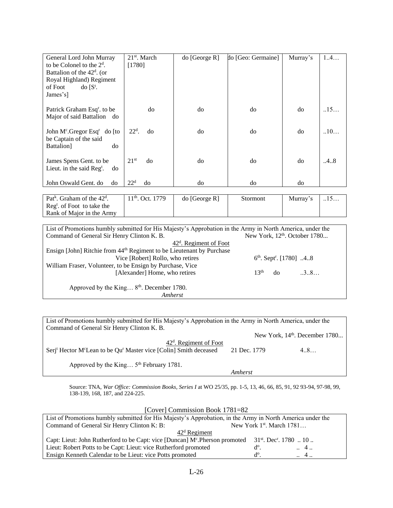| General Lord John Murray                            | $21st$ . March         | $\text{do}$ [George R] | do [Geo: Germaine] | Murray's | 1.4  |
|-----------------------------------------------------|------------------------|------------------------|--------------------|----------|------|
| to be Colonel to the $2d$ .                         | [1780]                 |                        |                    |          |      |
| Battalion of the $42d$ . (or                        |                        |                        |                    |          |      |
| Royal Highland) Regiment                            |                        |                        |                    |          |      |
| $d\sigma$ [ $S^t$ .<br>of Foot                      |                        |                        |                    |          |      |
| James's]                                            |                        |                        |                    |          |      |
|                                                     |                        |                        |                    |          |      |
| Patrick Graham Esq <sup>r</sup> . to be             | do                     | do                     | do                 | do       | .15  |
| Major of said Battalion do                          |                        |                        |                    |          |      |
| John M <sup>c</sup> .Gregor Esq <sup>r</sup> do [to | $22d$ .<br>do          | do                     | do                 | do       | .10  |
| be Captain of the said                              |                        |                        |                    |          |      |
| do<br>Battalion]                                    |                        |                        |                    |          |      |
|                                                     |                        |                        |                    |          |      |
| James Spens Gent. to be                             | 21 <sup>st</sup><br>do | do                     | do                 | do       | .4.8 |
| Lieut. in the said $\text{Reg}^t$ .<br>do           |                        |                        |                    |          |      |
|                                                     |                        |                        |                    |          |      |
| John Oswald Gent. do<br>do                          | 22 <sup>d</sup><br>do  | do                     | do                 | do       |      |

Pat<sup>k</sup>. Graham of the 42<sup>d</sup>. Reg<sup>t</sup>. of Foot to take the Rank of Major in the Army  $11<sup>th</sup>$ . Oct. 1779  $\qquad$  do [George R] Stormont Murray's  $\qquad$ ...15...

| List of Promotions humbly submitted for His Majesty's Approbation in the Army in North America, under the |                  |    |                                           |
|-----------------------------------------------------------------------------------------------------------|------------------|----|-------------------------------------------|
| Command of General Sir Henry Clinton K. B.                                                                |                  |    | New York, 12 <sup>th</sup> . October 1780 |
| $42d$ . Regiment of Foot                                                                                  |                  |    |                                           |
| Ensign [John] Ritchie from 44 <sup>th</sup> Regiment to be Lieutenant by Purchase                         |                  |    |                                           |
| Vice [Robert] Rollo, who retires                                                                          |                  |    | $6th$ . Sept <sup>r</sup> . [1780] 48     |
| William Fraser, Volunteer, to be Ensign by Purchase, Vice                                                 |                  |    |                                           |
| [Alexander] Home, who retires                                                                             | 13 <sup>th</sup> | do | 3.8                                       |
|                                                                                                           |                  |    |                                           |
| Approved by the King 8 <sup>th</sup> . December 1780.                                                     |                  |    |                                           |
| <i>Amherst</i>                                                                                            |                  |    |                                           |

List of Promotions humbly submitted for His Majesty's Approbation in the Army in North America, under the Command of General Sir Henry Clinton K. B. New York, 14<sup>th</sup>. December 1780... 42<sup>d</sup>. Regiment of Foot Serj<sup>t</sup> Hector M<sup>c</sup>Lean to be Qu<sup>r</sup> Master vice [Colin] Smith deceased  $21$  Dec. 1779 4..8... Approved by the King...  $5<sup>th</sup>$  February 1781. *Amherst*

Source: TNA, *War Office: Commission Books, Series I* at WO 25/35, pp. 1-5, 13, 46, 66, 85, 91, 92 93-94, 97-98, 99, 138-139, 168, 187, and 224-225.

| [Cover] Commission Book 1781=82                                                                                               |               |                               |  |  |  |
|-------------------------------------------------------------------------------------------------------------------------------|---------------|-------------------------------|--|--|--|
| List of Promotions humbly submitted for His Majesty's Approbation, in the Army in North America under the                     |               |                               |  |  |  |
| Command of General Sir Henry Clinton K: B:                                                                                    |               | New York $1st$ . March $1781$ |  |  |  |
| $42d$ Regiment                                                                                                                |               |                               |  |  |  |
| Capt: Lieut: John Rutherford to be Capt: vice [Duncan] $Mc$ . Pherson promoted 31 <sup>st</sup> . Dec <sup>r</sup> . 1780  10 |               |                               |  |  |  |
| Lieut: Robert Potts to be Capt: Lieut: vice Rutherford promoted                                                               | $d^{\circ}$ . | $\therefore$ 4.               |  |  |  |
| Ensign Kenneth Calendar to be Lieut: vice Potts promoted                                                                      | $d^o$         | $\therefore$ 4.               |  |  |  |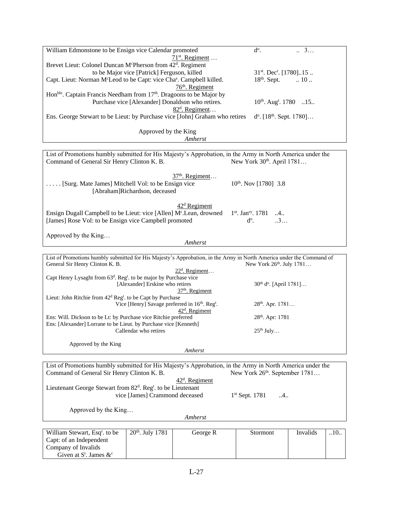| William Edmonstone to be Ensign vice Calendar promoted                                                                                                  |                                              |                                                  | $d^o$ .                                        | 3                            |      |
|---------------------------------------------------------------------------------------------------------------------------------------------------------|----------------------------------------------|--------------------------------------------------|------------------------------------------------|------------------------------|------|
|                                                                                                                                                         |                                              | $71st$ . Regiment                                |                                                |                              |      |
| Brevet Lieut: Colonel Duncan M <sup>c</sup> Pherson from 42 <sup>d</sup> . Regiment                                                                     |                                              |                                                  |                                                |                              |      |
|                                                                                                                                                         | to be Major vice [Patrick] Ferguson, killed  |                                                  | $31st$ . Dec <sup>r</sup> . [1780]15           |                              |      |
| Capt. Lieut: Norman M <sup>c</sup> Leod to be Capt: vice Cha <sup>s</sup> . Campbell killed.<br>76 <sup>th</sup> . Regiment                             |                                              |                                                  | $18th$ . Sept.                                 | $\therefore$ 10 $\therefore$ |      |
| Hon <sup>ble</sup> . Captain Francis Needham from 17 <sup>th</sup> . Dragoons to be Major by                                                            |                                              |                                                  |                                                |                              |      |
|                                                                                                                                                         |                                              | Purchase vice [Alexander] Donaldson who retires. | $10^{th}$ . Aug <sup>t</sup> . 1780 15         |                              |      |
|                                                                                                                                                         |                                              | $82d$ . Regiment                                 |                                                |                              |      |
| Ens. George Stewart to be Lieut: by Purchase vice [John] Graham who retires                                                                             |                                              |                                                  | $d^o$ . [18 <sup>th</sup> . Sept. 1780]        |                              |      |
|                                                                                                                                                         | Approved by the King                         |                                                  |                                                |                              |      |
|                                                                                                                                                         |                                              | Amherst                                          |                                                |                              |      |
|                                                                                                                                                         |                                              |                                                  |                                                |                              |      |
| List of Promotions humbly submitted for His Majesty's Approbation, in the Army in North America under the<br>Command of General Sir Henry Clinton K. B. |                                              |                                                  | New York 30 <sup>th</sup> . April 1781         |                              |      |
|                                                                                                                                                         |                                              | 37 <sup>th</sup> . Regiment                      |                                                |                              |      |
| [Surg. Mate James] Mitchell Vol: to be Ensign vice                                                                                                      |                                              |                                                  | $10^{th}$ . Nov [1780] 3.8                     |                              |      |
|                                                                                                                                                         | [Abraham]Richardson, deceased                |                                                  |                                                |                              |      |
|                                                                                                                                                         |                                              |                                                  |                                                |                              |      |
|                                                                                                                                                         |                                              | $42d$ Regiment                                   |                                                |                              |      |
| Ensign Dugall Campbell to be Lieut: vice [Allen] M <sup>c</sup> . Lean, drowned                                                                         |                                              |                                                  | $1st$ . Jan <sup>ry</sup> . 1781 4             |                              |      |
| [James] Rose Vol: to be Ensign vice Campbell promoted                                                                                                   |                                              |                                                  | 3<br>$d^o$ .                                   |                              |      |
| Approved by the King                                                                                                                                    |                                              |                                                  |                                                |                              |      |
|                                                                                                                                                         |                                              | Amherst                                          |                                                |                              |      |
|                                                                                                                                                         |                                              |                                                  |                                                |                              |      |
| List of Promotions humbly submitted for His Majesty's Approbation, in the Army in North America under the Command of                                    |                                              |                                                  |                                                |                              |      |
| General Sir Henry Clinton K. B.                                                                                                                         |                                              | $22d$ . Regiment                                 | New York 26th. July 1781                       |                              |      |
| Capt Henry Lysaght from 63 <sup>d</sup> . Reg <sup>t</sup> . to be major by Purchase vice                                                               |                                              |                                                  |                                                |                              |      |
|                                                                                                                                                         | [Alexander] Erskine who retires              |                                                  | 30 <sup>th</sup> d <sup>o</sup> . [April 1781] |                              |      |
|                                                                                                                                                         |                                              | 37 <sup>th</sup> . Regiment                      |                                                |                              |      |
| Lieut: John Ritchie from 42 <sup>d</sup> Reg <sup>t</sup> to be Capt by Purchase                                                                        | Vice [Henry] Savage preferred in 16th. Regt. |                                                  | 28 <sup>th</sup> . Apr. 1781                   |                              |      |
|                                                                                                                                                         |                                              | 42 <sup>d</sup> . Regiment                       |                                                |                              |      |
| Ens: Will. Dickson to be Lt: by Purchase vice Ritchie preferred                                                                                         |                                              |                                                  | 28 <sup>th</sup> . Apr: 1781                   |                              |      |
| Ens: [Alexander] Lorrane to be Lieut. by Purchase vice [Kenneth]                                                                                        | Callendar who retires                        |                                                  | $25^{\text{th}}$ July                          |                              |      |
|                                                                                                                                                         |                                              |                                                  |                                                |                              |      |
| Approved by the King                                                                                                                                    |                                              |                                                  |                                                |                              |      |
|                                                                                                                                                         |                                              | Amherst                                          |                                                |                              |      |
|                                                                                                                                                         |                                              |                                                  |                                                |                              |      |
| List of Promotions humbly submitted for His Majesty's Approbation, in the Army in North America under the<br>Command of General Sir Henry Clinton K. B. |                                              |                                                  | New York 26 <sup>th</sup> . September 1781     |                              |      |
|                                                                                                                                                         |                                              | $42d$ . Regiment                                 |                                                |                              |      |
| Lieutenant George Stewart from 82 <sup>d</sup> . Reg <sup>t</sup> to be Lieutenant                                                                      |                                              |                                                  |                                                |                              |      |
|                                                                                                                                                         | vice [James] Crammond deceased               |                                                  | 1 <sup>st</sup> Sept. 1781<br>4                |                              |      |
|                                                                                                                                                         |                                              |                                                  |                                                |                              |      |
| Approved by the King                                                                                                                                    |                                              |                                                  |                                                |                              |      |
|                                                                                                                                                         |                                              | Amherst                                          |                                                |                              |      |
|                                                                                                                                                         |                                              |                                                  |                                                |                              |      |
| William Stewart, Esq <sup>r</sup> . to be                                                                                                               | 20 <sup>th</sup> . July 1781                 | George R                                         | Stormont                                       | Invalids                     | .10. |

| William Stewart, Esq <sup>r</sup> , to be | $20th$ . July 1781 | George R | Stormont | Invalids | 10 |
|-------------------------------------------|--------------------|----------|----------|----------|----|
| Capt: of an Independent                   |                    |          |          |          |    |
| Company of Invalids                       |                    |          |          |          |    |
| Given at $S^t$ . James $\&^c$             |                    |          |          |          |    |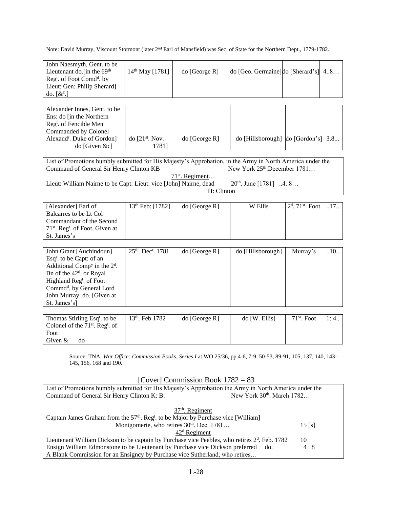Note: David Murray, Viscount Stormont (later 2nd Earl of Mansfield) was Sec. of State for the Northern Dept., 1779-1782.

| John Naesmyth, Gent. to be<br>Lieutenant do.[in the 69 <sup>th</sup><br>Reg <sup>t</sup> . of Foot Comd <sup>d</sup> . by<br>Lieut: Gen: Philip Sherard]<br>do. $[\&c$ <sup>c</sup> .]                                                                                                                                                   | 14 <sup>th</sup> May [1781]   | do [George R]                   | do [Geo. Germaine] do [Sherard's] 4.8                               |                                |      |
|------------------------------------------------------------------------------------------------------------------------------------------------------------------------------------------------------------------------------------------------------------------------------------------------------------------------------------------|-------------------------------|---------------------------------|---------------------------------------------------------------------|--------------------------------|------|
| Alexander Innes, Gent. to be<br>Ens: do [in the Northern<br>Reg <sup>t</sup> . of Fencible Men<br>Commanded by Colonel<br>Alexand <sup>r</sup> . Duke of Gordon]<br>do [Given &c]                                                                                                                                                        | do $[21st$ . Nov.<br>1781]    | do [George R]                   | do [Hillsborough] do [Gordon's] 3.8                                 |                                |      |
| List of Promotions humbly submitted for His Majesty's Approbation, in the Army in North America under the<br>Command of General Sir Henry Clinton KB<br>Lieut: William Nairne to be Capt: Lieut: vice [John] Nairne, dead                                                                                                                |                               | $71st$ . Regiment<br>H: Clinton | New York 25 <sup>th</sup> .December 1781<br>$20th$ . June [1781] 48 |                                |      |
| [Alexander] Earl of<br>Balcarres to be Lt Col<br>Commandant of the Second<br>71 <sup>st</sup> . Reg <sup>t</sup> . of Foot, Given at<br>St. James's                                                                                                                                                                                      | 13 <sup>th</sup> Feb: [1782]  | do [George R]                   | W Ellis                                                             | $2d$ . 71 <sup>st</sup> . Foot | .17. |
| John Grant [Auchindoun]<br>Esq <sup>r</sup> . to be Capt: of an<br>Additional Comp <sup>y</sup> in the $2d$ .<br>Bn of the 42 <sup>d</sup> . or Royal<br>Highland Reg <sup>t</sup> . of Foot<br>Commd <sup>d</sup> . by General Lord<br>John Murray do. [Given at<br>St. James's]                                                        | 25th, Dec <sup>r</sup> , 1781 | do [George R]                   | do [Hillsborough]                                                   | Murray's                       | .10. |
| Thomas Stirling Esq <sup>r</sup> . to be<br>Colonel of the 71 <sup>st</sup> . Reg <sup>t</sup> . of<br>Foot<br>Given $\&^{\circ}$<br>do                                                                                                                                                                                                  | 13th. Feb 1782                | do [George R]                   | do [W. Ellis]                                                       | 71st. Foot                     | 1:4. |
| Source: TNA, War Office: Commission Books, Series I at WO 25/36, pp.4-6, 7-9, 50-53, 89-91, 105, 137, 140, 143-<br>145, 156, 168 and 190.<br>[Cover] Commission Book $1782 = 83$                                                                                                                                                         |                               |                                 |                                                                     |                                |      |
| List of Promotions humbly submitted for His Majesty's Approbation the Army in North America under the<br>New York 30 <sup>th</sup> . March 1782<br>Command of General Sir Henry Clinton K: B:                                                                                                                                            |                               |                                 |                                                                     |                                |      |
| $37th$ . Regiment<br>Captain James Graham from the 57 <sup>th</sup> . Reg <sup>t</sup> to be Major by Purchase vice [William]<br>Montgomerie, who retires 30 <sup>th</sup> . Dec. 1781<br>$15$ [s]<br>$42d$ Regiment<br>Lieutepant William Dickson to be captain by Purchase vice Peebles, who retires $2^d$ Feb. 1782<br>1 <sub>0</sub> |                               |                                 |                                                                     |                                |      |

Lieutenant William Dickson to be captain by Purchase vice Peebles, who retires  $2<sup>d</sup>$ . Feb. 1782 10 Ensign William Edmonstone to be Lieutenant by Purchase vice Dickson preferred do. 4 8 A Blank Commission for an Ensigncy by Purchase vice Sutherland, who retires…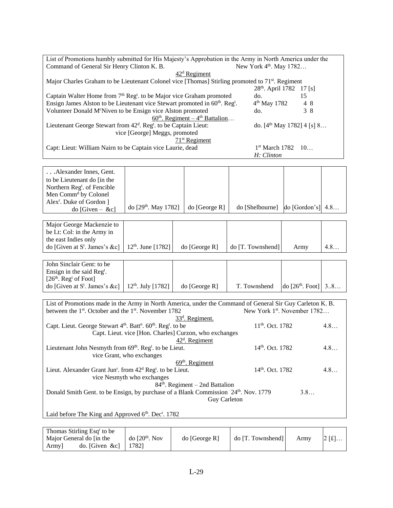| List of Promotions humbly submitted for His Majesty's Approbation in the Army in North America under the     |                                      |    |  |  |  |
|--------------------------------------------------------------------------------------------------------------|--------------------------------------|----|--|--|--|
| Command of General Sir Henry Clinton K. B.                                                                   | New York 4 <sup>th</sup> . May 1782  |    |  |  |  |
| $42d$ Regiment                                                                                               |                                      |    |  |  |  |
| Major Charles Graham to be Lieutenant Colonel vice [Thomas] Stirling promoted to 71 <sup>st</sup> . Regiment |                                      |    |  |  |  |
|                                                                                                              | 28 <sup>th</sup> . April 1782 17 [s] |    |  |  |  |
| Captain Walter Home from $7th$ Reg <sup>t</sup> . to be Major vice Graham promoted                           | do.                                  | 15 |  |  |  |
| Ensign James Alston to be Lieutenant vice Stewart promoted in 60 <sup>th</sup> . Reg <sup>t</sup> .          | $4th$ May 1782                       | 48 |  |  |  |
| Volunteer Donald M <sup>c</sup> Niven to be Ensign vice Alston promoted                                      | do.                                  | 38 |  |  |  |
| $60th$ . Regiment – 4 <sup>th</sup> Battalion                                                                |                                      |    |  |  |  |
| Lieutenant George Stewart from 42 <sup>d</sup> . Reg <sup>t</sup> . to be Captain Lieut:                     | do. $[4th$ May 1782] $4$ [s] 8       |    |  |  |  |
| vice [George] Meggs, promoted                                                                                |                                      |    |  |  |  |
| $71st$ Regiment                                                                                              |                                      |    |  |  |  |
| Capt: Lieut: William Nairn to be Captain vice Laurie, dead                                                   | $1st$ March 1782 $10$                |    |  |  |  |
|                                                                                                              | H: Clinton                           |    |  |  |  |

| Alexander Innes, Gent.               |                        |               |                                               |  |
|--------------------------------------|------------------------|---------------|-----------------------------------------------|--|
| to be Lieutenant do fin the          |                        |               |                                               |  |
| Northern Regt. of Fencible           |                        |               |                                               |  |
| Men Comm <sup>d</sup> by Colonel     |                        |               |                                               |  |
| Alex <sup>r</sup> . Duke of Gordon 1 |                        |               |                                               |  |
| $\text{do}$ [Given – &c]             | do $[29th$ . May 1782] | do [George R] | $\alpha$ [Shelbourne] $\alpha$ [Gordon's] 4.8 |  |

| Major George Mackenzie to                                        |               |                   |      |     |
|------------------------------------------------------------------|---------------|-------------------|------|-----|
| be Lt: Col: in the Army in                                       |               |                   |      |     |
| the east Indies only                                             |               |                   |      |     |
| do [Given at S <sup>t</sup> . James's &c]   $12th$ . June [1782] | do [George R] | do [T. Townshend] | Army | 4.8 |

| John Sinclair Gent: to be                                        |               |              |                             |  |
|------------------------------------------------------------------|---------------|--------------|-----------------------------|--|
| Ensign in the said $\text{Reg}^t$ .                              |               |              |                             |  |
| $[26th$ . Reg <sup>t</sup> of Foot]                              |               |              |                             |  |
| do [Given at S <sup>t</sup> . James's &c]   $12th$ . July [1782] | do [George R] | T. Townshend | do $[26^{th}$ . Foot $] 38$ |  |

| List of Promotions made in the Army in North America, under the Command of General Sir Guy Carleton K. B. |                                  |     |  |  |  |
|-----------------------------------------------------------------------------------------------------------|----------------------------------|-----|--|--|--|
| between the $1st$ . October and the $1st$ . November 1782                                                 | New York $1st$ . November $1782$ |     |  |  |  |
| $33d$ . Regiment.                                                                                         |                                  |     |  |  |  |
| Capt. Lieut. George Stewart $4th$ . Batt <sup>n</sup> . 60 <sup>th</sup> . Reg <sup>t</sup> . to be       | $11th$ . Oct. 1782               | 4.8 |  |  |  |
| Capt. Lieut. vice [Hon. Charles] Curzon, who exchanges                                                    |                                  |     |  |  |  |
| $42d$ . Regiment                                                                                          |                                  |     |  |  |  |
| Lieutenant John Nesmyth from 69 <sup>th</sup> . Reg <sup>t</sup> to be Lieut.                             | 14 <sup>th</sup> , Oct. 1782     | 4.8 |  |  |  |
| vice Grant, who exchanges                                                                                 |                                  |     |  |  |  |
| $69th$ . Regiment                                                                                         |                                  |     |  |  |  |
| Lieut. Alexander Grant Jun <sup>r</sup> . from 42 <sup>d</sup> Reg <sup>t</sup> . to be Lieut.            | 14 <sup>th</sup> , Oct. 1782     | 4.8 |  |  |  |
| vice Nesmyth who exchanges                                                                                |                                  |     |  |  |  |
| $84th$ . Regiment – 2nd Battalion                                                                         |                                  |     |  |  |  |
| Donald Smith Gent. to be Ensign, by purchase of a Blank Commission 24th. Nov. 1779                        |                                  | 3.8 |  |  |  |
| <b>Guy Carleton</b>                                                                                       |                                  |     |  |  |  |
|                                                                                                           |                                  |     |  |  |  |

Laid before The King and Approved 6<sup>th</sup>. Dec<sup>r</sup>. 1782

| Thomas Stirling Esq <sup>r</sup> to be |                  |               |                   |      |          |
|----------------------------------------|------------------|---------------|-------------------|------|----------|
| Major General do [in the               | do $[20th$ . Nov | do [George R] | do [T. Townshend] | Army | $2[f_1]$ |
| $\phi$ . [Given &c]<br><b>Army</b>     | 7821             |               |                   |      |          |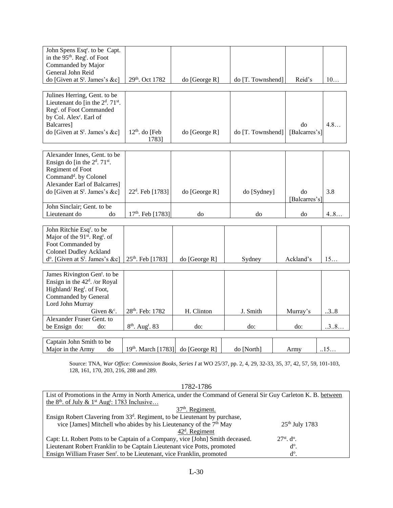| John Spens Esq <sup>r</sup> . to be Capt.             |                                         |                 |                   |               |      |
|-------------------------------------------------------|-----------------------------------------|-----------------|-------------------|---------------|------|
| in the 95 <sup>th</sup> . Reg <sup>t</sup> . of Foot  |                                         |                 |                   |               |      |
| Commanded by Major                                    |                                         |                 |                   |               |      |
| General John Reid                                     |                                         |                 |                   |               |      |
| do [Given at $S^t$ . James's &c]                      | 29th. Oct 1782                          | do [George R]   | do [T. Townshend] | Reid's        | 10   |
|                                                       |                                         |                 |                   |               |      |
| Julines Herring, Gent. to be                          |                                         |                 |                   |               |      |
| Lieutenant do [in the $2d$ . 71 <sup>st</sup> .       |                                         |                 |                   |               |      |
| Reg <sup>t</sup> . of Foot Commanded                  |                                         |                 |                   |               |      |
| by Col. Alex <sup>r</sup> . Earl of                   |                                         |                 |                   |               |      |
| Balcarres]                                            |                                         |                 |                   | do            | 4.8  |
| do [Given at $S^t$ . James's &c]                      | $12th$ . do [Feb                        | do [George R]   | do [T. Townshend] | [Balcarres's] |      |
|                                                       | 1783]                                   |                 |                   |               |      |
|                                                       |                                         |                 |                   |               |      |
| Alexander Innes, Gent. to be                          |                                         |                 |                   |               |      |
| Ensign do [in the $2d$ . 71 <sup>st</sup> .           |                                         |                 |                   |               |      |
| Regiment of Foot                                      |                                         |                 |                   |               |      |
| Command <sup>d</sup> . by Colonel                     |                                         |                 |                   |               |      |
| Alexander Earl of Balcarres]                          |                                         |                 |                   |               |      |
| do [Given at $S^t$ . James's &c]                      | $22d$ . Feb [1783]                      | do [George R]   | do [Sydney]       | do            | 3.8  |
|                                                       |                                         |                 |                   | [Balcarres's] |      |
| John Sinclair; Gent. to be                            |                                         |                 |                   |               |      |
| Lieutenant do<br>do                                   | $17th$ . Feb [1783]                     | do              | do                | do            | 4.8  |
|                                                       |                                         |                 |                   |               |      |
| John Ritchie Esq <sup>r</sup> . to be                 |                                         |                 |                   |               |      |
| Major of the 91 <sup>st</sup> . Reg <sup>t</sup> . of |                                         |                 |                   |               |      |
| Foot Commanded by                                     |                                         |                 |                   |               |      |
| <b>Colonel Dudley Ackland</b>                         |                                         |                 |                   |               |      |
| $d^{\circ}$ . [Given at S <sup>t</sup> . James's &c]  | 25 <sup>th</sup> . Feb [1783]           | do [George R]   | Sydney            | Ackland's     | 15   |
|                                                       |                                         |                 |                   |               |      |
| James Rivington Gen <sup>t</sup> . to be              |                                         |                 |                   |               |      |
| Ensign in the $42d$ . /or Royal                       |                                         |                 |                   |               |      |
| Highland/Regt. of Foot,                               |                                         |                 |                   |               |      |
| Commanded by General                                  |                                         |                 |                   |               |      |
| Lord John Murray                                      |                                         |                 |                   |               |      |
| Given $\&c$ .                                         | 28th. Feb: 1782                         | H. Clinton      | J. Smith          | Murray's      | 38   |
| Alexander Fraser Gent. to                             |                                         |                 |                   |               |      |
| be Ensign do:<br>do:                                  | 8 <sup>th</sup> . Aug <sup>t</sup> . 83 | do:             | do:               | do:           | .3.8 |
|                                                       |                                         |                 |                   |               |      |
| Captain John Smith to be                              |                                         |                 |                   |               |      |
| Major in the Army<br>do                               | 19th. March [1783]                      | $do$ [George R] | do [North]        | Army          | .15  |

Source: TNA, *War Office: Commission Books, Series I* at WO 25/37, pp. 2, 4, 29, 32-33, 35, 37, 42, 57, 59, 101-103, 128, 161, 170, 203, 216, 288 and 289.

| 1782-1786                                                                                                    |                  |  |  |  |
|--------------------------------------------------------------------------------------------------------------|------------------|--|--|--|
| List of Promotions in the Army in North America, under the Command of General Sir Guy Carleton K. B. between |                  |  |  |  |
| the 8 <sup>th</sup> . of July & 1 <sup>st</sup> Aug <sup>t</sup> : 1783 Inclusive                            |                  |  |  |  |
| $37th$ . Regiment.                                                                                           |                  |  |  |  |
| Ensign Robert Clavering from 33 <sup>d</sup> . Regiment, to be Lieutenant by purchase,                       |                  |  |  |  |
| vice [James] Mitchell who abides by his Lieutenancy of the 7 <sup>th</sup> May                               | $25th$ July 1783 |  |  |  |
| $42d$ . Regiment                                                                                             |                  |  |  |  |
| Capt: Lt. Robert Potts to be Captain of a Company, vice [John] Smith deceased.<br>$27st$ . d <sup>o</sup> .  |                  |  |  |  |
| Lieutenant Robert Franklin to be Captain Lieutenant vice Potts, promoted<br>$d^{\circ}$ .                    |                  |  |  |  |
| Ensign William Fraser Sen <sup>r</sup> . to be Lieutenant, vice Franklin, promoted                           | $d^{\circ}$ .    |  |  |  |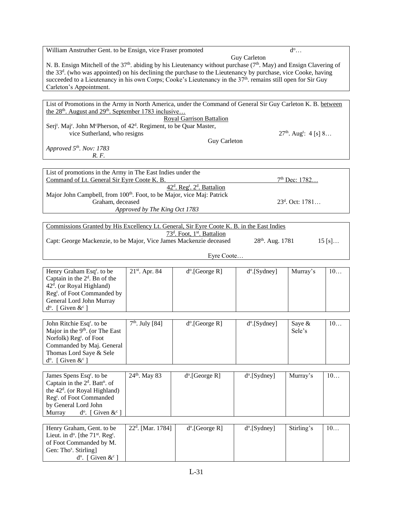William Anstruther Gent. to be Ensign, vice Fraser promoted

Guy Carleton

 $d^{\circ}$ ...

N. B. Ensign Mitchell of the 37<sup>th</sup>. abiding by his Lieutenancy without purchase (7<sup>th</sup>. May) and Ensign Clavering of the 33<sup>d</sup>. (who was appointed) on his declining the purchase to the Lieutenancy by purchase, vice Cooke, having succeeded to a Lieutenancy in his own Corps; Cooke's Lieutenancy in the 37<sup>th</sup>. remains still open for Sir Guy Carleton's Appointment.

List of Promotions in the Army in North America, under the Command of General Sir Guy Carleton K. B. between the  $28<sup>th</sup>$ . August and  $29<sup>th</sup>$ . September 1783 inclusive... Royal Garrison Battalion Serj<sup>t</sup>. Maj<sup>r</sup>. John M<sup>c</sup>Pherson, of 42<sup>d</sup>. Regiment, to be Quar Master, vice Sutherland, who resigns  $27^{th}$ . Aug<sup>t</sup>: 4 [s] 8... Guy Carleton *Approved 5th. Nov: 1783*

*R. F.* 

| List of promotions in the Army in The East Indies under the                        |                    |
|------------------------------------------------------------------------------------|--------------------|
| Command of Lt. General Sir Eyre Coote K. B.                                        | $7th$ Dec: 1782    |
| $42d$ . Reg <sup>t</sup> . $2d$ . Battalion                                        |                    |
| Major John Campbell, from 100 <sup>th</sup> . Foot, to be Major, vice Maj: Patrick |                    |
| Graham, deceased                                                                   | $23^d$ , Oct: 1781 |
| Approved by The King Oct 1783                                                      |                    |

| Commissions Granted by His Excellency Lt. General, Sir Eyre Coote K. B. in the East Indies |                    |                     |
|--------------------------------------------------------------------------------------------|--------------------|---------------------|
| 73 <sup>d</sup> . Foot. 1 <sup>st</sup> . Battalion                                        |                    |                     |
| Capt: George Mackenzie, to be Major, Vice James Mackenzie deceased                         | $28th$ . Aug. 1781 | $15 \,[\mathrm{s}]$ |

Eyre Coote…

| Henry Graham Esq <sup>r</sup> , to be   | $21^{st}$ . Apr. 84 | $d^{\circ}$ . [George R] | $d^{o}$ . [Sydney] | Murray's | 10 |
|-----------------------------------------|---------------------|--------------------------|--------------------|----------|----|
| Captain in the $2d$ . Bn of the         |                     |                          |                    |          |    |
| $42d$ . (or Royal Highland)             |                     |                          |                    |          |    |
| Reg <sup>t</sup> . of Foot Commanded by |                     |                          |                    |          |    |
| General Lord John Murray                |                     |                          |                    |          |    |
| [ Given $\&^{\circ}$ ]<br>$d^{\circ}$ . |                     |                          |                    |          |    |

| John Ritchie Esq <sup>r</sup> . to be | $7th$ . July [84] | $d^{\circ}$ . [George R] | $d^{\circ}$ . [Sydney] | Save $&$ | 10 |
|---------------------------------------|-------------------|--------------------------|------------------------|----------|----|
| Major in the $9th$ . (or The East     |                   |                          |                        | Sele's   |    |
| Norfolk) $Regt$ of Foot               |                   |                          |                        |          |    |
| Commanded by Maj. General             |                   |                          |                        |          |    |
| Thomas Lord Saye & Sele               |                   |                          |                        |          |    |
| $d^{\circ}$ . [ Given $\&^{\circ}$ ]  |                   |                          |                        |          |    |

| James Spens Esq <sup>r</sup> , to be           | $24th$ . May 83 | $d^{\circ}$ . [George R] | $d^{o}$ . [Sydney] | Murray's | 10 |
|------------------------------------------------|-----------------|--------------------------|--------------------|----------|----|
| Captain in the $2d$ . Batt <sup>n</sup> . of   |                 |                          |                    |          |    |
| the $42^d$ . (or Royal Highland)               |                 |                          |                    |          |    |
| Regt. of Foot Commanded                        |                 |                          |                    |          |    |
| by General Lord John                           |                 |                          |                    |          |    |
| $d^{\circ}$ . [ Given $\&^{\circ}$ ]<br>Murray |                 |                          |                    |          |    |

| Henry Graham, Gent. to be                                          | $22d$ . [Mar. 1784] | $d^{\circ}$ . [George R] | $d^{o}$ . [Sydney] | Stirling's | 10 |
|--------------------------------------------------------------------|---------------------|--------------------------|--------------------|------------|----|
| Lieut. in $d^{\circ}$ . [the 71 <sup>st</sup> . Reg <sup>t</sup> . |                     |                          |                    |            |    |
| of Foot Commanded by M.                                            |                     |                          |                    |            |    |
| Gen: Tho <sup>s</sup> . Stirling                                   |                     |                          |                    |            |    |
| $d^{\circ}$ . [ Given $\&^{\circ}$ ]                               |                     |                          |                    |            |    |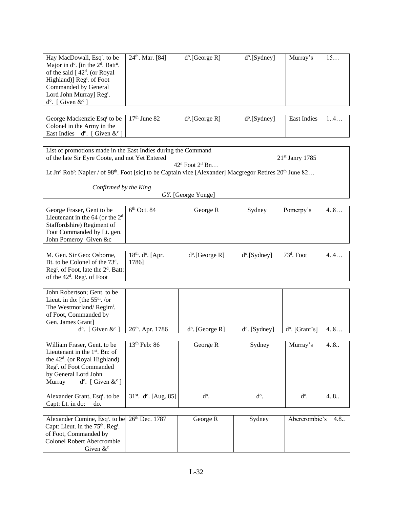| Hay MacDowall, Esq <sup>r</sup> . to be                    | 24 <sup>th</sup> . Mar. [84] | $d^{\circ}$ . [George R] | $d^{o}$ . [Sydney] | Murray's | 15 |
|------------------------------------------------------------|------------------------------|--------------------------|--------------------|----------|----|
| Major in $d^{\circ}$ . [in the $2^d$ . Batt <sup>n</sup> . |                              |                          |                    |          |    |
| of the said $[42^d]$ . (or Royal                           |                              |                          |                    |          |    |
| Highland)] Reg <sup>t</sup> . of Foot                      |                              |                          |                    |          |    |
| Commanded by General                                       |                              |                          |                    |          |    |
| Lord John Murray] Reg <sup>t</sup> .                       |                              |                          |                    |          |    |
| $d^{\circ}$ . [ Given $\&^{\circ}$ ]                       |                              |                          |                    |          |    |

| George Mackenzie Esq <sup>r</sup> to be   $17th$ June 82 | $d^{\circ}$ . [George R] | $d^{o}$ . [Sydney] | <b>East Indies</b> |  |
|----------------------------------------------------------|--------------------------|--------------------|--------------------|--|
| Colonel in the Army in the                               |                          |                    |                    |  |
| East Indies $d^{\circ}$ . [ Given $\&c^{\circ}$ ]        |                          |                    |                    |  |

List of promotions made in the East Indies during the Command of the late Sir Eyre Coote, and not Yet Entered 21st Janry 1785 42<sup>d</sup> Foot 2<sup>d</sup> Bn...

Lt Jn<sup>o</sup> Rob<sup>t</sup>: Napier / of 98<sup>th</sup>. Foot [sic] to be Captain vice [Alexander] Macgregor Retires 20<sup>th</sup> June 82...

*Confirmed by the King*

GY. [George Yonge]

| George Fraser, Gent to be<br>Lieutenant in the $64$ (or the $2d$<br>Staffordshire) Regiment of<br>Foot Commanded by Lt. gen.<br>John Pomeroy Given &c                                                                | $6th$ Oct. 84                            | George R                 | Sydney                    | Pomerpy's               | 4.8  |
|----------------------------------------------------------------------------------------------------------------------------------------------------------------------------------------------------------------------|------------------------------------------|--------------------------|---------------------------|-------------------------|------|
| M. Gen. Sir Geo: Osborne,<br>Bt. to be Colonel of the $73d$ .<br>Reg <sup>t</sup> . of Foot, late the 2 <sup>d</sup> . Batt:<br>of the 42 <sup>d</sup> . Reg <sup>t</sup> . of Foot                                  | $18^{th}$ . $d^{\circ}$ . [Apr.<br>1786] | $d^o$ . [George R]       | $d^o$ . [Sydney]          | $73d$ . Foot            | 4.4  |
| John Robertson; Gent. to be<br>Lieut. in do: [the $55th$ . /or<br>The Westmorland/Regim <sup>t</sup> .<br>of Foot, Commanded by<br>Gen. James Grant]<br>$d^{\circ}$ . [ Given $\&^{\circ}$ ]                         | 26 <sup>th</sup> . Apr. 1786             | $d^{\circ}$ . [George R] | d <sup>o</sup> . [Sydney] | $d^{\circ}$ . [Grant's] | 4.8  |
| William Fraser, Gent. to be<br>Lieutenant in the $1st$ . Bn: of<br>the $42d$ . (or Royal Highland)<br>Reg <sup>t</sup> . of Foot Commanded<br>by General Lord John<br>$d^{\circ}$ . [ Given $\&^{\circ}$ ]<br>Murray | $13th$ Feb: 86                           | George R                 | Sydney                    | Murray's                | 4.8. |
| Alexander Grant, Esq <sup>r</sup> . to be<br>Capt: Lt. in do:<br>do.                                                                                                                                                 | $31st$ . d <sup>o</sup> . [Aug. 85]      | $d^o$ .                  | $d^{\circ}$ .             | $d^o$ .                 | 4.8. |
| Alexander Cumine, Esq <sup>r</sup> . to be<br>Capt: Lieut. in the 75 <sup>th</sup> . Reg <sup>t</sup> .<br>of Foot, Commanded by<br><b>Colonel Robert Abercrombie</b><br>Given $\&^{\circ}$                          | 26th Dec. 1787                           | George R                 | Sydney                    | Abercrombie's           | 4.8. |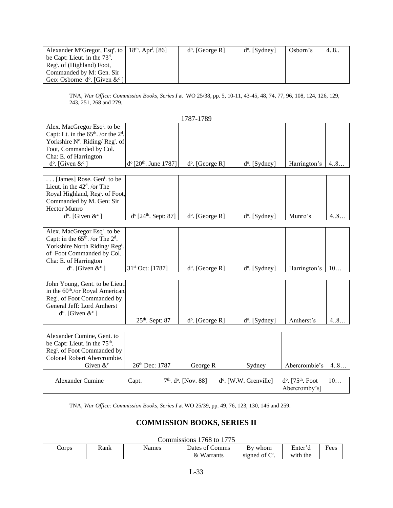| Alexander M <sup>c</sup> Gregor, Esq <sup>r</sup> . to   $18th$ . Apr <sup>1</sup> . [86] | $d^{\circ}$ . [George R] | $d^{\circ}$ . [Sydney] | Osborn's | 4.8. |
|-------------------------------------------------------------------------------------------|--------------------------|------------------------|----------|------|
| be Capt: Lieut. in the $73d$ .                                                            |                          |                        |          |      |
| $\text{Reg}^t$ of (Highland) Foot,                                                        |                          |                        |          |      |
| Commanded by M: Gen. Sir                                                                  |                          |                        |          |      |
| Geo: Osborne d <sup>o</sup> . [Given $\&c$ <sup>c</sup> ]                                 |                          |                        |          |      |

TNA, *War Office: Commission Books, Series I* at WO 25/38, pp. 5, 10-11, 43-45, 48, 74, 77, 96, 108, 124, 126, 129, 243, 251, 268 and 279.

|                                                              |                                            | 1787-1789                          |                                |                                  |     |
|--------------------------------------------------------------|--------------------------------------------|------------------------------------|--------------------------------|----------------------------------|-----|
| Alex. MacGregor Esq <sup>r</sup> . to be                     |                                            |                                    |                                |                                  |     |
| Capt: Lt. in the $65th$ . /or the $2d$ .                     |                                            |                                    |                                |                                  |     |
| Yorkshire Nº. Riding/Regt. of                                |                                            |                                    |                                |                                  |     |
| Foot, Commanded by Col.                                      |                                            |                                    |                                |                                  |     |
| Cha: E. of Harrington<br>$d^{\circ}$ . [Given $\&^{\circ}$ ] | $d^{\circ}$ [20 <sup>th</sup> . June 1787] |                                    |                                | Harrington's                     |     |
|                                                              |                                            | $d^o$ . [George R]                 | $d^{\circ}$ . [Sydney]         |                                  | 4.8 |
| $\ldots$ [James] Rose. Gen <sup>t</sup> . to be              |                                            |                                    |                                |                                  |     |
| Lieut. in the $42d$ . /or The                                |                                            |                                    |                                |                                  |     |
| Royal Highland, Reg <sup>t</sup> . of Foot,                  |                                            |                                    |                                |                                  |     |
| Commanded by M. Gen: Sir                                     |                                            |                                    |                                |                                  |     |
| <b>Hector Munro</b>                                          |                                            |                                    |                                |                                  |     |
| $d^{\circ}$ . [Given $\&^{\circ}$ ]                          | $d^{o}[24^{th}$ . Sept: 87]                | $d^{\circ}$ . [George R]           | d <sup>o</sup> . [Sydney]      | Munro's                          | 4.8 |
|                                                              |                                            |                                    |                                |                                  |     |
| Alex. MacGregor Esq <sup>r</sup> . to be                     |                                            |                                    |                                |                                  |     |
| Capt: in the $65^{\text{th}}$ . /or The $2^{\text{d}}$ .     |                                            |                                    |                                |                                  |     |
| Yorkshire North Riding/Reg <sup>t</sup> .                    |                                            |                                    |                                |                                  |     |
| of Foot Commanded by Col.                                    |                                            |                                    |                                |                                  |     |
| Cha: E. of Harrington                                        |                                            |                                    |                                |                                  |     |
| $d^{\circ}$ . [Given & $^{\circ}$ ]                          | 31st Oct: [1787]                           | $d^o$ . [George R]                 | $d^o$ . [Sydney]               | Harrington's                     | 10  |
|                                                              |                                            |                                    |                                |                                  |     |
| John Young, Gent. to be Lieut.                               |                                            |                                    |                                |                                  |     |
| in the 60 <sup>th</sup> ./or Royal American                  |                                            |                                    |                                |                                  |     |
| Reg <sup>t</sup> . of Foot Commanded by                      |                                            |                                    |                                |                                  |     |
| General Jeff: Lord Amherst                                   |                                            |                                    |                                |                                  |     |
| $d^{\circ}$ . [Given & $c^{\circ}$ ]                         |                                            |                                    |                                | Amherst's                        | 4.8 |
|                                                              | $25th$ . Sept: 87                          | $d^{\circ}$ . [George R]           | $d^{\circ}$ . [Sydney]         |                                  |     |
| Alexander Cumine, Gent. to                                   |                                            |                                    |                                |                                  |     |
| be Capt: Lieut. in the 75 <sup>th</sup> .                    |                                            |                                    |                                |                                  |     |
| Reg <sup>t</sup> . of Foot Commanded by                      |                                            |                                    |                                |                                  |     |
| Colonel Robert Abercrombie.                                  |                                            |                                    |                                |                                  |     |
| Given $\&^{\circ}$                                           | 26th Dec: 1787                             | George R                           | Sydney                         | Abercrombie's                    | 4.8 |
|                                                              |                                            |                                    |                                |                                  |     |
| <b>Alexander Cumine</b>                                      | Capt.                                      | $7th$ . d <sup>o</sup> . [Nov. 88] | $d^{\circ}$ . [W.W. Grenville] | $d^o$ . [75 <sup>th</sup> . Foot | 10  |
|                                                              |                                            |                                    |                                | Abercromby's]                    |     |

TNA, *War Office: Commission Books, Series I* at WO 25/39, pp. 49, 76, 123, 130, 146 and 259.

# **COMMISSION BOOKS, SERIES II**

#### Commissions 1768 to 1775

| Corps | Rank | Names | Dates of Comms        | By whom   | Ē<br>Enter′d | Fees |
|-------|------|-------|-----------------------|-----------|--------------|------|
|       |      |       | &<br><b>W</b> arrants | signed of | with the     |      |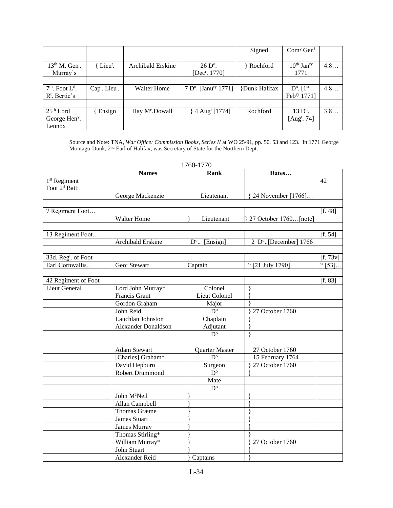|                              |                               |                            |                                              | Signed              | Com <sup>y</sup> Gen <sup>1</sup> |     |
|------------------------------|-------------------------------|----------------------------|----------------------------------------------|---------------------|-----------------------------------|-----|
|                              |                               |                            |                                              |                     |                                   |     |
| $13th$ M. Gen <sup>1</sup> . | $\{$ Lieu <sup>t</sup> .      | <b>Archibald Erskine</b>   | $26 D$ °.                                    | Rochford            | $10^{th}$ Jan <sup>ry</sup>       | 4.8 |
| Murray's                     |                               |                            | [Dec <sup>r</sup> . 1770]                    |                     | 1771                              |     |
|                              |                               |                            |                                              |                     |                                   |     |
| $7th$ . Foot $Ld$ .          | $Cap^t$ . Lieu <sup>t</sup> . | <b>Walter Home</b>         | 7 D <sup>o</sup> . [Janu <sup>ry</sup> 1771] | <b>Dunk Halifax</b> | $D^{\circ}$ . $[1^{\text{st}}]$ . | 4.8 |
| $R^t$ . Bertie's             |                               |                            |                                              |                     | Febry 1771]                       |     |
|                              |                               |                            |                                              |                     |                                   |     |
| $25th$ Lord                  | Ensign                        | Hay M <sup>c</sup> .Dowall | $\}$ 4 Aug <sup>t</sup> [1774]               | Rochford            | $13 Do$ .                         | 3.8 |
| George Hen <sup>y</sup> .    |                               |                            |                                              |                     | [ $Augt$ . 74]                    |     |
| Lennox                       |                               |                            |                                              |                     |                                   |     |

Source and Note: TNA, *War Office: Commission Books, Series II* at WO 25/91, pp. 50, 53 and 123. In 1771 George Montagu-Dunk, 2<sup>nd</sup> Earl of Halifax, was Secretary of State for the Northern Dept.

|                                 | <b>Names</b>               | Rank                   | Dates                 |            |
|---------------------------------|----------------------------|------------------------|-----------------------|------------|
| 1 <sup>st</sup> Regiment        |                            |                        |                       | 42         |
| Foot 2 <sup>d</sup> Batt:       |                            |                        |                       |            |
|                                 | George Mackenzie           | Lieutenant             | { 24 November [1766]  |            |
|                                 |                            |                        |                       |            |
| 7 Regiment Foot                 |                            |                        |                       | [f. 48]    |
|                                 | <b>Walter Home</b>         | Lieutenant             | 27 October 1760[note] |            |
|                                 |                            |                        |                       |            |
| 13 Regiment Foot                |                            |                        |                       | [f. 54]    |
|                                 | Archibald Erskine          | $D^{\circ}$ . [Ensign] | 2 D°[December] 1766   |            |
|                                 |                            |                        |                       |            |
| 33d. Reg <sup>t</sup> . of Foot |                            |                        |                       | [f. 73v]   |
| Earl Cornwallis                 | Geo: Stewart               | Captain                | "[21 July 1790]       | " $[53]$ . |
|                                 |                            |                        |                       |            |
| 42 Regiment of Foot             |                            |                        |                       | [f. 83]    |
| <b>Lieut General</b>            | Lord John Murray*          | Colonel                |                       |            |
|                                 | Francis Grant              | Lieut Colonel          |                       |            |
|                                 | Gordon Graham              | Major                  |                       |            |
|                                 | John Reid                  | $D^{\circ}$            | 27 October 1760       |            |
|                                 | Lauchlan Johnston          | Chaplain               |                       |            |
|                                 | <b>Alexander Donaldson</b> | Adjutant               |                       |            |
|                                 |                            | $D^{\circ}$            |                       |            |
|                                 |                            |                        |                       |            |
|                                 | <b>Adam Stewart</b>        | Quarter Master         | 27 October 1760       |            |
|                                 | [Charles] Graham*          | $D^{\circ}$            | 15 February 1764      |            |
|                                 | David Hepburn              | Surgeon                | 27 October 1760       |            |
|                                 | Robert Drummond            | $\overline{D^{\circ}}$ |                       |            |
|                                 |                            | Mate                   |                       |            |
|                                 |                            | $D^{\circ}$            |                       |            |
|                                 | John M <sup>c</sup> Neil   |                        |                       |            |
|                                 | <b>Allan Campbell</b>      |                        |                       |            |
|                                 | <b>Thomas Græme</b>        |                        |                       |            |
|                                 | <b>James Stuart</b>        |                        |                       |            |
|                                 | <b>James Murray</b>        |                        |                       |            |
|                                 | Thomas Stirling*           |                        |                       |            |
|                                 | William Murray*            |                        | 27 October 1760       |            |
|                                 | John Stuart                |                        |                       |            |
|                                 | Alexander Reid             | Captains               |                       |            |

1760-1770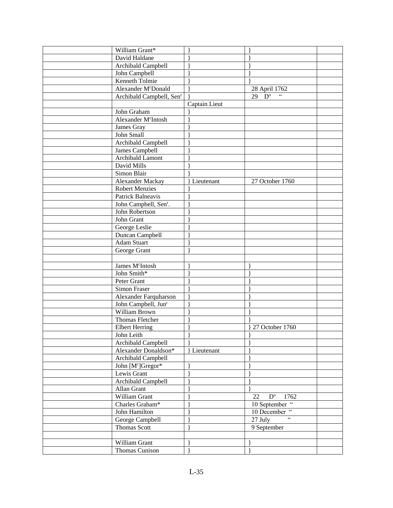| William Grant*                       |               |                                                  |  |
|--------------------------------------|---------------|--------------------------------------------------|--|
| David Haldane                        |               |                                                  |  |
| Archibald Campbell                   |               |                                                  |  |
| John Campbell                        |               |                                                  |  |
| Kenneth Tolmie                       |               |                                                  |  |
| Alexander M <sup>c</sup> Donald      |               | 28 April 1762                                    |  |
| Archibald Campbell, Sen <sup>r</sup> |               | $29\overline{D^{\circ}}$                         |  |
|                                      | Captain Lieut |                                                  |  |
| John Graham                          |               |                                                  |  |
| Alexander M <sup>c</sup> Intosh      |               |                                                  |  |
| James Gray                           |               |                                                  |  |
| John Small                           |               |                                                  |  |
| Archibald Campbell                   |               |                                                  |  |
| James Campbell                       |               |                                                  |  |
| Archibald Lamont                     |               |                                                  |  |
| David Mills                          |               |                                                  |  |
| Simon Blair                          |               |                                                  |  |
| Alexander Mackay                     | Lieutenant    | 27 October 1760                                  |  |
| <b>Robert Menzies</b>                |               |                                                  |  |
| <b>Patrick Balneavis</b>             |               |                                                  |  |
| John Campbell, Sen <sup>r</sup> .    |               |                                                  |  |
| John Robertson                       |               |                                                  |  |
| John Grant                           |               |                                                  |  |
| George Leslie                        |               |                                                  |  |
| Duncan Campbell                      |               |                                                  |  |
| <b>Adam Stuart</b>                   |               |                                                  |  |
|                                      |               |                                                  |  |
| George Grant                         |               |                                                  |  |
|                                      |               |                                                  |  |
| James M <sup>c</sup> Intosh          |               |                                                  |  |
| John Smith*                          |               |                                                  |  |
| Peter Grant                          |               |                                                  |  |
| <b>Simon Fraser</b>                  |               |                                                  |  |
| Alexander Farquharson                |               |                                                  |  |
| John Campbell, Jun <sup>r</sup>      |               |                                                  |  |
| William Brown                        |               |                                                  |  |
| Thomas Fletcher                      |               |                                                  |  |
| <b>Elbert Herring</b>                |               | 27 October 1760                                  |  |
| John Leith                           |               |                                                  |  |
| Archibald Campbell                   |               |                                                  |  |
| Alexander Donaldson*                 | Lieutenant    |                                                  |  |
| Archibald Campbell                   |               |                                                  |  |
| John [Mc]Gregor*                     |               |                                                  |  |
| Lewis Grant                          |               |                                                  |  |
| Archibald Campbell                   |               |                                                  |  |
| Allan Grant                          |               |                                                  |  |
| William Grant                        |               | $D^{\mathrm{o}}$<br>1762<br>22                   |  |
| Charles Graham*                      |               | 10 September "                                   |  |
| John Hamilton                        |               | 10 December "                                    |  |
| George Campbell                      |               | $\overline{\mathfrak{c}\mathfrak{c}}$<br>27 July |  |
| <b>Thomas Scott</b>                  |               | 9 September                                      |  |
|                                      |               |                                                  |  |
| William Grant                        |               |                                                  |  |
| Thomas Cunison                       |               |                                                  |  |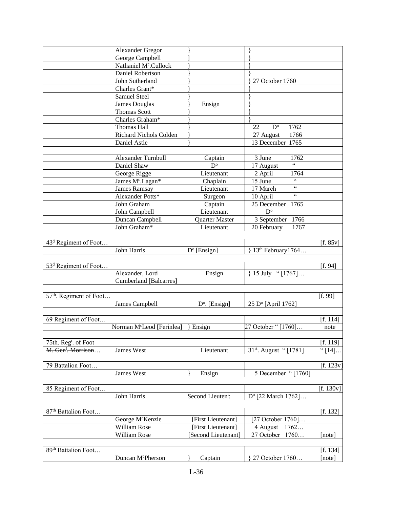|                                     | Alexander Gregor                      |                        |                                        |           |
|-------------------------------------|---------------------------------------|------------------------|----------------------------------------|-----------|
|                                     | George Campbell                       |                        |                                        |           |
|                                     | Nathaniel M <sup>c</sup> .Cullock     |                        |                                        |           |
|                                     | Daniel Robertson                      |                        |                                        |           |
|                                     | John Sutherland                       |                        | 27 October 1760                        |           |
|                                     | Charles Grant*                        |                        |                                        |           |
|                                     | <b>Samuel Steel</b>                   |                        |                                        |           |
|                                     | <b>James Douglas</b>                  | Ensign                 |                                        |           |
|                                     | <b>Thomas Scott</b>                   |                        |                                        |           |
|                                     | Charles Graham*                       |                        |                                        |           |
|                                     | <b>Thomas Hall</b>                    |                        | $\mathbf{D}^{\text{o}}$<br>22<br>1762  |           |
|                                     | Richard Nichols Colden                |                        | 1766                                   |           |
|                                     |                                       |                        | 27 August<br>13 December 1765          |           |
|                                     | Daniel Astle                          |                        |                                        |           |
|                                     |                                       |                        |                                        |           |
|                                     | Alexander Turnbull                    | Captain                | 3 June<br>1762<br>$\overline{\omega}$  |           |
|                                     | Daniel Shaw                           | $D^{\circ}$            | 17 August                              |           |
|                                     | George Rigge                          | Lieutenant             | 2 April<br>1764<br>$\overline{\omega}$ |           |
|                                     | James M <sup>c</sup> .Lagan*          | Chaplain               | 15 June                                |           |
|                                     | <b>James Ramsay</b>                   | Lieutenant             | $\zeta\,\zeta$<br>17 March             |           |
|                                     | Alexander Potts*                      | Surgeon                | 66<br>10 April                         |           |
|                                     | John Graham                           | Captain                | 25 December<br>1765                    |           |
|                                     | John Campbell                         | Lieutenant             | $D^{\mathrm{o}}$                       |           |
|                                     | Duncan Campbell                       | Quarter Master         | 1766<br>3 September                    |           |
|                                     | John Graham*                          | Lieutenant             | 20 February<br>1767                    |           |
|                                     |                                       |                        |                                        |           |
| 43 <sup>d</sup> Regiment of Foot    |                                       |                        |                                        | [f. 85v]  |
|                                     | John Harris                           | $D^{\circ}$ [Ensign]   | 13 <sup>th</sup> February1764          |           |
|                                     |                                       |                        |                                        |           |
| 53 <sup>d</sup> Regiment of Foot    |                                       |                        |                                        | [f. 94]   |
|                                     | Alexander, Lord                       | Ensign                 | } 15 July "[1767]                      |           |
|                                     | Cumberland [Balcarres]                |                        |                                        |           |
|                                     |                                       |                        |                                        |           |
| 57 <sup>th</sup> . Regiment of Foot |                                       |                        |                                        | [f. 99]   |
|                                     | James Campbell                        | $D^{\circ}$ . [Ensign] | 25 D° [April 1762]                     |           |
|                                     |                                       |                        |                                        |           |
| 69 Regiment of Foot                 |                                       |                        |                                        | [f. 114]  |
|                                     | Norman M <sup>c</sup> Leod [Ferinlea] | Ensign                 | 27 October "[1760]                     | note      |
|                                     |                                       |                        |                                        |           |
| 75th. Reg <sup>t</sup> . of Foot    |                                       |                        |                                        | [f. 119]  |
| M. Gen <sup>1</sup> . Morrison      | James West                            | Lieutenant             | 31 <sup>st</sup> . August "[1781]      | " $[14]$  |
|                                     |                                       |                        |                                        |           |
| 79 Battalion Foot                   |                                       |                        |                                        | [f. 123v] |
|                                     | James West                            |                        | 5 December "[1760]                     |           |
|                                     |                                       | Ensign                 |                                        |           |
| 85 Regiment of Foot                 |                                       |                        |                                        | [f. 130v] |
|                                     |                                       |                        |                                        |           |
|                                     | John Harris                           | Second Lieutent:       | D° [22 March 1762]                     |           |
|                                     |                                       |                        |                                        |           |
| 87 <sup>th</sup> Battalion Foot     |                                       |                        |                                        | [f. 132]  |
|                                     | George M <sup>c</sup> Kenzie          | [First Lieutenant]     | [27 October 1760]                      |           |
|                                     | William Rose                          | [First Lieutenant]     | 4 August<br>1762                       |           |
|                                     | William Rose                          | Second Lieutenant      | 27 October 1760                        | [note]    |
|                                     |                                       |                        |                                        |           |
| 89 <sup>th</sup> Battalion Foot     |                                       |                        |                                        | [f. 134]  |
|                                     | Duncan McPherson                      | Captain                | 27 October 1760                        | [note]    |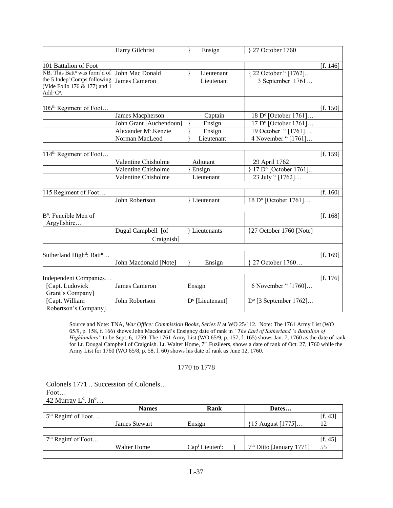|                                                                   | Harry Gilchrist                  | Ensign                      | 27 October 1760                |          |
|-------------------------------------------------------------------|----------------------------------|-----------------------------|--------------------------------|----------|
|                                                                   |                                  |                             |                                |          |
| 101 Battalion of Foot                                             |                                  |                             |                                | [f. 146] |
| NB. This Batt <sup>n</sup> was form'd of                          | John Mac Donald                  | Lieutenant                  | 22 October "[1762]             |          |
| the 5 Indep <sup>t</sup> Comps following                          | James Cameron                    | Lieutenant                  | 3 September 1761               |          |
| (Vide Folio 176 & 177) and 1<br>Add <sup>1</sup> C <sup>o</sup> . |                                  |                             |                                |          |
|                                                                   |                                  |                             |                                |          |
| 105 <sup>th</sup> Regiment of Foot                                |                                  |                             |                                | [f. 150] |
|                                                                   | James Macpherson                 | Captain                     | 18 D° [October 1761]           |          |
|                                                                   | John Grant [Auchendoun]          | Ensign                      | 17 D° [October 1761]           |          |
|                                                                   | Alexander M <sup>c</sup> .Kenzie | Ensign                      | 19 October "[1761]             |          |
|                                                                   | Norman MacLeod                   | Lieutenant                  | 4 November " [1761]            |          |
|                                                                   |                                  |                             |                                |          |
| 114 <sup>th</sup> Regiment of Foot                                |                                  |                             |                                | [f. 159] |
|                                                                   | Valentine Chisholme              | Adjutant                    | 29 April 1762                  |          |
|                                                                   | Valentine Chisholme              | Ensign                      | 17 D° [October 1761]           |          |
|                                                                   | Valentine Chisholme              | Lieutenant                  | 23 July "[1762]                |          |
|                                                                   |                                  |                             |                                |          |
| 115 Regiment of Foot                                              |                                  |                             |                                | [f. 160] |
|                                                                   | John Robertson                   | Lieutenant                  | 18 D° [October 1761]           |          |
|                                                                   |                                  |                             |                                |          |
| $Bn$ . Fencible Men of                                            |                                  |                             |                                | [f. 168] |
| Argyllshire                                                       |                                  |                             |                                |          |
|                                                                   | Dugal Campbell [of               | } Lieutenants               | }27 October 1760 [Note]        |          |
|                                                                   | Craignish]                       |                             |                                |          |
|                                                                   |                                  |                             |                                |          |
| Sutherland High <sup>d</sup> : Batt <sup>n</sup>                  |                                  |                             |                                | [f. 169] |
|                                                                   | John Macdonald [Note]            | Ensign                      | 27 October 1760                |          |
|                                                                   |                                  |                             |                                |          |
| Independent Companies                                             |                                  |                             |                                | [f. 176] |
| [Capt. Ludovick                                                   | James Cameron                    | Ensign                      | 6 November " [1760]            |          |
| Grant's Company]                                                  |                                  |                             |                                |          |
| [Capt. William                                                    | John Robertson                   | D <sup>o</sup> [Lieutenant] | $D^{\circ}$ [3 September 1762] |          |
| Robertson's Company]                                              |                                  |                             |                                |          |

Source and Note: TNA, *War Office: Commission Books, Series II* at WO 25/112. Note: The 1761 Army List (WO 65/9, p. 158, f. 166) shows John Macdonald's Ensigncy date of rank in *"The Earl of Sutherland 's Battalion of Highlanders"* to be Sept. 6, 1759. The 1761 Army List (WO 65/9, p. 157, f. 165) shows Jan. 7, 1760 as the date of rank for Lt. Dougal Campbell of Craignish. Lt. Walter Home, 7<sup>th</sup> Fuzileers, shows a date of rank of Oct. 27, 1760 while the Army List for 1760 (WO 65/8, p. 58, f. 60) shows his date of rank as June 12, 1760.

### 1770 to 1778

Colonels 1771 .. Succession of Colonels… Foot… 42 Murray  $L^d$ . Jn<sup>o</sup>...

|                                  | <b>Names</b>         | Rank              | Dates                      |         |
|----------------------------------|----------------------|-------------------|----------------------------|---------|
| $5th$ Regim <sup>t</sup> of Foot |                      |                   |                            | [f. 43] |
|                                  | <b>James Stewart</b> | Ensign            | 15 August [1775]           |         |
|                                  |                      |                   |                            |         |
| $7th$ Regim <sup>t</sup> of Foot |                      |                   |                            | [f. 45] |
|                                  | Walter Home          | $Capt Lieutent$ : | $7th$ Ditto [January 1771] | 55      |
|                                  |                      |                   |                            |         |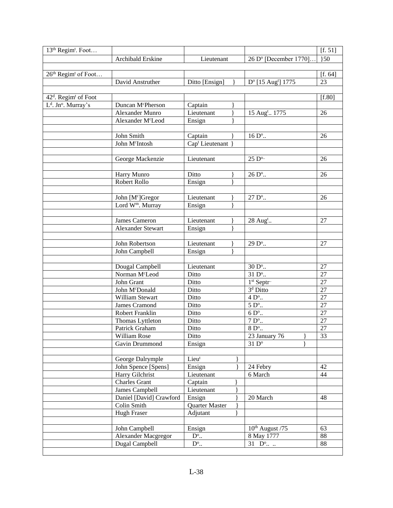| 13 <sup>th</sup> Regim <sup>t</sup> . Foot   |                                  |                             |                                                        | [f. 51]  |
|----------------------------------------------|----------------------------------|-----------------------------|--------------------------------------------------------|----------|
|                                              | Archibald Erskine                | Lieutenant                  | 26 D° [December 1770].                                 | 30       |
|                                              |                                  |                             |                                                        |          |
| 26 <sup>th</sup> Regim <sup>t</sup> of Foot  |                                  |                             |                                                        | [f. 64]  |
|                                              | David Anstruther                 | Ditto [Ensign]              | D <sup>o</sup> [15 Aug <sup>t</sup> ] 1775             | 23       |
|                                              |                                  |                             |                                                        |          |
| 42 <sup>d</sup> . Regim <sup>t</sup> of Foot |                                  |                             |                                                        | [f.80]   |
| L <sup>d</sup> . Jn <sup>o</sup> . Murray's  | Duncan McPherson                 | Captain                     |                                                        |          |
|                                              | Alexander Munro                  | Lieutenant                  | 15 Aug <sup>t</sup> 1775                               | 26       |
|                                              | Alexander M <sup>c</sup> Leod    | Ensign                      |                                                        |          |
|                                              |                                  |                             |                                                        |          |
|                                              | John Smith                       | Captain                     | $16 Do$                                                | 26       |
|                                              | John M <sup>c</sup> Intosh       | Cap <sup>t</sup> Lieutenant |                                                        |          |
|                                              |                                  |                             |                                                        |          |
|                                              | George Mackenzie                 | Lieutenant                  | $25 D^{o}$                                             | 26       |
|                                              |                                  |                             |                                                        |          |
|                                              | Harry Munro                      | Ditto                       | 26 D <sup>o</sup>                                      | 26       |
|                                              | Robert Rollo                     | Ensign                      |                                                        |          |
|                                              |                                  |                             |                                                        |          |
|                                              | John [Mc]Gregor                  | Lieutenant                  | $\overline{27}$ D <sup>o</sup>                         | 26       |
|                                              | Lord W <sup>m</sup> . Murray     | Ensign                      |                                                        |          |
|                                              |                                  |                             |                                                        |          |
|                                              | James Cameron                    | Lieutenant                  | 28 Aug <sup>t</sup>                                    | 27       |
|                                              | <b>Alexander Stewart</b>         | Ensign                      |                                                        |          |
|                                              |                                  |                             |                                                        |          |
|                                              | John Robertson                   | Lieutenant                  | 29 D <sup>o</sup>                                      | 27       |
|                                              | John Campbell                    | Ensign                      |                                                        |          |
|                                              |                                  |                             |                                                        |          |
|                                              | Dougal Campbell                  | Lieutenant                  | $30 \,\mathrm{D^o}.$                                   | 27       |
|                                              | Norman M <sup>c</sup> Leod       | Ditto                       | 31 D <sup>o</sup>                                      | 27       |
|                                              | John Grant                       | Ditto                       | 1st Septr <sup></sup>                                  | 27       |
|                                              | John McDonald<br>William Stewart | Ditto                       | 3 <sup>d</sup> Ditto                                   | 27       |
|                                              |                                  | Ditto                       | $4$ $\mathrm{D^o}.$                                    | 27<br>27 |
|                                              | James Cramond<br>Robert Franklin | Ditto<br>Ditto              | $5$ $\mathrm{D^o}.$<br>$6$ $\mathrm{D}^{\mathrm{o}}$ . | 27       |
|                                              | Thomas Lyttleton                 | Ditto                       | $7$ $\mathrm{D^o}.$                                    | 27       |
|                                              | Patrick Graham                   | Ditto                       | $8$ $\mathrm{D^o}.$                                    | 27       |
|                                              | William Rose                     | Ditto                       | 23 January 76                                          | 33       |
|                                              | Gavin Drummond                   | Ensign                      | $31\overline{D^{\circ}}$                               |          |
|                                              |                                  |                             |                                                        |          |
|                                              | George Dalrymple                 | Lieu <sup>t</sup>           |                                                        |          |
|                                              | John Spence [Spens]              | Ensign                      | 24 Febry                                               | 42       |
|                                              | Harry Gilchrist                  | Lieutenant                  | 6 March                                                | 44       |
|                                              | <b>Charles Grant</b>             | Captain                     |                                                        |          |
|                                              | James Campbell                   | Lieutenant                  |                                                        |          |
|                                              | Daniel [David] Crawford          | Ensign                      | 20 March                                               | 48       |
|                                              | Colin Smith                      | Quarter Master              |                                                        |          |
|                                              | Hugh Fraser                      | Adjutant                    |                                                        |          |
|                                              |                                  |                             |                                                        |          |
|                                              | John Campbell                    | Ensign                      | $10th$ August /75                                      | 63       |
|                                              | Alexander Macgregor              | $D^{\circ}$                 | 8 May 1777                                             | 88       |
|                                              | Dugal Campbell                   | $D^{\circ}$                 | $31$ D <sup>o</sup>                                    | 88       |
|                                              |                                  |                             |                                                        |          |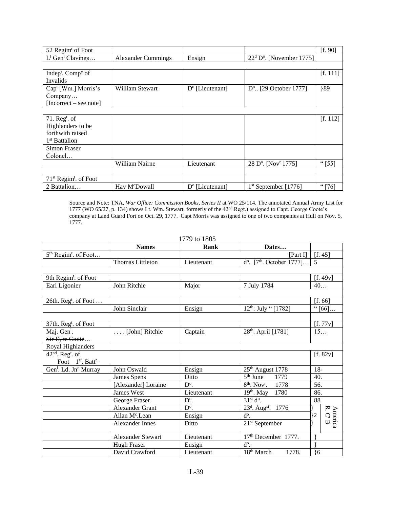| 52 Regim of Foot                          |                           |                          |                                             | [f. 90]  |
|-------------------------------------------|---------------------------|--------------------------|---------------------------------------------|----------|
| $L^{\text{t}}$ Gen <sup>1</sup> Clavings  | <b>Alexander Cummings</b> | Ensign                   | $22d Do$ . [November 1775]                  |          |
|                                           |                           |                          |                                             |          |
| Indep <sup>t</sup> . Comp <sup>y</sup> of |                           |                          |                                             | [f. 111] |
| Invalids                                  |                           |                          |                                             |          |
| Cap <sup>t</sup> [Wm.] Morris's           | William Stewart           | $D^{\circ}$ [Lieutenant] | $D^{\circ}$ . [29 October 1777]             | 89       |
| Company                                   |                           |                          |                                             |          |
| $[Incorrect - see note]$                  |                           |                          |                                             |          |
|                                           |                           |                          |                                             |          |
| 71. $Regt$ . of                           |                           |                          |                                             | [f. 112] |
| Highlanders to be                         |                           |                          |                                             |          |
| forthwith raised                          |                           |                          |                                             |          |
| 1 <sup>st</sup> Battalion                 |                           |                          |                                             |          |
| Simon Fraser                              |                           |                          |                                             |          |
| Colonel                                   |                           |                          |                                             |          |
|                                           | William Nairne            | Lieutenant               | 28 D <sup>o</sup> . [Nov <sup>r</sup> 1775] | " $[55]$ |
|                                           |                           |                          |                                             |          |
| $71st$ Regim <sup>t</sup> . of Foot       |                           |                          |                                             |          |
| 2 Battalion                               | Hay M <sup>c</sup> Dowall | $D^{\circ}$ [Lieutenant] | $1st$ September [1776]                      | "[76]    |

Source and Note: TNA, *War Office: Commission Books, Series II* at WO 25/114. The annotated Annual Army List for 1777 (WO 65/27, p. 134) shows Lt. Wm. Stewart, formerly of the 42nd Regt.) assigned to Capt. George Coote's company at Land Guard Fort on Oct. 29, 1777. Capt Morris was assigned to one of two companies at Hull on Nov. 5, 1777.

| 1779 to 1805 |  |  |  |
|--------------|--|--|--|
|--------------|--|--|--|

|                                               | <b>Names</b>               | Rank          | Dates                                          |                                |
|-----------------------------------------------|----------------------------|---------------|------------------------------------------------|--------------------------------|
| 5 <sup>th</sup> Regim <sup>t</sup> . of Foot  |                            |               | [Part I]                                       | [f. 45]                        |
|                                               | Thomas Littleton           | Lieutenant    | $d^{\circ}$ . [7 <sup>th</sup> . October 1777] | 5                              |
|                                               |                            |               |                                                |                                |
| 9th Regim <sup>t</sup> . of Foot              |                            |               |                                                | [f. 49v]                       |
| Earl Ligonier                                 | John Ritchie               | Major         | 7 July 1784                                    | 40                             |
|                                               |                            |               |                                                |                                |
| 26th. Reg <sup>t</sup> . of Foot              |                            |               |                                                | [f. 66]                        |
|                                               | John Sinclair              | Ensign        | 12 <sup>th</sup> : July " [1782]               | " $[66]$                       |
|                                               |                            |               |                                                |                                |
| 37th. $Regt$ . of Foot                        |                            |               |                                                | [f. 77v]                       |
| Maj. Gen <sup>1</sup> .                       | [John] Ritchie             | Captain       | 28 <sup>th</sup> . April [1781]                | 15                             |
| Sir Eyre Coote                                |                            |               |                                                |                                |
| Royal Highlanders                             |                            |               |                                                |                                |
| 42 <sup>nd</sup> . Reg <sup>t</sup> . of      |                            |               |                                                | [f. 82v]                       |
| Foot 1 <sup>st</sup> , Batt <sup>n.</sup>     |                            |               |                                                |                                |
| Gen <sup>1</sup> . Ld. Jn <sup>o</sup> Murray | John Oswald                | Ensign        | 25 <sup>th</sup> August 1778                   | $18-$                          |
|                                               | James Spens                | Ditto         | $5th$ June<br>1779                             | 40.                            |
|                                               | [Alexander] Loraine        | $D^{\circ}$ . | $8th$ . Nov <sup>r</sup> .<br>1778             | 56.                            |
|                                               | James West                 | Lieutenant    | $19th$ . May<br>1780                           | 86.                            |
|                                               | George Fraser              | $D^{\circ}$ . | $31st do$ .                                    | 88                             |
|                                               | <b>Alexander Grant</b>     | $D^{\circ}$ . | 23 <sup>d</sup> . Aug <sup>st</sup> . 1776     |                                |
|                                               | Allan M <sup>c</sup> .Lean | Ensign        | d <sup>o</sup> .                               | 2                              |
|                                               | <b>Alexander Innes</b>     | Ditto         | $21st$ September                               | America<br>R. C <sup>T</sup> B |
|                                               | <b>Alexander Stewart</b>   | Lieutenant    | 17th December 1777.                            |                                |
|                                               | Hugh Fraser                | Ensign        | d <sup>o</sup> .                               |                                |
|                                               | David Crawford             | Lieutenant    | 18 <sup>th</sup> March<br>1778.                | 16                             |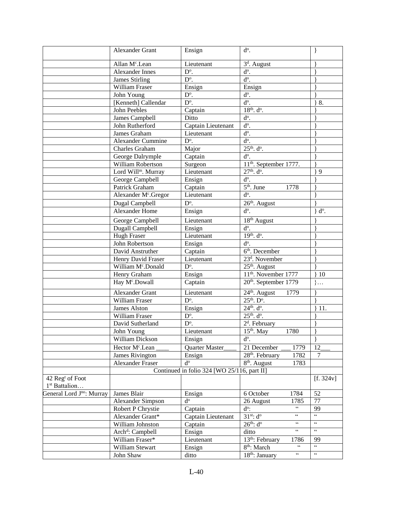|                                                          | Alexander Grant                  | Ensign                                      | $d^o$ .                                        | $\mathcal{E}$      |
|----------------------------------------------------------|----------------------------------|---------------------------------------------|------------------------------------------------|--------------------|
|                                                          | Allan M <sup>c</sup> .Lean       | Lieutenant                                  | 3 <sup>d</sup> . August                        |                    |
|                                                          | <b>Alexander Innes</b>           | $D^{\circ}$ .                               | $d^{\circ}$ .                                  |                    |
|                                                          | <b>James Stirling</b>            | $\overline{D^o}$ .                          | $\overline{d^0}$ .                             |                    |
|                                                          | William Fraser                   | Ensign                                      | Ensign                                         |                    |
|                                                          | John Young                       | $D^{\circ}$ .                               | $d^o$ .                                        |                    |
|                                                          | [Kenneth] Callendar              | $\overline{D^0}$ .                          | $\overline{d^0}$ .                             | 8.                 |
|                                                          | John Peebles                     | Captain                                     | $18^{th}$ . $d^o$ .                            |                    |
|                                                          | James Campbell                   | Ditto                                       | $d^o$ .                                        |                    |
|                                                          | John Rutherford                  | Captain Lieutenant                          | $\overline{d^0}$ .                             |                    |
|                                                          | James Graham                     | Lieutenant                                  | $\overline{d^o}$ .                             |                    |
|                                                          | <b>Alexander Cummine</b>         | $D^{\circ}$ .                               | $\overline{d^0}$ .                             |                    |
|                                                          | Charles Graham                   | Major                                       | $25^{th}$ . $d^o$ .                            |                    |
|                                                          | George Dalrymple                 | Captain                                     | $d^{\circ}$ .                                  |                    |
|                                                          | William Robertson                | Surgeon                                     | 11 <sup>th</sup> . September 1777.             |                    |
|                                                          | Lord Will <sup>m</sup> . Murray  | Lieutenant                                  | $27th$ . $do$ .                                | 9                  |
|                                                          | George Campbell                  | Ensign                                      | $\overline{d^0}$ .                             |                    |
|                                                          | Patrick Graham                   | Captain                                     | $5th$ . June<br>1778                           |                    |
|                                                          | Alexander M <sup>c</sup> .Gregor | Lieutenant                                  | $\overline{d^o}$ .                             |                    |
|                                                          | Dugal Campbell                   | $\mathbf{D}^{\text{o}}.$                    | $26th$ . August                                |                    |
|                                                          | <b>Alexander Home</b>            | Ensign                                      | d <sup>o</sup> .                               | d <sup>o</sup> .   |
|                                                          | George Campbell                  | Lieutenant                                  | $18th$ August                                  |                    |
|                                                          | Dugall Campbell                  | Ensign                                      | d <sup>o</sup> .                               |                    |
|                                                          | Hugh Fraser                      | Lieutenant                                  | 19th. do.                                      |                    |
|                                                          | John Robertson                   | Ensign                                      | $\overline{d^0}$ .                             |                    |
|                                                          | David Anstruther                 | Captain                                     | $6th$ . December                               |                    |
|                                                          | Henry David Fraser               | Lieutenant                                  | 23 <sup>d</sup> . November                     |                    |
|                                                          | William M <sup>c</sup> .Donald   | $D^{\circ}$ .                               | $25th$ . August                                |                    |
|                                                          | Henry Graham                     | Ensign                                      | 11 <sup>th</sup> . November 1777               | $\}$ 10            |
|                                                          | Hay M <sup>c</sup> .Dowall       | Captain                                     | 20 <sup>th</sup> . September 1779              | $\}$               |
|                                                          | Alexander Grant                  | Lieutenant                                  | 24 <sup>th</sup> . August<br>1779              |                    |
|                                                          | <b>William Fraser</b>            | $D^{\circ}$ .                               | $25th$ . $Do$ .                                |                    |
|                                                          | James Alston                     | Ensign                                      | $24th$ . $do$ .                                | 11.                |
|                                                          | William Fraser                   | $D^{\circ}$ .                               | $25^{th}$ . $d^o$ .                            |                    |
|                                                          | David Sutherland                 | D <sup>o</sup> .                            | 2 <sup>d</sup> . February                      |                    |
|                                                          | John Young                       | Lieutenant                                  | $15th$ . May<br>1780                           |                    |
|                                                          | William Dickson                  | Ensign                                      | d <sup>o</sup> .                               |                    |
|                                                          | Hector M <sup>c</sup> .Lean      | Quarter Master                              | 21 December<br>1779                            | 12                 |
|                                                          | James Rivington                  | Ensign                                      | 28 <sup>th</sup> . February<br>1782            | $\overline{7}$     |
|                                                          | Alexander Fraser                 | $d^{\rm o}$                                 | 8 <sup>th</sup> . August<br>1783               |                    |
|                                                          |                                  | Continued in folio 324 [WO 25/116, part II] |                                                |                    |
| 42 Reg <sup>t</sup> of Foot<br>1 <sup>st</sup> Battalion |                                  |                                             |                                                | [f. 324v]          |
| General Lord J <sup>no</sup> : Murray                    | James Blair                      | Ensign                                      | 1784<br>6 October                              | 52                 |
|                                                          | Alexander Simpson                | $d^{\rm o}$                                 | 26 August<br>1785                              | 77                 |
|                                                          | Robert P Chrystie                | Captain                                     | $\zeta\,\zeta$<br>$d^o$ :                      | 99                 |
|                                                          | Alexander Grant*                 | Captain Lieutenant                          | $31^{st}$ : d <sup>o</sup><br>$\zeta\,\zeta$   | $\zeta\,\zeta$     |
|                                                          | William Johnston                 | Captain                                     | $26^{th}$ : $d^{\circ}$<br>$\zeta\,\zeta$      | $\zeta\,\zeta$     |
|                                                          | Arch <sup>d</sup> : Campbell     | Ensign                                      | $\zeta$ $\zeta$<br>ditto                       | $\zeta\,\zeta$     |
|                                                          | William Fraser*                  | Lieutenant                                  | 13 <sup>th</sup> : February<br>1786            | 99                 |
|                                                          | William Stewart                  | Ensign                                      | 8 <sup>th</sup> : March<br>$\zeta\,\zeta$      | $\zeta\,\zeta$     |
|                                                          | John Shaw                        | ditto                                       | $\zeta \, \zeta$<br>18 <sup>th</sup> : January | $\epsilon\epsilon$ |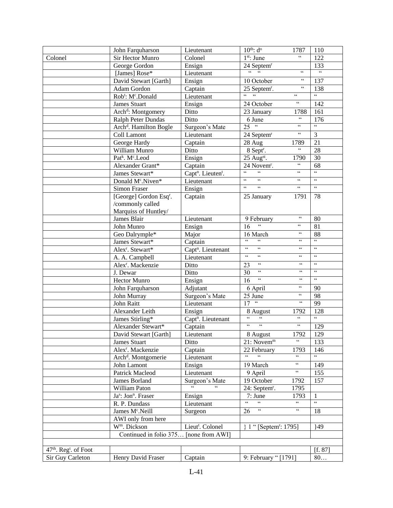|                                               | John Farquharson                            | Lieutenant                                      | $10^{th}$ : $d^{\circ}$<br>1787                                                                   | 110                                   |
|-----------------------------------------------|---------------------------------------------|-------------------------------------------------|---------------------------------------------------------------------------------------------------|---------------------------------------|
| Colonel                                       | Sir Hector Munro                            | Colonel                                         | $\zeta$ $\zeta$<br>$1st$ : June                                                                   | 122                                   |
|                                               | George Gordon                               | Ensign                                          | 24 Septem <sup>r</sup>                                                                            | 133                                   |
|                                               | [James] Rose*                               | Lieutenant                                      | $\epsilon$<br>66<br>$\zeta\,\zeta$                                                                | $\overline{\mathbf{G}}$               |
|                                               | David Stewart [Garth]                       | Ensign                                          | $\zeta \, \zeta$<br>10 October                                                                    | 137                                   |
|                                               | Adam Gordon                                 | Captain                                         | $\zeta\,\zeta$<br>25 Septem <sup>r</sup> .                                                        | 138                                   |
|                                               | Rob <sup>t</sup> : M <sup>c</sup> .Donald   | Lieutenant                                      | $\zeta\,\zeta$                                                                                    | $\overline{\mathbf{G}}$               |
|                                               | <b>James Stuart</b>                         | Ensign                                          | $\zeta\,\zeta$<br>24 October                                                                      | 142                                   |
|                                               | Arch <sup>d</sup> : Montgomery              | Ditto                                           | 23 January<br>1788                                                                                | 161                                   |
|                                               | Ralph Peter Dundas                          | Ditto                                           | $\zeta\,\zeta$<br>$\overline{6}$ June                                                             | 176                                   |
|                                               | Arch <sup>d</sup> . Hamilton Bogle          | Surgeon's Mate                                  | $25$ "<br>$\zeta\,\zeta$                                                                          | $\overline{\mathfrak{c}\mathfrak{c}}$ |
|                                               | Coll Lamont                                 | Lieutenant                                      | $\zeta$ $\zeta$<br>24 Septem <sup>r</sup>                                                         | 3                                     |
|                                               | George Hardy                                | Captain                                         | 28 Aug<br>1789                                                                                    | $\overline{21}$                       |
|                                               | William Munro                               | Ditto                                           | $\boldsymbol{\varsigma}\,\boldsymbol{\varsigma}$<br>8 Sept <sup>r</sup> .                         | 28                                    |
|                                               | Patk. Mc.Leod                               | Ensign                                          | 25 Augst.<br>1790                                                                                 | 30                                    |
|                                               | Alexander Grant*                            | Captain                                         | $\zeta\,\zeta$<br>24 Novem <sup>r</sup> .                                                         | 68                                    |
|                                               | James Stewart*                              | Capt <sup>n</sup> . Lieuten <sup>t</sup> .      | $\zeta\,\zeta$<br>$\zeta\,\zeta$<br>$\epsilon$                                                    | $\overline{\mathfrak{c}\mathfrak{c}}$ |
|                                               | Donald M <sup>c</sup> .Niven*               | Lieutenant                                      | $\zeta\,\zeta$<br>$\zeta\,\zeta$<br>$\zeta\,\zeta$                                                | $\zeta\,\zeta$                        |
|                                               | <b>Simon Fraser</b>                         | Ensign                                          | $\zeta\,\zeta$<br>$\zeta\,\zeta$<br>$\zeta\,\zeta$                                                | $\epsilon\, \epsilon$                 |
|                                               | [George] Gordon Esq <sup>r</sup> .          | Captain                                         | 25 January<br>1791                                                                                | 78                                    |
|                                               | /commonly called                            |                                                 |                                                                                                   |                                       |
|                                               | Marquiss of Huntley/                        |                                                 |                                                                                                   |                                       |
|                                               | James Blair                                 | Lieutenant                                      | $\boldsymbol{\varsigma}\,\boldsymbol{\varsigma}$<br>9 February                                    | 80                                    |
|                                               | John Munro                                  | Ensign                                          | $\epsilon$<br>$\overline{\mathbf{G}}$<br>16                                                       | 81                                    |
|                                               | Geo Dalrymple*                              | Major                                           | $\boldsymbol{\varsigma}\,\boldsymbol{\varsigma}$<br>16 March                                      | 88                                    |
|                                               | James Stewart*                              | Captain                                         | $\overline{\mathcal{C}}$<br>$\epsilon$<br>$\zeta\,\zeta$                                          | $\overline{\omega}$                   |
|                                               | Alex <sup>r</sup> . Stewart*                | Capt <sup>n</sup> . Lieutenant                  | $\overline{\mathcal{C}}$<br>$\overline{\mathbf{G}}$<br>$\boldsymbol{\zeta} \, \boldsymbol{\zeta}$ | $\overline{\mathfrak{c}}$             |
|                                               | A. A. Campbell                              | Lieutenant                                      | $\overline{\mathfrak{c}\mathfrak{c}}$<br>$\overline{\mathbf{G}}$<br>$\zeta\,\zeta$                | $\overline{\mathfrak{c}}$             |
|                                               | Alex <sup>r</sup> . Mackenzie               | Ditto                                           | $\overline{\mathfrak{c}}$<br>$\boldsymbol{\varsigma}$ $\boldsymbol{\varsigma}$<br>23              | $\overline{\mathfrak{c}}$             |
|                                               | J. Dewar                                    | Ditto                                           | $\overline{\mathfrak{c}}$<br>$\boldsymbol{\varsigma}$ $\boldsymbol{\varsigma}$<br>$\overline{30}$ | $\overline{\mathfrak{c}\mathfrak{c}}$ |
|                                               | Hector Munro                                | Ensign                                          | $\overline{\mathfrak{c}\mathfrak{c}}$<br>$\boldsymbol{\varsigma}$ $\boldsymbol{\varsigma}$<br>16  | $\overline{66}$                       |
|                                               | John Farquharson                            | Adjutant                                        | $\boldsymbol{\varsigma}\,\boldsymbol{\varsigma}$<br>6 April                                       | 90                                    |
|                                               | John Murray                                 | Surgeon's Mate                                  | $\mathfrak{c}\mathfrak{c}$<br>25 June                                                             | $\overline{98}$                       |
|                                               | John Raitt                                  | Lieutenant                                      | $-66$<br>$\boldsymbol{\varsigma}$ $\boldsymbol{\varsigma}$<br>$\overline{17}$                     | $\overline{99}$                       |
|                                               | Alexander Leith                             | Ensign                                          | 8 August<br>1792                                                                                  | 128                                   |
|                                               | James Stirling*                             | Capt <sup>n</sup> . Lieutenant                  | $\overline{6}$<br>$\overline{\mathfrak{c}\mathfrak{c}}$<br>$\overline{\mathbf{G}}$                | $\epsilon$                            |
|                                               | Alexander Stewart*                          | Captain                                         | $\overline{66}$<br>$\mathfrak{c}\mathfrak{c}$<br>$\zeta\,\zeta$                                   | 129                                   |
|                                               | David Stewart [Garth]                       | Lieutenant                                      | 1792<br>8 August                                                                                  | 129                                   |
|                                               | James Stuart                                | Ditto                                           | $\overline{\mathbf{G}}$<br>21: Novem <sup>m</sup>                                                 | 133                                   |
|                                               | Alex <sup>r</sup> . Mackenzie               | Captain                                         | 22 February<br>1793                                                                               | 146                                   |
|                                               | Arch <sup>d</sup> . Montgomerie             | Lieutenant                                      | $\epsilon$<br>$\epsilon$<br>$\overline{\mathbf{G}}$                                               | $\overline{a}$                        |
|                                               | John Lamont                                 | Ensign                                          | $\zeta\,\zeta$<br>19 March                                                                        | 149                                   |
|                                               | Patrick Macleod                             | Lieutenant                                      | $\overline{\mathfrak{c}\mathfrak{c}}$<br>9 April                                                  | 155                                   |
|                                               | James Borland                               | Surgeon's Mate                                  | 19 October<br>1792                                                                                | 157                                   |
|                                               | William Paton                               | $\overline{\omega}$<br>$\overline{\mathcal{L}}$ | 24: Septem <sup>r</sup> .<br>1795                                                                 |                                       |
|                                               | Ja <sup>s</sup> : Jon <sup>n</sup> . Fraser | Ensign                                          | 7: June<br>1793                                                                                   | $\mathbf{1}$                          |
|                                               | R. P. Dundass                               | Lieutenant                                      | $\overline{\omega}$<br>$\overline{\mathbf{G}}$<br>$\overline{\mathbf{G}}$                         | $\overline{a}$                        |
|                                               | James M <sup>c</sup> .Neill                 | Surgeon                                         | $\overline{\mathfrak{c}}$<br>$\zeta\,\zeta$<br>26                                                 | 18                                    |
|                                               | AWI only from here                          |                                                 |                                                                                                   |                                       |
|                                               | W <sup>m</sup> . Dickson                    | Lieut <sup>t</sup> . Colonel                    | {1 " [Septem <sup>r</sup> : 1795]                                                                 | 149                                   |
|                                               | Continued in folio 375 [none from AWI]      |                                                 |                                                                                                   |                                       |
|                                               |                                             |                                                 |                                                                                                   |                                       |
| 47 <sup>th</sup> . Reg <sup>t</sup> . of Foot |                                             |                                                 |                                                                                                   | [f. 87]                               |
| Sir Guy Carleton                              | Henry David Fraser                          | Captain                                         | 9: February "[1791]                                                                               | 80                                    |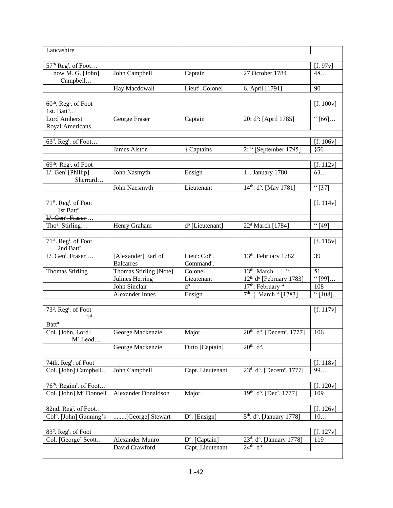| Lancashire                                      |                                  |                                        |                                                                     |                        |
|-------------------------------------------------|----------------------------------|----------------------------------------|---------------------------------------------------------------------|------------------------|
|                                                 |                                  |                                        |                                                                     |                        |
| 57 <sup>th</sup> Reg <sup>t</sup> . of Foot     |                                  |                                        |                                                                     | [f. 97v]               |
| now M. G. [John]                                | John Campbell                    | Captain                                | 27 October 1784                                                     | 48                     |
| Campbell                                        |                                  |                                        |                                                                     | 90                     |
|                                                 | Hay Macdowall                    | Lieut <sup>t</sup> . Colonel           | 6. April [1791]                                                     |                        |
| 60 <sup>th</sup> . Reg <sup>t</sup> . of Foot   |                                  |                                        |                                                                     | [f. 100v]              |
| 1st. Batt <sup>n</sup>                          |                                  |                                        |                                                                     |                        |
| <b>Lord Amherst</b>                             | George Fraser                    | Captain                                | 20: d°: [April 1785]                                                | " $[66]$               |
| Royal Americans                                 |                                  |                                        |                                                                     |                        |
|                                                 |                                  |                                        |                                                                     |                        |
| $63d$ . Reg <sup>t</sup> . of Foot              |                                  |                                        |                                                                     | [f. 106v]              |
|                                                 | <b>James Alston</b>              | Captains                               | 2: "[September 1795]                                                | 156                    |
|                                                 |                                  |                                        |                                                                     |                        |
| 69 <sup>th</sup> : Reg <sup>t</sup> . of Foot   |                                  |                                        |                                                                     | [f. $112v$ ]           |
| L <sup>t</sup> . Gen <sup>1</sup> .[Phillip]    | John Nasmyth                     | Ensign                                 | 1st. January 1780                                                   | 63                     |
| Sherrard                                        |                                  |                                        |                                                                     |                        |
|                                                 | John Naesmyth                    | Lieutenant                             | 14 <sup>th</sup> . d <sup>o</sup> . [May 1781]                      | "[37]                  |
|                                                 |                                  |                                        |                                                                     |                        |
| 71 <sup>st</sup> . Reg <sup>t</sup> . of Foot   |                                  |                                        |                                                                     | [f. 114v]              |
| 1st Batt <sup>n</sup> .                         |                                  |                                        |                                                                     |                        |
| $\overline{L^t}$ . Gen <sup>1</sup> . Fraser    |                                  |                                        |                                                                     |                        |
| Tho <sup>s</sup> : Stirling                     | Henry Graham                     | d <sup>o</sup> [Lieutenant]            | 22 <sup>d</sup> March [1784]                                        | "[49]                  |
|                                                 |                                  |                                        |                                                                     |                        |
| 71 <sup>st</sup> . Reg <sup>t</sup> . of Foot   |                                  |                                        |                                                                     | [f. 115v]              |
| 2nd Batt <sup>n</sup> .                         |                                  |                                        |                                                                     |                        |
| L <sup>t</sup> . Gen <sup>1</sup> . Fraser      | [Alexander] Earl of              | Lieu <sup>t</sup> : Col <sup>o</sup> . | 13th. February 1782                                                 | 39                     |
|                                                 | <b>Balcarres</b>                 | Command <sup>t</sup> .                 |                                                                     |                        |
| <b>Thomas Stirling</b>                          | Thomas Stirling [Note]           | Colonel                                | 13 <sup>th</sup> . March                                            | $51$                   |
|                                                 | Julines Herring<br>John Sinclair | Lieutenant<br>$d^{\rm o}$              | 12 <sup>th</sup> d <sup>o</sup> [February 1783]<br>17th: February " | ``[99]<br>108          |
|                                                 | <b>Alexander Innes</b>           |                                        | 7 <sup>th</sup> : } March " [1783]                                  |                        |
|                                                 |                                  | Ensign                                 |                                                                     | $\sqrt{\frac{108}{1}}$ |
| 73 <sup>d</sup> . Reg <sup>t</sup> . of Foot    |                                  |                                        |                                                                     | [f. 117v]              |
| 1 <sup>st</sup>                                 |                                  |                                        |                                                                     |                        |
| <b>Batt</b> <sup>n</sup>                        |                                  |                                        |                                                                     |                        |
| Col. [John, Lord]                               | George Mackenzie                 | Major                                  | 20 <sup>th</sup> . d <sup>o</sup> . [Decem <sup>r</sup> . 1777]     | 106                    |
| M <sup>c</sup> .Leod                            |                                  |                                        |                                                                     |                        |
|                                                 | George Mackenzie                 | Ditto [Captain]                        | $20^{th}$ . $d^o$ .                                                 |                        |
|                                                 |                                  |                                        |                                                                     |                        |
| 74th. Reg <sup>t</sup> . of Foot                |                                  |                                        |                                                                     | [f. $118v$ ]           |
| Col. [John] Campbell                            | John Campbell                    | Capt. Lieutenant                       | 23 <sup>d</sup> . d <sup>o</sup> . [Decem <sup>r</sup> . 1777]      | 99                     |
|                                                 |                                  |                                        |                                                                     |                        |
| 76 <sup>th</sup> : Regim <sup>t</sup> . of Foot |                                  |                                        |                                                                     | [f. $120v$ ]           |
| Col. [John] M <sup>c</sup> .Donnell             | <b>Alexander Donaldson</b>       | Major                                  | 19th. d <sup>o</sup> . [Dec <sup>r</sup> . 1777]                    | 109                    |
|                                                 |                                  |                                        |                                                                     |                        |
| 82nd. Reg <sup>t</sup> . of Foot                |                                  |                                        |                                                                     | [f. 126v]              |
| Col <sup>o</sup> . [John] Gunning's             | [George] Stewart                 | $D^{\circ}$ . [Ensign]                 | 5 <sup>th</sup> . d <sup>o</sup> . [January 1778]                   | 10                     |
|                                                 |                                  |                                        |                                                                     |                        |
| 83 <sup>d</sup> . Reg <sup>t</sup> . of Foot    |                                  |                                        |                                                                     | [f. $127v$ ]           |
| Col. [George] Scott                             | Alexander Munro                  | D <sup>o</sup> . [Captain]             | 23 <sup>d</sup> . d <sup>o</sup> . [January 1778]                   | 119                    |
|                                                 | David Crawford                   | Capt. Lieutenant                       | $24th$ . $do$                                                       |                        |
|                                                 |                                  |                                        |                                                                     |                        |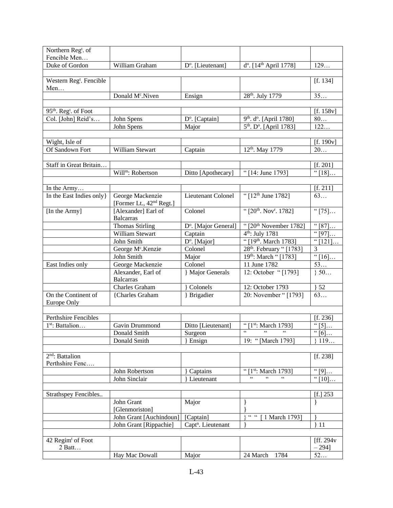| Northern Reg <sup>t</sup> . of                |                                      |                                  |                                                                                            |                                  |
|-----------------------------------------------|--------------------------------------|----------------------------------|--------------------------------------------------------------------------------------------|----------------------------------|
| Fencible Men                                  |                                      |                                  |                                                                                            |                                  |
| Duke of Gordon                                | William Graham                       | D <sup>o</sup> . [Lieutenant]    | d <sup>o</sup> . [14 <sup>th</sup> April 1778]                                             | 129                              |
|                                               |                                      |                                  |                                                                                            |                                  |
| Western Reg <sup>t</sup> . Fencible           |                                      |                                  |                                                                                            | [f. 134]                         |
| Men                                           |                                      |                                  |                                                                                            |                                  |
|                                               | Donald M <sup>c</sup> .Niven         | Ensign                           | 28 <sup>th</sup> . July 1779                                                               | 35                               |
|                                               |                                      |                                  |                                                                                            |                                  |
| 95 <sup>th</sup> . Reg <sup>t</sup> . of Foot |                                      |                                  |                                                                                            | [f. 158v]                        |
| Col. [John] Reid's                            | John Spens                           | D <sup>o</sup> . [Captain]       | 9th. d <sup>o</sup> . [April 1780]                                                         | $80\ldots$                       |
|                                               | John Spens                           | Major                            | 5 <sup>th</sup> . D <sup>o</sup> . [April 1783]                                            | 122                              |
|                                               |                                      |                                  |                                                                                            |                                  |
| Wight, Isle of                                |                                      |                                  |                                                                                            | [f. 190v]                        |
| Of Sandown Fort                               | William Stewart                      | Captain                          | 12 <sup>th</sup> . May 1779                                                                | 20                               |
|                                               |                                      |                                  |                                                                                            |                                  |
| Staff in Great Britain                        |                                      |                                  |                                                                                            | [f. 201]                         |
|                                               | Will <sup>m</sup> : Robertson        | Ditto [Apothecary]               | "[14: June 1793]                                                                           | " $[18]$                         |
|                                               |                                      |                                  |                                                                                            |                                  |
| In the Army                                   |                                      |                                  |                                                                                            | [f. 211]                         |
| In the East Indies only }                     | George Mackenzie                     | Lieutenant Colonel               | "[12 <sup>th</sup> June 1782]                                                              | 63                               |
|                                               | [Former Lt., 42 <sup>nd</sup> Regt.] |                                  |                                                                                            |                                  |
| [In the Army]                                 | [Alexander] Earl of                  | Colonel                          | "[20 <sup>th</sup> . Nov <sup>r</sup> . 1782]                                              | " $[75]$                         |
|                                               | <b>Balcarras</b>                     |                                  |                                                                                            |                                  |
|                                               | <b>Thomas Stirling</b>               | D <sup>o</sup> . [Major General] | " $[20th$ November 1782]                                                                   | ``[87]                           |
|                                               | William Stewart                      | Captain                          | 4 <sup>th</sup> : July 1781                                                                | $\sqrt{97}$                      |
|                                               | John Smith                           | D <sup>o</sup> . [Major]         | "[19 <sup>th</sup> . March 1783]                                                           | " $[121]$                        |
|                                               | George M <sup>c</sup> .Kenzie        | Colonel                          | 28 <sup>th</sup> . February "[1783]                                                        | 3                                |
|                                               | John Smith                           | Major                            | 19th: March " [1783]                                                                       | " $[16]$                         |
| East Indies only                              | George Mackenzie                     | Colonel                          | 11 June 1782                                                                               | 53                               |
|                                               | Alexander, Earl of                   | } Major Generals                 | 12: October "[1793]                                                                        | $\overline{\}$ 50                |
|                                               | <b>Balcarras</b>                     |                                  |                                                                                            |                                  |
|                                               | Charles Graham                       | Colonels                         | 12: October 1793                                                                           | 52                               |
| On the Continent of                           | {Charles Graham                      | Brigadier                        | 20: November "[1793]                                                                       | 63                               |
| Europe Only                                   |                                      |                                  |                                                                                            |                                  |
|                                               |                                      |                                  |                                                                                            |                                  |
| <b>Perthshire Fencibles</b>                   |                                      |                                  |                                                                                            |                                  |
|                                               |                                      |                                  |                                                                                            | [f. 236]                         |
| 1st: Battalion                                | Gavin Drummond                       | Ditto [Lieutenant]               | "[1 <sup>st</sup> : March 1793]<br>$66 -$                                                  | " [5]                            |
|                                               | Donald Smith                         | Surgeon                          |                                                                                            | $\overline{\cdot\cdot\cdot}$ [6] |
|                                               | Donald Smith                         | Ensign                           | 19: "[March 1793]                                                                          | 119                              |
|                                               |                                      |                                  |                                                                                            |                                  |
| $2nd$ : Battalion                             |                                      |                                  |                                                                                            | [f. 238]                         |
| Perthshire Fenc                               |                                      |                                  |                                                                                            |                                  |
|                                               | John Robertson                       | Captains                         | " $\sqrt{1}$ <sup>st</sup> : March 1793]<br>$\epsilon\epsilon$<br>$\epsilon$<br>$\epsilon$ | $\overline{\mathfrak{m}}[9]$     |
|                                               | John Sinclair                        | Lieutenant                       |                                                                                            | " $\overline{[10]}$              |
|                                               |                                      |                                  |                                                                                            |                                  |
| Strathspey Fencibles                          |                                      |                                  |                                                                                            | $[f.]$ 253                       |
|                                               | John Grant                           | Major                            | }                                                                                          | $\}$                             |
|                                               | [Glenmoriston]                       |                                  |                                                                                            |                                  |
|                                               | John Grant [Auchindoun]              | [Captain]                        | $-66-66$<br>1 March 1793]                                                                  |                                  |
|                                               | John Grant [Rippachie]               | Capt <sup>n</sup> . Lieutenant   |                                                                                            | 11                               |
|                                               |                                      |                                  |                                                                                            |                                  |
| 42 Regim <sup>t</sup> of Foot                 |                                      |                                  |                                                                                            | [ff. $294v$                      |
| 2 Batt                                        |                                      |                                  |                                                                                            | $-294$ ]                         |
|                                               | Hay Mac Dowall                       | Major                            | 24 March<br>1784                                                                           | 52                               |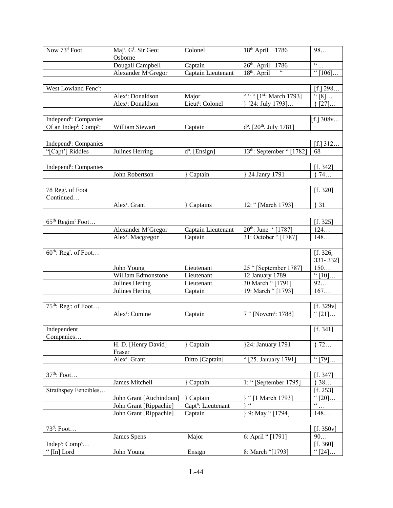| Now 73 <sup>d</sup> Foot                       | Maj <sup>r</sup> . G <sup>1</sup> . Sir Geo: | Colonel                        | $18th$ April<br>1786                   | 98                         |
|------------------------------------------------|----------------------------------------------|--------------------------------|----------------------------------------|----------------------------|
|                                                | Osborne                                      |                                |                                        |                            |
|                                                | Dougall Campbell                             | Captain                        | 26 <sup>th</sup> . April<br>1786       | $\overline{\frac{a}{\pm}}$ |
|                                                | Alexander McGregor                           | Captain Lieutenant             | 18 <sup>th</sup> . April               | " $[106]$                  |
|                                                |                                              |                                |                                        |                            |
| West Lowland Fenc <sup>s</sup> :               |                                              |                                |                                        | [f.] $298$                 |
|                                                | Alex <sup>r</sup> : Donaldson                | Major                          | " " " [1st: March 1793]                | $\sqrt[4]{[8]}\dots$       |
|                                                | Alex <sup>r</sup> : Donaldson                | Lieut <sup>t</sup> : Colonel   | [24: July 1793]                        | [27]                       |
|                                                |                                              |                                |                                        |                            |
| Independ <sup>t</sup> : Companies              |                                              |                                |                                        | [f.] $308v$                |
| Of an Indep <sup>t</sup> : Comp <sup>y</sup> : | William Stewart                              | Captain                        | $d^o$ . [20 <sup>th</sup> . July 1781] |                            |
|                                                |                                              |                                |                                        |                            |
| Independ <sup>t</sup> : Companies              |                                              |                                |                                        | [f.] 312                   |
| "[Capt'] Riddles                               | Julines Herring                              | d <sup>o</sup> . [Ensign]      | $13th$ : September "[1782]             | 68                         |
|                                                |                                              |                                |                                        |                            |
| Independ <sup>t</sup> : Companies              |                                              |                                |                                        | [f. 342]                   |
|                                                | John Robertson                               | Captain                        | 24 Janry 1791                          | 374                        |
|                                                |                                              |                                |                                        |                            |
| 78 Reg <sup>t</sup> . of Foot                  |                                              |                                |                                        | [f. 320]                   |
| Continued                                      |                                              |                                |                                        |                            |
|                                                | Alex <sup>r</sup> . Grant                    | <b>Captains</b>                | 12: "[March 1793]                      | 31                         |
|                                                |                                              |                                |                                        |                            |
| 65 <sup>th</sup> Regim <sup>t</sup> Foot       |                                              |                                |                                        | [f. 325]                   |
|                                                | Alexander McGregor                           | Captain Lieutenant             | 20 <sup>th</sup> : June (1787)         | 124                        |
|                                                | Alex <sup>r</sup> . Macgregor                | Captain                        | 31: October " [1787]                   | 148                        |
|                                                |                                              |                                |                                        |                            |
| 60 <sup>th</sup> : Reg <sup>t</sup> . of Foot  |                                              |                                |                                        | [f. 326,                   |
|                                                |                                              |                                |                                        | 331-332]                   |
|                                                | John Young                                   | Lieutenant                     | 25 " [September 1787]                  | 150                        |
|                                                | William Edmonstone                           | Lieutenant                     | 12 January 1789                        | " $[10]$                   |
|                                                | Julines Hering                               | Lieutenant                     | 30 March "[1791]                       | 92                         |
|                                                | Julines Hering                               | Captain                        | 19: March "[1793]                      | 167                        |
|                                                |                                              |                                |                                        |                            |
| 75 <sup>th</sup> : Reg <sup>t</sup> : of Foot  |                                              |                                |                                        | [f. 329v]                  |
|                                                | Alex <sup>r</sup> : Cumine                   | Captain                        | 7 "[Novem <sup>r</sup> : 1788]         | " $[21]$                   |
|                                                |                                              |                                |                                        |                            |
| Independent                                    |                                              |                                |                                        | [f. 341]                   |
| Companies                                      |                                              |                                |                                        |                            |
|                                                | H. D. [Henry David]                          | } Captain                      | }24: January 1791                      | 372                        |
|                                                | Fraser<br>Alex <sup>r</sup> . Grant          | Ditto [Captain]                | "[25. January 1791]                    | $\sqrt{79}$                |
|                                                |                                              |                                |                                        |                            |
| 37 <sup>th</sup> : Foot                        |                                              |                                |                                        | [f. 347]                   |
|                                                | James Mitchell                               | Captain                        | 1: "[September 1795]                   | 38                         |
| Strathspey Fencibles                           |                                              |                                |                                        | [f. 253]                   |
|                                                | John Grant [Auchindoun]                      | Captain                        | "[1 March 1793]                        | $\overline{\cdot}$ [20]    |
|                                                | John Grant [Rippachie]                       | Capt <sup>n</sup> : Lieutenant | $\zeta\,\zeta$                         | $\epsilon\,\epsilon$       |
|                                                | John Grant [Rippachie]                       | Captain                        | 9: May " [1794]                        | $\ldots$<br>148            |
|                                                |                                              |                                |                                        |                            |
| $73d$ : Foot                                   |                                              |                                |                                        | [f. 350v]                  |
|                                                | James Spens                                  | Major                          | 6: April " [1791]                      | 90                         |
| Indep <sup>t</sup> : Comp <sup>s</sup>         |                                              |                                |                                        | [f. 360]                   |
| "[In] Lord                                     | John Young                                   | Ensign                         | 8: March "[1793]                       | $\overline{\cdot}$ [24]    |
|                                                |                                              |                                |                                        |                            |